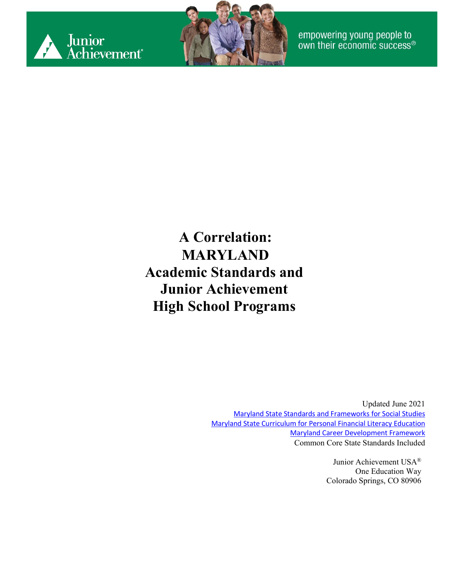



**A Correlation: MARYLAND Academic Standards and Junior Achievement High School Programs**

> Updated June 2021 [Maryland State Standards and Frameworks for Social Studies](http://marylandpublicschools.org/about/Pages/DCAA/Social-Studies/MSSS.aspx) [Maryland State Curriculum for Personal Financial Literacy Education](https://mdk12.msde.maryland.gov/INSTRUCTION/StandardsandFrameworks/financial_literacy/Pages/index.aspx) [Maryland Career Development Framework](https://www.google.com/url?sa=t&rct=j&q=&esrc=s&source=web&cd=&ved=2ahUKEwjI1bKS0vzwAhVVRjABHaTDCr0QFjACegQIEhAD&url=http%3A%2F%2Farchives.marylandpublicschools.org%2FNR%2Frdonlyres%2FC46A5E1C-C622-4EBB-89F9-B29ABD3EB0A7%2F15585%2FCDFramework04182007FINALpg270.pdf%3FWeb%3D1&usg=AOvVaw0fo4qK3XucwCAA2YPfJT4Y) Common Core State Standards Included

> > Junior Achievement USA® One Education Way Colorado Springs, CO 80906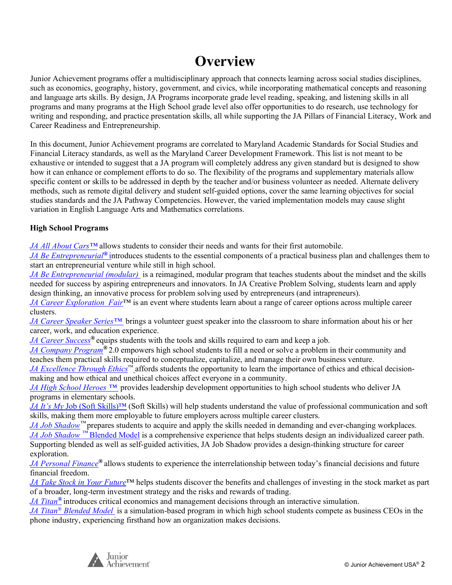#### **Overview**

Junior Achievement programs offer a multidisciplinary approach that connects learning across social studies disciplines, such as economics, geography, history, government, and civics, while incorporating mathematical concepts and reasoning and language arts skills. By design, JA Programs incorporate grade level reading, speaking, and listening skills in all programs and many programs at the High School grade level also offer opportunities to do research, use technology for writing and responding, and practice presentation skills, all while supporting the JA Pillars of Financial Literacy, Work and Career Readiness and Entrepreneurship.

In this document, Junior Achievement programs are correlated to Maryland Academic Standards for Social Studies and Financial Literacy standards, as well as the Maryland Career Development Framework. This list is not meant to be exhaustive or intended to suggest that a JA program will completely address any given standard but is designed to show how it can enhance or complement efforts to do so. The flexibility of the programs and supplementary materials allow specific content or skills to be addressed in depth by the teacher and/or business volunteer as needed. Alternate delivery methods, such as remote digital delivery and student self-guided options, cover the same learning objectives for social studies standards and the JA Pathway Competencies. However, the varied implementation models may cause slight variation in English Language Arts and Mathematics correlations.

#### **High School Programs**

*JA All About Cars™* allows students to consider their needs and wants for their first automobile.

*JA Be Entrepreneurial*<sup>®</sup> introduces students to the essential components of a practical business plan and challenges them to start an entrepreneurial venture while still in high school.

*JA Be Entrepreneurial (modular)* is a reimagined, modular program that teaches students about the mindset and the skills needed for success by aspiring entrepreneurs and innovators. In JA Creative Problem Solving, students learn and apply design thinking, an innovative process for problem solving used by entrepreneurs (and intrapreneurs).

*[JA Career Exploration](#page-14-0) Fair*™ is an event where students learn about a range of career options across multiple career clusters.

*JA Career Speaker Series™* brings a volunteer guest speaker into the classroom to share information about his or her career, work, and education experience.

*[JA Career Success](#page-18-0)®* equips students with the tools and skills required to earn and keep a job.

*[JA Company Program](#page-22-0)®* 2.0 empowers high school students to fill a need or solve a problem in their community and teaches them practical skills required to conceptualize, capitalize, and manage their own business venture.

*JA Excellence Through Ethics*™ affords students the opportunity to learn the importance of ethics and ethical decisionmaking and how ethical and unethical choices affect everyone in a community.

*JA High School Heroes ™* provides leadership development opportunities to high school students who deliver JA programs in elementary schools.

*JA It's My* Job (Soft Skills)™ (Soft Skills) will help students understand the value of professional communication and soft skills, making them more employable to future employers across multiple career clusters.

*JA Job Shadow™* prepares students to acquire and apply the skills needed in demanding and ever-changing workplaces. *[JA Job Shadow](#page-37-0)* <sup>[™](#page-37-0)</sup> [Blended Model](#page-37-0) is a comprehensive experience that helps students design an individualized career path. Supporting blended as well as self-guided activities, JA Job Shadow provides a design-thinking structure for career exploration.

*[JA Personal Finance](#page-40-0)®* allows students to experience the interrelationship between today's financial decisions and future financial freedom.

*[JA Take Stock in Your Future](#page-45-0)*™ helps students discover the benefits and challenges of investing in the stock market as part of a broader, long-term investment strategy and the risks and rewards of trading.

*[JA Titan](#page-53-0)[®](#page-53-0)* introduces critical economics and management decisions through an interactive simulation.

*[JA Titan®](#page-56-0) [Blended Model](#page-56-0)* is a simulation-based program in which high school students compete as business CEOs in the phone industry, experiencing firsthand how an organization makes decisions.

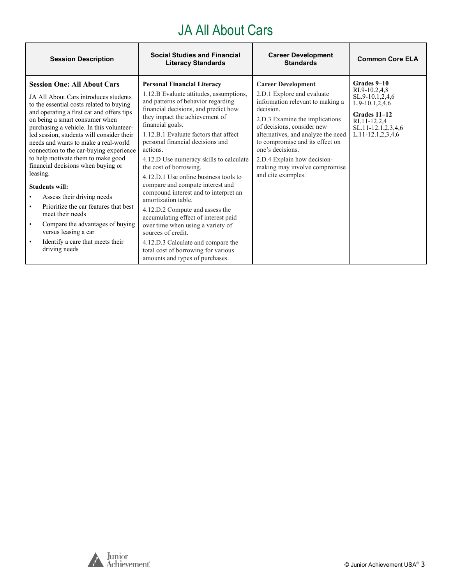# JA All About Cars

| <b>Session Description</b>                                                                                                                                                                                                                                                                                                                                                                                                                                                                                                                                                                                                                                                                                                                | <b>Social Studies and Financial</b><br><b>Literacy Standards</b>                                                                                                                                                                                                                                                                                                                                                                                                                                                                                                                                                                                                                                                                                                                   | <b>Career Development</b><br><b>Standards</b>                                                                                                                                                                                                                                                                                                               | <b>Common Core ELA</b>                                                                                                                             |
|-------------------------------------------------------------------------------------------------------------------------------------------------------------------------------------------------------------------------------------------------------------------------------------------------------------------------------------------------------------------------------------------------------------------------------------------------------------------------------------------------------------------------------------------------------------------------------------------------------------------------------------------------------------------------------------------------------------------------------------------|------------------------------------------------------------------------------------------------------------------------------------------------------------------------------------------------------------------------------------------------------------------------------------------------------------------------------------------------------------------------------------------------------------------------------------------------------------------------------------------------------------------------------------------------------------------------------------------------------------------------------------------------------------------------------------------------------------------------------------------------------------------------------------|-------------------------------------------------------------------------------------------------------------------------------------------------------------------------------------------------------------------------------------------------------------------------------------------------------------------------------------------------------------|----------------------------------------------------------------------------------------------------------------------------------------------------|
| <b>Session One: All About Cars</b><br>JA All About Cars introduces students<br>to the essential costs related to buying<br>and operating a first car and offers tips<br>on being a smart consumer when<br>purchasing a vehicle. In this volunteer-<br>led session, students will consider their<br>needs and wants to make a real-world<br>connection to the car-buying experience<br>to help motivate them to make good<br>financial decisions when buying or<br>leasing.<br><b>Students will:</b><br>Assess their driving needs<br>Prioritize the car features that best<br>meet their needs<br>Compare the advantages of buying<br>$\bullet$<br>versus leasing a car<br>Identify a care that meets their<br>$\bullet$<br>driving needs | <b>Personal Financial Literacy</b><br>1.12.B Evaluate attitudes, assumptions,<br>and patterns of behavior regarding<br>financial decisions, and predict how<br>they impact the achievement of<br>financial goals.<br>1.12.B.1 Evaluate factors that affect<br>personal financial decisions and<br>actions.<br>4.12.D Use numeracy skills to calculate<br>the cost of borrowing.<br>4.12.D.1 Use online business tools to<br>compare and compute interest and<br>compound interest and to interpret an<br>amortization table.<br>4.12.D.2 Compute and assess the<br>accumulating effect of interest paid<br>over time when using a variety of<br>sources of credit.<br>4.12.D.3 Calculate and compare the<br>total cost of borrowing for various<br>amounts and types of purchases. | <b>Career Development</b><br>2.D.1 Explore and evaluate<br>information relevant to making a<br>decision.<br>2.D.3 Examine the implications<br>of decisions, consider new<br>alternatives, and analyze the need<br>to compromise and its effect on<br>one's decisions.<br>2.D.4 Explain how decision-<br>making may involve compromise<br>and cite examples. | Grades 9-10<br>RI.9-10.2,4,8<br>SL.9-10.1,2,4,6<br>L.9-10.1,2,4,6<br>Grades 11-12<br>RI.11-12.2,4<br>SL.11-12.1,2,3,4,6<br>$L.11-12.1, 2, 3, 4, 6$ |

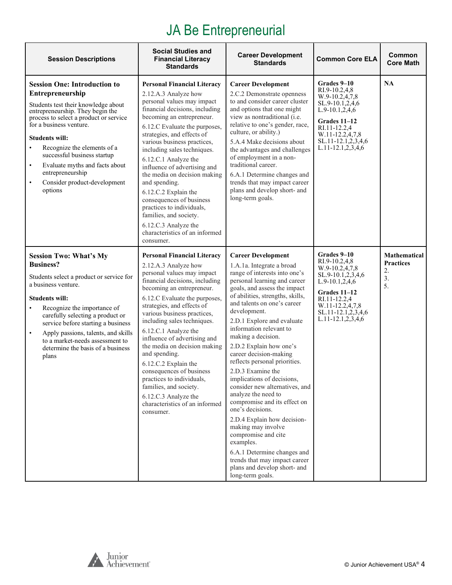# JA Be Entrepreneurial

| <b>Session Descriptions</b>                                                                                                                                                                                                                                                                                                                                                                                               | <b>Social Studies and</b><br><b>Financial Literacy</b><br><b>Standards</b>                                                                                                                                                                                                                                                                                                                                                                                                                                                                                                      | <b>Career Development</b><br><b>Standards</b>                                                                                                                                                                                                                                                                                                                                                                                                                                                                                                                                                                                                                                                                                                                                                | <b>Common Core ELA</b>                                                                                                                                                                 | Common<br><b>Core Math</b>                                |
|---------------------------------------------------------------------------------------------------------------------------------------------------------------------------------------------------------------------------------------------------------------------------------------------------------------------------------------------------------------------------------------------------------------------------|---------------------------------------------------------------------------------------------------------------------------------------------------------------------------------------------------------------------------------------------------------------------------------------------------------------------------------------------------------------------------------------------------------------------------------------------------------------------------------------------------------------------------------------------------------------------------------|----------------------------------------------------------------------------------------------------------------------------------------------------------------------------------------------------------------------------------------------------------------------------------------------------------------------------------------------------------------------------------------------------------------------------------------------------------------------------------------------------------------------------------------------------------------------------------------------------------------------------------------------------------------------------------------------------------------------------------------------------------------------------------------------|----------------------------------------------------------------------------------------------------------------------------------------------------------------------------------------|-----------------------------------------------------------|
| <b>Session One: Introduction to</b><br>Entrepreneurship<br>Students test their knowledge about<br>entrepreneurship. They begin the<br>process to select a product or service<br>for a business venture.<br><b>Students will:</b><br>Recognize the elements of a<br>successful business startup<br>Evaluate myths and facts about<br>$\bullet$<br>entrepreneurship<br>Consider product-development<br>$\bullet$<br>options | <b>Personal Financial Literacy</b><br>2.12.A.3 Analyze how<br>personal values may impact<br>financial decisions, including<br>becoming an entrepreneur.<br>6.12.C Evaluate the purposes,<br>strategies, and effects of<br>various business practices,<br>including sales techniques.<br>6.12.C.1 Analyze the<br>influence of advertising and<br>the media on decision making<br>and spending.<br>6.12.C.2 Explain the<br>consequences of business<br>practices to individuals,<br>families, and society.<br>6.12.C.3 Analyze the<br>characteristics of an informed<br>consumer. | <b>Career Development</b><br>2.C.2 Demonstrate openness<br>to and consider career cluster<br>and options that one might<br>view as nontraditional (i.e.<br>relative to one's gender, race,<br>culture, or ability.)<br>5.A.4 Make decisions about<br>the advantages and challenges<br>of employment in a non-<br>traditional career.<br>6.A.1 Determine changes and<br>trends that may impact career<br>plans and develop short- and<br>long-term goals.                                                                                                                                                                                                                                                                                                                                     | Grades 9-10<br>RI.9-10.2,4,8<br>W.9-10.2,4,7,8<br>SL.9-10.1,2,4,6<br>$L.9-10.1, 2, 4, 6$<br>Grades 11-12<br>RI.11-12.2.4<br>W.11-12.2,4,7,8<br>SL.11-12.1,2,3,4,6<br>L.11-12.1,2,3,4,6 | <b>NA</b>                                                 |
| <b>Session Two: What's My</b><br><b>Business?</b><br>Students select a product or service for<br>a business venture.<br><b>Students will:</b><br>Recognize the importance of<br>carefully selecting a product or<br>service before starting a business<br>Apply passions, talents, and skills<br>$\bullet$<br>to a market-needs assessment to<br>determine the basis of a business<br>plans                               | <b>Personal Financial Literacy</b><br>2.12.A.3 Analyze how<br>personal values may impact<br>financial decisions, including<br>becoming an entrepreneur.<br>6.12.C Evaluate the purposes,<br>strategies, and effects of<br>various business practices,<br>including sales techniques.<br>6.12.C.1 Analyze the<br>influence of advertising and<br>the media on decision making<br>and spending.<br>6.12.C.2 Explain the<br>consequences of business<br>practices to individuals,<br>families, and society.<br>6.12.C.3 Analyze the<br>characteristics of an informed<br>consumer. | <b>Career Development</b><br>1.A.1a. Integrate a broad<br>range of interests into one's<br>personal learning and career<br>goals, and assess the impact<br>of abilities, strengths, skills,<br>and talents on one's career<br>development.<br>2.D.1 Explore and evaluate<br>information relevant to<br>making a decision.<br>2.D.2 Explain how one's<br>career decision-making<br>reflects personal priorities.<br>2.D.3 Examine the<br>implications of decisions,<br>consider new alternatives, and<br>analyze the need to<br>compromise and its effect on<br>one's decisions.<br>2.D.4 Explain how decision-<br>making may involve<br>compromise and cite<br>examples.<br>6.A.1 Determine changes and<br>trends that may impact career<br>plans and develop short- and<br>long-term goals. | Grades 9-10<br>RI.9-10.2,4,8<br>W.9-10.2,4,7,8<br>SL.9-10.1,2,3,4,6<br>L.9-10.1,2,4,6<br>Grades 11-12<br>RI.11-12.2,4<br>W.11-12.2,4,7,8<br>SL.11-12.1,2,3,4,6<br>L.11-12.1,2,3,4,6    | <b>Mathematical</b><br><b>Practices</b><br>2.<br>3.<br>5. |

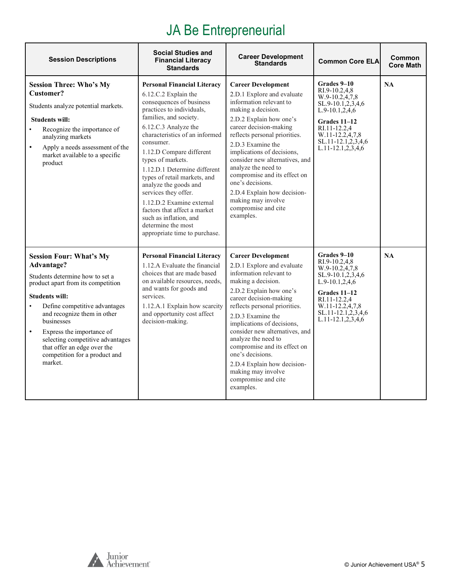# JA Be Entrepreneurial

| <b>Session Descriptions</b>                                                                                                                                                                                                                                                                                                                                                           | <b>Social Studies and</b><br><b>Financial Literacy</b><br><b>Standards</b>                                                                                                                                                                                                                                                                                                                                                                                                                                                           | <b>Career Development</b><br><b>Standards</b>                                                                                                                                                                                                                                                                                                                                                                                                           | <b>Common Core ELA</b>                                                                                                                                                                           | Common<br><b>Core Math</b> |
|---------------------------------------------------------------------------------------------------------------------------------------------------------------------------------------------------------------------------------------------------------------------------------------------------------------------------------------------------------------------------------------|--------------------------------------------------------------------------------------------------------------------------------------------------------------------------------------------------------------------------------------------------------------------------------------------------------------------------------------------------------------------------------------------------------------------------------------------------------------------------------------------------------------------------------------|---------------------------------------------------------------------------------------------------------------------------------------------------------------------------------------------------------------------------------------------------------------------------------------------------------------------------------------------------------------------------------------------------------------------------------------------------------|--------------------------------------------------------------------------------------------------------------------------------------------------------------------------------------------------|----------------------------|
| <b>Session Three: Who's My</b><br>Customer?<br>Students analyze potential markets.<br><b>Students will:</b><br>Recognize the importance of<br>$\bullet$<br>analyzing markets<br>Apply a needs assessment of the<br>$\bullet$<br>market available to a specific<br>product                                                                                                             | <b>Personal Financial Literacy</b><br>6.12.C.2 Explain the<br>consequences of business<br>practices to individuals,<br>families, and society.<br>6.12.C.3 Analyze the<br>characteristics of an informed<br>consumer.<br>1.12.D Compare different<br>types of markets.<br>1.12.D.1 Determine different<br>types of retail markets, and<br>analyze the goods and<br>services they offer.<br>1.12.D.2 Examine external<br>factors that affect a market<br>such as inflation, and<br>determine the most<br>appropriate time to purchase. | <b>Career Development</b><br>2.D.1 Explore and evaluate<br>information relevant to<br>making a decision.<br>2.D.2 Explain how one's<br>career decision-making<br>reflects personal priorities.<br>2.D.3 Examine the<br>implications of decisions,<br>consider new alternatives, and<br>analyze the need to<br>compromise and its effect on<br>one's decisions.<br>2.D.4 Explain how decision-<br>making may involve<br>compromise and cite<br>examples. | Grades 9-10<br>RI.9-10.2,4,8<br>W.9-10.2,4,7,8<br>SL.9-10.1,2,3,4,6<br>$L.9-10.1, 2, 4, 6$<br>Grades 11–12<br>RI.11-12.2,4<br>W.11-12.2,4,7,8<br>SL.11-12.1,2,3,4,6<br>L.11-12.1,2,3,4,6         | <b>NA</b>                  |
| <b>Session Four: What's My</b><br>Advantage?<br>Students determine how to set a<br>product apart from its competition<br><b>Students will:</b><br>Define competitive advantages<br>and recognize them in other<br>businesses<br>Express the importance of<br>$\bullet$<br>selecting competitive advantages<br>that offer an edge over the<br>competition for a product and<br>market. | <b>Personal Financial Literacy</b><br>1.12.A Evaluate the financial<br>choices that are made based<br>on available resources, needs,<br>and wants for goods and<br>services.<br>1.12.A.1 Explain how scarcity<br>and opportunity cost affect<br>decision-making.                                                                                                                                                                                                                                                                     | <b>Career Development</b><br>2.D.1 Explore and evaluate<br>information relevant to<br>making a decision.<br>2.D.2 Explain how one's<br>career decision-making<br>reflects personal priorities.<br>2.D.3 Examine the<br>implications of decisions,<br>consider new alternatives, and<br>analyze the need to<br>compromise and its effect on<br>one's decisions.<br>2.D.4 Explain how decision-<br>making may involve<br>compromise and cite<br>examples. | Grades 9–10<br>RI.9-10.2,4,8<br>W.9-10.2,4,7,8<br>SL.9-10.1,2,3,4,6<br>$L.9-10.1, 2, 4, 6$<br>Grades 11-12<br>RI.11-12.2,4<br>W.11-12.2,4,7,8<br>SL.11-12.1,2,3,4,6<br>$L.11 - 12.1, 2, 3, 4, 6$ | NA                         |

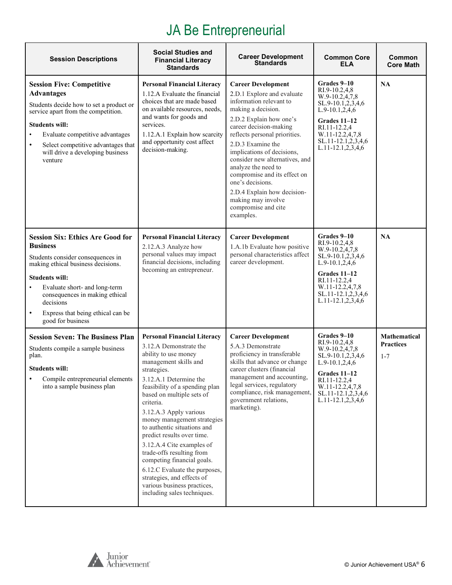# JA Be Entrepreneurial

| <b>Session Descriptions</b>                                                                                                                                                                                                                                                                                                        | <b>Social Studies and</b><br><b>Financial Literacy</b><br><b>Standards</b>                                                                                                                                                                                                                                                                                                                                                                                                                                                                                                    | <b>Career Development</b><br><b>Standards</b>                                                                                                                                                                                                                                                                                                                                                                                                           | <b>Common Core</b><br>ELA                                                                                                                                                                      | Common<br><b>Core Math</b>                         |
|------------------------------------------------------------------------------------------------------------------------------------------------------------------------------------------------------------------------------------------------------------------------------------------------------------------------------------|-------------------------------------------------------------------------------------------------------------------------------------------------------------------------------------------------------------------------------------------------------------------------------------------------------------------------------------------------------------------------------------------------------------------------------------------------------------------------------------------------------------------------------------------------------------------------------|---------------------------------------------------------------------------------------------------------------------------------------------------------------------------------------------------------------------------------------------------------------------------------------------------------------------------------------------------------------------------------------------------------------------------------------------------------|------------------------------------------------------------------------------------------------------------------------------------------------------------------------------------------------|----------------------------------------------------|
| <b>Session Five: Competitive</b><br><b>Advantages</b><br>Students decide how to set a product or<br>service apart from the competition.<br><b>Students will:</b><br>Evaluate competitive advantages<br>Select competitive advantages that<br>$\bullet$<br>will drive a developing business<br>venture                              | <b>Personal Financial Literacy</b><br>1.12.A Evaluate the financial<br>choices that are made based<br>on available resources, needs,<br>and wants for goods and<br>services.<br>1.12.A.1 Explain how scarcity<br>and opportunity cost affect<br>decision-making.                                                                                                                                                                                                                                                                                                              | <b>Career Development</b><br>2.D.1 Explore and evaluate<br>information relevant to<br>making a decision.<br>2.D.2 Explain how one's<br>career decision-making<br>reflects personal priorities.<br>2.D.3 Examine the<br>implications of decisions,<br>consider new alternatives, and<br>analyze the need to<br>compromise and its effect on<br>one's decisions.<br>2.D.4 Explain how decision-<br>making may involve<br>compromise and cite<br>examples. | Grades 9–10<br>RI.9-10.2,4,8<br>W.9-10.2,4,7,8<br>SL.9-10.1,2,3,4,6<br>$L.9-10.1, 2, 4, 6$<br>Grades 11-12<br>RI.11-12.2,4<br>W.11-12.2,4,7,8<br>SL.11-12.1,2,3,4,6<br>$L.11-12.1, 2, 3, 4, 6$ | NA                                                 |
| <b>Session Six: Ethics Are Good for</b><br><b>Business</b><br>Students consider consequences in<br>making ethical business decisions.<br><b>Students will:</b><br>Evaluate short- and long-term<br>$\bullet$<br>consequences in making ethical<br>decisions<br>Express that being ethical can be<br>$\bullet$<br>good for business | <b>Personal Financial Literacy</b><br>2.12.A.3 Analyze how<br>personal values may impact<br>financial decisions, including<br>becoming an entrepreneur.                                                                                                                                                                                                                                                                                                                                                                                                                       | <b>Career Development</b><br>1.A.1b Evaluate how positive<br>personal characteristics affect<br>career development.                                                                                                                                                                                                                                                                                                                                     | Grades 9-10<br>RI.9-10.2,4,8<br>W.9-10.2,4,7,8<br>SL.9-10.1,2,3,4,6<br>$L.9-10.1, 2, 4, 6$<br>Grades 11-12<br>RI.11-12.2,4<br>W.11-12.2,4,7,8<br>SL.11-12.1,2,3,4,6<br>$L.11-12.1, 2, 3, 4, 6$ | <b>NA</b>                                          |
| <b>Session Seven: The Business Plan</b><br>Students compile a sample business<br>plan.<br><b>Students will:</b><br>Compile entrepreneurial elements<br>into a sample business plan                                                                                                                                                 | <b>Personal Financial Literacy</b><br>3.12.A Demonstrate the<br>ability to use money<br>management skills and<br>strategies.<br>3.12.A.1 Determine the<br>feasibility of a spending plan<br>based on multiple sets of<br>criteria.<br>3.12.A.3 Apply various<br>money management strategies<br>to authentic situations and<br>predict results over time.<br>3.12.A.4 Cite examples of<br>trade-offs resulting from<br>competing financial goals.<br>6.12.C Evaluate the purposes,<br>strategies, and effects of<br>various business practices,<br>including sales techniques. | <b>Career Development</b><br>5.A.3 Demonstrate<br>proficiency in transferable<br>skills that advance or change<br>career clusters (financial<br>management and accounting,<br>legal services, regulatory<br>compliance, risk management,<br>government relations,<br>marketing).                                                                                                                                                                        | Grades 9-10<br>RI.9-10.2,4,8<br>W.9-10.2,4,7,8<br>SL.9-10.1,2,3,4,6<br>L.9-10.1,2,4,6<br>Grades 11-12<br>RI.11-12.2,4<br>W.11-12.2,4,7,8<br>SL.11-12.1,2,3,4,6<br>L.11-12.1,2,3,4,6            | <b>Mathematical</b><br><b>Practices</b><br>$1 - 7$ |

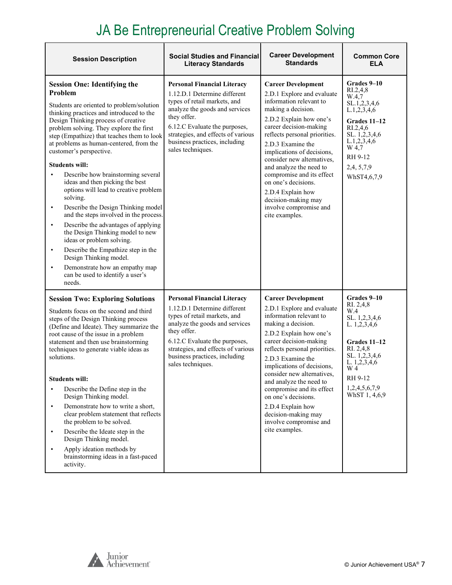# JA Be Entrepreneurial Creative Problem Solving

| <b>Session Description</b>                                                                                                                                                                                                                                                                                                                                                                                                                                                                                                                                                                                                                                                                                                                                                                                                                                                                       | <b>Social Studies and Financial</b><br><b>Literacy Standards</b>                                                                                                                                                                                                                 | <b>Career Development</b><br><b>Standards</b>                                                                                                                                                                                                                                                                                                                                                                                                          | <b>Common Core</b><br><b>ELA</b>                                                                                                                                                              |
|--------------------------------------------------------------------------------------------------------------------------------------------------------------------------------------------------------------------------------------------------------------------------------------------------------------------------------------------------------------------------------------------------------------------------------------------------------------------------------------------------------------------------------------------------------------------------------------------------------------------------------------------------------------------------------------------------------------------------------------------------------------------------------------------------------------------------------------------------------------------------------------------------|----------------------------------------------------------------------------------------------------------------------------------------------------------------------------------------------------------------------------------------------------------------------------------|--------------------------------------------------------------------------------------------------------------------------------------------------------------------------------------------------------------------------------------------------------------------------------------------------------------------------------------------------------------------------------------------------------------------------------------------------------|-----------------------------------------------------------------------------------------------------------------------------------------------------------------------------------------------|
| <b>Session One: Identifying the</b><br>Problem<br>Students are oriented to problem/solution<br>thinking practices and introduced to the<br>Design Thinking process of creative<br>problem solving. They explore the first<br>step (Empathize) that teaches them to look<br>at problems as human-centered, from the<br>customer's perspective.<br><b>Students will:</b><br>Describe how brainstorming several<br>ideas and then picking the best<br>options will lead to creative problem<br>solving.<br>Describe the Design Thinking model<br>$\bullet$<br>and the steps involved in the process.<br>Describe the advantages of applying<br>$\bullet$<br>the Design Thinking model to new<br>ideas or problem solving.<br>Describe the Empathize step in the<br>$\bullet$<br>Design Thinking model.<br>Demonstrate how an empathy map<br>$\bullet$<br>can be used to identify a user's<br>needs. | <b>Personal Financial Literacy</b><br>1.12.D.1 Determine different<br>types of retail markets, and<br>analyze the goods and services<br>they offer.<br>6.12.C Evaluate the purposes,<br>strategies, and effects of various<br>business practices, including<br>sales techniques. | <b>Career Development</b><br>2.D.1 Explore and evaluate<br>information relevant to<br>making a decision.<br>2.D.2 Explain how one's<br>career decision-making<br>reflects personal priorities.<br>2.D.3 Examine the<br>implications of decisions,<br>consider new alternatives,<br>and analyze the need to<br>compromise and its effect<br>on one's decisions.<br>2.D.4 Explain how<br>decision-making may<br>involve compromise and<br>cite examples. | Grades 9-10<br>$R_{1.2,4,8}$<br>W.4,7<br>SL.1,2,3,4,6<br>L.1,2,3,4,6<br><b>Grades 11-12</b><br>RI.2,4,6<br>SL. 1,2,3,4,6<br>L.1,2,3,4,6<br>W 4,7<br>RH 9-12<br>2,4, 5, 7, 9<br>WhST4,6,7,9    |
| <b>Session Two: Exploring Solutions</b><br>Students focus on the second and third<br>steps of the Design Thinking process<br>(Define and Ideate). They summarize the<br>root cause of the issue in a problem<br>statement and then use brainstorming<br>techniques to generate viable ideas as<br>solutions.<br><b>Students will:</b><br>Describe the Define step in the<br>$\bullet$<br>Design Thinking model.<br>Demonstrate how to write a short,<br>$\bullet$<br>clear problem statement that reflects<br>the problem to be solved.<br>Describe the Ideate step in the<br>$\bullet$<br>Design Thinking model.<br>Apply ideation methods by<br>$\bullet$<br>brainstorming ideas in a fast-paced<br>activity.                                                                                                                                                                                  | <b>Personal Financial Literacy</b><br>1.12.D.1 Determine different<br>types of retail markets, and<br>analyze the goods and services<br>they offer.<br>6.12.C Evaluate the purposes,<br>strategies, and effects of various<br>business practices, including<br>sales techniques. | <b>Career Development</b><br>2.D.1 Explore and evaluate<br>information relevant to<br>making a decision.<br>2.D.2 Explain how one's<br>career decision-making<br>reflects personal priorities.<br>2.D.3 Examine the<br>implications of decisions,<br>consider new alternatives,<br>and analyze the need to<br>compromise and its effect<br>on one's decisions.<br>2.D.4 Explain how<br>decision-making may<br>involve compromise and<br>cite examples. | Grades 9-10<br>RI. 2,4,8<br>W.4<br>SL. 1,2,3,4,6<br>L. $1,2,3,4,6$<br><b>Grades 11-12</b><br>RI. 2,4,8<br>SL. 1,2,3,4,6<br>L. $1,2,3,4,6$<br>W 4<br>RH 9-12<br>1,2,4,5,6,7,9<br>WhST 1, 4,6,9 |



 $\mathbf{r}$ 

Ē.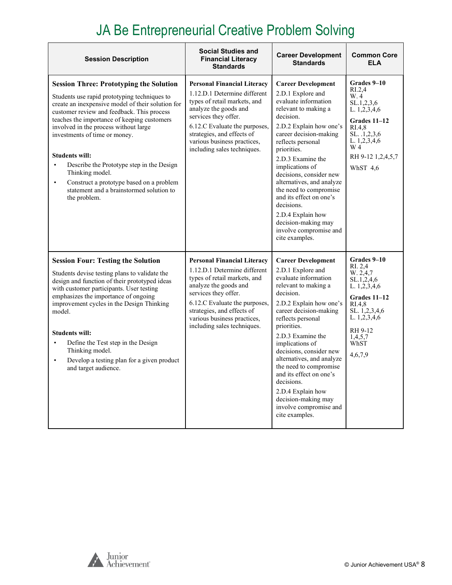# JA Be Entrepreneurial Creative Problem Solving

| <b>Session Description</b>                                                                                                                                                                                                                                                                                                                                                                                                                                                                                                                            | <b>Social Studies and</b><br><b>Financial Literacy</b><br><b>Standards</b>                                                                                                                                                                                                       | <b>Career Development</b><br><b>Standards</b>                                                                                                                                                                                                                                                                                                                                                                                                                   | <b>Common Core</b><br><b>ELA</b>                                                                                                                                                 |
|-------------------------------------------------------------------------------------------------------------------------------------------------------------------------------------------------------------------------------------------------------------------------------------------------------------------------------------------------------------------------------------------------------------------------------------------------------------------------------------------------------------------------------------------------------|----------------------------------------------------------------------------------------------------------------------------------------------------------------------------------------------------------------------------------------------------------------------------------|-----------------------------------------------------------------------------------------------------------------------------------------------------------------------------------------------------------------------------------------------------------------------------------------------------------------------------------------------------------------------------------------------------------------------------------------------------------------|----------------------------------------------------------------------------------------------------------------------------------------------------------------------------------|
| <b>Session Three: Prototyping the Solution</b><br>Students use rapid prototyping techniques to<br>create an inexpensive model of their solution for<br>customer review and feedback. This process<br>teaches the importance of keeping customers<br>involved in the process without large<br>investments of time or money.<br><b>Students will:</b><br>Describe the Prototype step in the Design<br>$\bullet$<br>Thinking model.<br>Construct a prototype based on a problem<br>$\bullet$<br>statement and a brainstormed solution to<br>the problem. | <b>Personal Financial Literacy</b><br>1.12.D.1 Determine different<br>types of retail markets, and<br>analyze the goods and<br>services they offer.<br>6.12.C Evaluate the purposes,<br>strategies, and effects of<br>various business practices,<br>including sales techniques. | <b>Career Development</b><br>2.D.1 Explore and<br>evaluate information<br>relevant to making a<br>decision.<br>2.D.2 Explain how one's<br>career decision-making<br>reflects personal<br>priorities.<br>2.D.3 Examine the<br>implications of<br>decisions, consider new<br>alternatives, and analyze<br>the need to compromise<br>and its effect on one's<br>decisions.<br>2.D.4 Explain how<br>decision-making may<br>involve compromise and<br>cite examples. | Grades 9–10<br>R <sub>L.2,4</sub><br>W.4<br>SL.1,2,3,6<br>L. 1,2,3,4,6<br>Grades 11-12<br>RI.4.8<br>SL. .1, 2, 3, 6<br>L. $1,2,3,4,6$<br>W 4<br>RH 9-12 1,2,4,5,7<br>WhST 4,6    |
| <b>Session Four: Testing the Solution</b><br>Students devise testing plans to validate the<br>design and function of their prototyped ideas<br>with customer participants. User testing<br>emphasizes the importance of ongoing<br>improvement cycles in the Design Thinking<br>model.<br><b>Students will:</b><br>Define the Test step in the Design<br>$\bullet$<br>Thinking model.<br>Develop a testing plan for a given product<br>$\bullet$<br>and target audience.                                                                              | <b>Personal Financial Literacy</b><br>1.12.D.1 Determine different<br>types of retail markets, and<br>analyze the goods and<br>services they offer.<br>6.12.C Evaluate the purposes,<br>strategies, and effects of<br>various business practices,<br>including sales techniques. | <b>Career Development</b><br>2.D.1 Explore and<br>evaluate information<br>relevant to making a<br>decision.<br>2.D.2 Explain how one's<br>career decision-making<br>reflects personal<br>priorities.<br>2.D.3 Examine the<br>implications of<br>decisions, consider new<br>alternatives, and analyze<br>the need to compromise<br>and its effect on one's<br>decisions.<br>2.D.4 Explain how<br>decision-making may<br>involve compromise and<br>cite examples. | Grades 9-10<br>RI. 2,4<br>W. 2.4,7<br>SL.1,2,4,6<br>L. 1,2,3,4,6<br>Grades 11-12<br>R <sub>I.4,8</sub><br>SL. 1,2,3,4,6<br>L. 1,2,3,4,6<br>RH 9-12<br>1,4,5,7<br>WhST<br>4,6,7,9 |

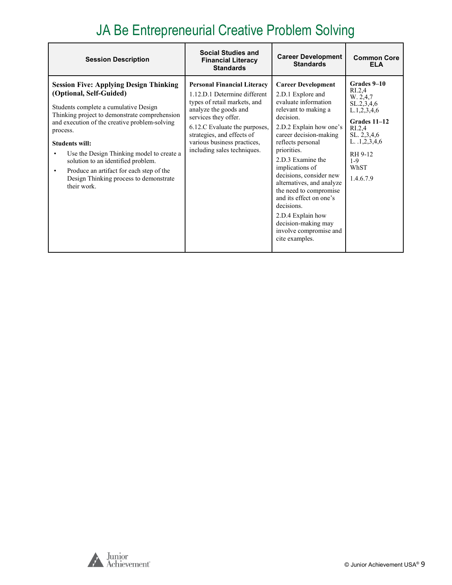# JA Be Entrepreneurial Creative Problem Solving

| <b>Session Description</b>                                                                                                                                                                                                                                                                                                                                                                                                                                    | <b>Social Studies and</b><br><b>Financial Literacy</b><br><b>Standards</b>                                                                                                                                                                                                       | <b>Career Development</b><br><b>Standards</b>                                                                                                                                                                                                                                                                                                                                                                                                                   | <b>Common Core</b><br><b>ELA</b>                                                                                                                                                                    |
|---------------------------------------------------------------------------------------------------------------------------------------------------------------------------------------------------------------------------------------------------------------------------------------------------------------------------------------------------------------------------------------------------------------------------------------------------------------|----------------------------------------------------------------------------------------------------------------------------------------------------------------------------------------------------------------------------------------------------------------------------------|-----------------------------------------------------------------------------------------------------------------------------------------------------------------------------------------------------------------------------------------------------------------------------------------------------------------------------------------------------------------------------------------------------------------------------------------------------------------|-----------------------------------------------------------------------------------------------------------------------------------------------------------------------------------------------------|
| <b>Session Five: Applying Design Thinking</b><br>(Optional, Self-Guided)<br>Students complete a cumulative Design<br>Thinking project to demonstrate comprehension<br>and execution of the creative problem-solving<br>process.<br><b>Students will:</b><br>Use the Design Thinking model to create a<br>solution to an identified problem.<br>Produce an artifact for each step of the<br>$\bullet$<br>Design Thinking process to demonstrate<br>their work. | <b>Personal Financial Literacy</b><br>1.12.D.1 Determine different<br>types of retail markets, and<br>analyze the goods and<br>services they offer.<br>6.12.C Evaluate the purposes,<br>strategies, and effects of<br>various business practices,<br>including sales techniques. | <b>Career Development</b><br>2.D.1 Explore and<br>evaluate information<br>relevant to making a<br>decision.<br>2.D.2 Explain how one's<br>career decision-making<br>reflects personal<br>priorities.<br>2.D.3 Examine the<br>implications of<br>decisions, consider new<br>alternatives, and analyze<br>the need to compromise<br>and its effect on one's<br>decisions.<br>2.D.4 Explain how<br>decision-making may<br>involve compromise and<br>cite examples. | Grades 9-10<br>R <sub>L.2,4</sub><br>W. 2,4,7<br>SL.2, 3, 4, 6<br>L.1, 2, 3, 4, 6<br>Grades 11-12<br>R <sub>L.2,4</sub><br>SL. 2,3,4,6<br>L. 1, 2, 3, 4, 6<br>RH 9-12<br>$1-9$<br>WhST<br>1.4.6.7.9 |

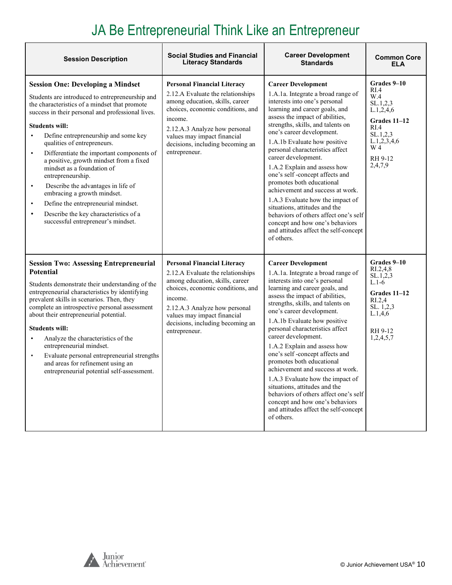# JA Be Entrepreneurial Think Like an Entrepreneur

| <b>Session Description</b>                                                                                                                                                                                                                                                                                                                                                                                                                                                                                                                                                                                                                                                                               | <b>Social Studies and Financial</b><br><b>Literacy Standards</b>                                                                                                                                                                                                                | <b>Career Development</b><br><b>Standards</b>                                                                                                                                                                                                                                                                                                                                                                                                                                                                                                                                                                                                                                | <b>Common Core</b><br><b>ELA</b>                                                                                                              |
|----------------------------------------------------------------------------------------------------------------------------------------------------------------------------------------------------------------------------------------------------------------------------------------------------------------------------------------------------------------------------------------------------------------------------------------------------------------------------------------------------------------------------------------------------------------------------------------------------------------------------------------------------------------------------------------------------------|---------------------------------------------------------------------------------------------------------------------------------------------------------------------------------------------------------------------------------------------------------------------------------|------------------------------------------------------------------------------------------------------------------------------------------------------------------------------------------------------------------------------------------------------------------------------------------------------------------------------------------------------------------------------------------------------------------------------------------------------------------------------------------------------------------------------------------------------------------------------------------------------------------------------------------------------------------------------|-----------------------------------------------------------------------------------------------------------------------------------------------|
| <b>Session One: Developing a Mindset</b><br>Students are introduced to entrepreneurship and<br>the characteristics of a mindset that promote<br>success in their personal and professional lives.<br><b>Students will:</b><br>Define entrepreneurship and some key<br>$\bullet$<br>qualities of entrepreneurs.<br>Differentiate the important components of<br>$\bullet$<br>a positive, growth mindset from a fixed<br>mindset as a foundation of<br>entrepreneurship.<br>Describe the advantages in life of<br>$\bullet$<br>embracing a growth mindset.<br>Define the entrepreneurial mindset.<br>$\bullet$<br>Describe the key characteristics of a<br>$\bullet$<br>successful entrepreneur's mindset. | <b>Personal Financial Literacy</b><br>2.12.A Evaluate the relationships<br>among education, skills, career<br>choices, economic conditions, and<br>income.<br>2.12.A.3 Analyze how personal<br>values may impact financial<br>decisions, including becoming an<br>entrepreneur. | <b>Career Development</b><br>1.A.1a. Integrate a broad range of<br>interests into one's personal<br>learning and career goals, and<br>assess the impact of abilities,<br>strengths, skills, and talents on<br>one's career development.<br>1.A.1b Evaluate how positive<br>personal characteristics affect<br>career development.<br>1.A.2 Explain and assess how<br>one's self-concept affects and<br>promotes both educational<br>achievement and success at work.<br>1.A.3 Evaluate how the impact of<br>situations, attitudes and the<br>behaviors of others affect one's self<br>concept and how one's behaviors<br>and attitudes affect the self-concept<br>of others. | Grades 9-10<br>RI.4<br>W.4<br>SL.1, 2, 3<br>L.1, 2, 4, 6<br>Grades 11-12<br>RIA<br>SL.1, 2, 3<br>L.1, 2, 3, 4, 6<br>W 4<br>RH 9-12<br>2,4,7,9 |
| <b>Session Two: Assessing Entrepreneurial</b><br>Potential<br>Students demonstrate their understanding of the<br>entrepreneurial characteristics by identifying<br>prevalent skills in scenarios. Then, they<br>complete an introspective personal assessment<br>about their entrepreneurial potential.<br><b>Students will:</b><br>Analyze the characteristics of the<br>$\bullet$<br>entrepreneurial mindset.<br>Evaluate personal entrepreneurial strengths<br>$\bullet$<br>and areas for refinement using an<br>entrepreneurial potential self-assessment.                                                                                                                                           | <b>Personal Financial Literacy</b><br>2.12.A Evaluate the relationships<br>among education, skills, career<br>choices, economic conditions, and<br>income.<br>2.12.A.3 Analyze how personal<br>values may impact financial<br>decisions, including becoming an<br>entrepreneur. | <b>Career Development</b><br>1.A.1a. Integrate a broad range of<br>interests into one's personal<br>learning and career goals, and<br>assess the impact of abilities,<br>strengths, skills, and talents on<br>one's career development.<br>1.A.1b Evaluate how positive<br>personal characteristics affect<br>career development.<br>1.A.2 Explain and assess how<br>one's self-concept affects and<br>promotes both educational<br>achievement and success at work.<br>1.A.3 Evaluate how the impact of<br>situations, attitudes and the<br>behaviors of others affect one's self<br>concept and how one's behaviors<br>and attitudes affect the self-concept<br>of others. | Grades 9-10<br>R <sub>L.2,4,8</sub><br>SL.1, 2, 3<br>$L.1-6$<br>Grades 11-12<br>RI.2,4<br>SL. 1,2,3<br>L.1,4,6<br>RH 9-12<br>1,2,4,5,7        |

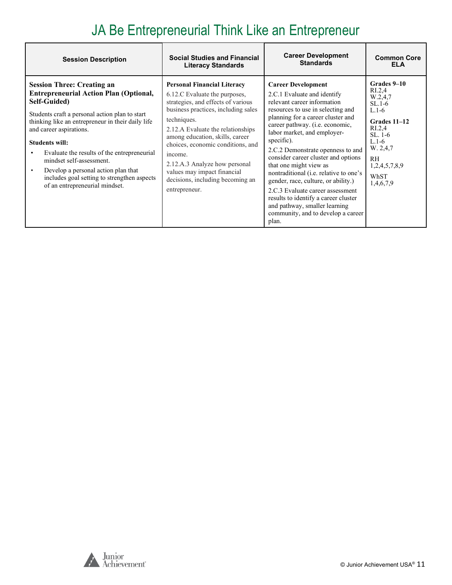## JA Be Entrepreneurial Think Like an Entrepreneur

| <b>Session Description</b>                                                                                                                                                                                                                                                                                                                                                                                                                                       | <b>Social Studies and Financial</b>                                                                                                                                                                                                                                                                                                                                                                          | <b>Career Development</b>                                                                                                                                                                                                                                                                                                                                                                                                                                                                                                                                                                            | <b>Common Core</b>                                                                                                                                                                              |
|------------------------------------------------------------------------------------------------------------------------------------------------------------------------------------------------------------------------------------------------------------------------------------------------------------------------------------------------------------------------------------------------------------------------------------------------------------------|--------------------------------------------------------------------------------------------------------------------------------------------------------------------------------------------------------------------------------------------------------------------------------------------------------------------------------------------------------------------------------------------------------------|------------------------------------------------------------------------------------------------------------------------------------------------------------------------------------------------------------------------------------------------------------------------------------------------------------------------------------------------------------------------------------------------------------------------------------------------------------------------------------------------------------------------------------------------------------------------------------------------------|-------------------------------------------------------------------------------------------------------------------------------------------------------------------------------------------------|
|                                                                                                                                                                                                                                                                                                                                                                                                                                                                  | <b>Literacy Standards</b>                                                                                                                                                                                                                                                                                                                                                                                    | <b>Standards</b>                                                                                                                                                                                                                                                                                                                                                                                                                                                                                                                                                                                     | <b>ELA</b>                                                                                                                                                                                      |
| <b>Session Three: Creating an</b><br><b>Entrepreneurial Action Plan (Optional,</b><br>Self-Guided)<br>Students craft a personal action plan to start<br>thinking like an entrepreneur in their daily life<br>and career aspirations.<br><b>Students will:</b><br>Evaluate the results of the entrepreneurial<br>mindset self-assessment.<br>Develop a personal action plan that<br>includes goal setting to strengthen aspects<br>of an entrepreneurial mindset. | <b>Personal Financial Literacy</b><br>6.12.C Evaluate the purposes,<br>strategies, and effects of various<br>business practices, including sales<br>techniques.<br>2.12.A Evaluate the relationships<br>among education, skills, career<br>choices, economic conditions, and<br>income.<br>2.12.A.3 Analyze how personal<br>values may impact financial<br>decisions, including becoming an<br>entrepreneur. | <b>Career Development</b><br>2.C.1 Evaluate and identify<br>relevant career information<br>resources to use in selecting and<br>planning for a career cluster and<br>career pathway. (i.e. economic,<br>labor market, and employer-<br>specific).<br>2.C.2 Demonstrate openness to and<br>consider career cluster and options<br>that one might view as<br>nontraditional (i.e. relative to one's<br>gender, race, culture, or ability.)<br>2.C.3 Evaluate career assessment<br>results to identify a career cluster<br>and pathway, smaller learning<br>community, and to develop a career<br>plan. | Grades 9-10<br>R <sub>L.2,4</sub><br>W.2,4,7<br>$SL.1-6$<br>$L.1-6$<br>Grades 11-12<br>R <sub>L.2,4</sub><br>$SL.1-6$<br>$L.1-6$<br>W. 2,4,7<br><b>RH</b><br>1,2,4,5,7,8,9<br>WhST<br>1,4,6,7,9 |

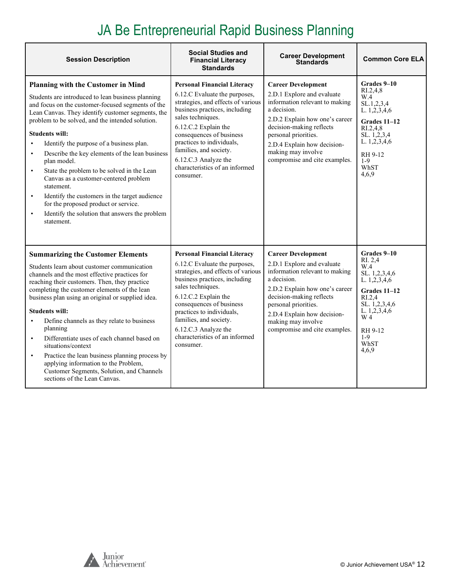# JA Be Entrepreneurial Rapid Business Planning

| <b>Session Description</b>                                                                                                                                                                                                                                                                                                                                                                                                                                                                                                                                                                                                                                                    | <b>Social Studies and</b><br><b>Financial Literacy</b><br><b>Standards</b>                                                                                                                                                                                                                                                                        | <b>Career Development</b><br><b>Standards</b>                                                                                                                                                                                                                                        | <b>Common Core ELA</b>                                                                                                                                                           |
|-------------------------------------------------------------------------------------------------------------------------------------------------------------------------------------------------------------------------------------------------------------------------------------------------------------------------------------------------------------------------------------------------------------------------------------------------------------------------------------------------------------------------------------------------------------------------------------------------------------------------------------------------------------------------------|---------------------------------------------------------------------------------------------------------------------------------------------------------------------------------------------------------------------------------------------------------------------------------------------------------------------------------------------------|--------------------------------------------------------------------------------------------------------------------------------------------------------------------------------------------------------------------------------------------------------------------------------------|----------------------------------------------------------------------------------------------------------------------------------------------------------------------------------|
| <b>Planning with the Customer in Mind</b><br>Students are introduced to lean business planning<br>and focus on the customer-focused segments of the<br>Lean Canvas. They identify customer segments, the<br>problem to be solved, and the intended solution.<br><b>Students will:</b><br>Identify the purpose of a business plan.<br>Describe the key elements of the lean business<br>plan model.<br>State the problem to be solved in the Lean<br>Canvas as a customer-centered problem<br>statement.<br>Identify the customers in the target audience<br>for the proposed product or service.<br>Identify the solution that answers the problem<br>$\bullet$<br>statement. | <b>Personal Financial Literacy</b><br>6.12.C Evaluate the purposes,<br>strategies, and effects of various<br>business practices, including<br>sales techniques.<br>6.12.C.2 Explain the<br>consequences of business<br>practices to individuals,<br>families, and society.<br>6.12.C.3 Analyze the<br>characteristics of an informed<br>consumer. | <b>Career Development</b><br>2.D.1 Explore and evaluate<br>information relevant to making<br>a decision.<br>2.D.2 Explain how one's career<br>decision-making reflects<br>personal priorities.<br>2.D.4 Explain how decision-<br>making may involve<br>compromise and cite examples. | Grades 9-10<br>$R_{1.2,4,8}$<br>W.4<br>SL.1, 2, 3, 4<br>L. $1, 2, 3, 4, 6$<br>Grades 11-12<br>RI.2.4.8<br>SL. 1,2,3,4<br>L. $1, 2, 3, 4, 6$<br>RH 9-12<br>$1-9$<br>WhST<br>4.6.9 |
| <b>Summarizing the Customer Elements</b><br>Students learn about customer communication<br>channels and the most effective practices for<br>reaching their customers. Then, they practice<br>completing the customer elements of the lean<br>business plan using an original or supplied idea.<br><b>Students will:</b><br>Define channels as they relate to business<br>planning<br>Differentiate uses of each channel based on<br>situations/context<br>Practice the lean business planning process by<br>$\bullet$<br>applying information to the Problem,<br>Customer Segments, Solution, and Channels<br>sections of the Lean Canvas.                                    | <b>Personal Financial Literacy</b><br>6.12.C Evaluate the purposes,<br>strategies, and effects of various<br>business practices, including<br>sales techniques.<br>6.12.C.2 Explain the<br>consequences of business<br>practices to individuals,<br>families, and society.<br>6.12.C.3 Analyze the<br>characteristics of an informed<br>consumer. | <b>Career Development</b><br>2.D.1 Explore and evaluate<br>information relevant to making<br>a decision.<br>2.D.2 Explain how one's career<br>decision-making reflects<br>personal priorities.<br>2.D.4 Explain how decision-<br>making may involve<br>compromise and cite examples. | Grades 9-10<br>RI. 2,4<br>W.4<br>SL. 1,2,3,4,6<br>L. 1,2,3,4,6<br>$Grades$ 11-12<br>RI.2.4<br>SL. 1,2,3,4,6<br>L. 1,2,3,4,6<br>W 4<br>RH 9-12<br>$1-9$<br>WhST<br>4.6.9          |

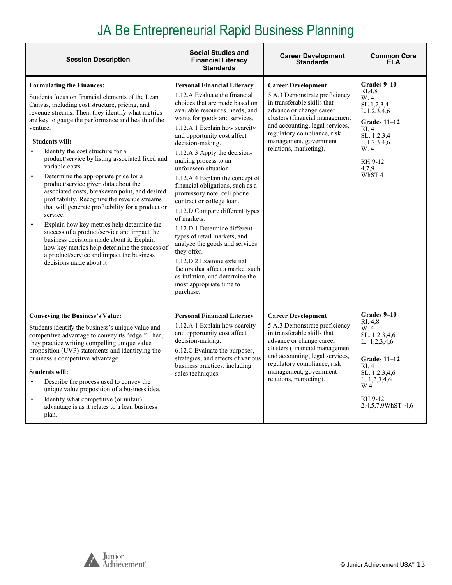# JA Be Entrepreneurial Rapid Business Planning

| <b>Session Description</b>                                                                                                                                                                                                                                                                                                                                                                                                                                                                                                                                                                                                                                                                                                                                                                                                                                                                                                            | <b>Social Studies and</b><br><b>Financial Literacy</b><br><b>Standards</b>                                                                                                                                                                                                                                                                                                                                                                                                                                                                                                                                                                                                                                                                                                                        | <b>Career Development</b><br><b>Standards</b>                                                                                                                                                                                                                                 | <b>Common Core</b><br>ELA                                                                                                                                            |
|---------------------------------------------------------------------------------------------------------------------------------------------------------------------------------------------------------------------------------------------------------------------------------------------------------------------------------------------------------------------------------------------------------------------------------------------------------------------------------------------------------------------------------------------------------------------------------------------------------------------------------------------------------------------------------------------------------------------------------------------------------------------------------------------------------------------------------------------------------------------------------------------------------------------------------------|---------------------------------------------------------------------------------------------------------------------------------------------------------------------------------------------------------------------------------------------------------------------------------------------------------------------------------------------------------------------------------------------------------------------------------------------------------------------------------------------------------------------------------------------------------------------------------------------------------------------------------------------------------------------------------------------------------------------------------------------------------------------------------------------------|-------------------------------------------------------------------------------------------------------------------------------------------------------------------------------------------------------------------------------------------------------------------------------|----------------------------------------------------------------------------------------------------------------------------------------------------------------------|
| <b>Formulating the Finances:</b><br>Students focus on financial elements of the Lean<br>Canvas, including cost structure, pricing, and<br>revenue streams. Then, they identify what metrics<br>are key to gauge the performance and health of the<br>venture.<br><b>Students will:</b><br>Identify the cost structure for a<br>product/service by listing associated fixed and<br>variable costs.<br>Determine the appropriate price for a<br>product/service given data about the<br>associated costs, breakeven point, and desired<br>profitability. Recognize the revenue streams<br>that will generate profitability for a product or<br>service.<br>Explain how key metrics help determine the<br>$\bullet$<br>success of a product/service and impact the<br>business decisions made about it. Explain<br>how key metrics help determine the success of<br>a product/service and impact the business<br>decisions made about it | <b>Personal Financial Literacy</b><br>1.12.A Evaluate the financial<br>choices that are made based on<br>available resources, needs, and<br>wants for goods and services.<br>1.12.A.1 Explain how scarcity<br>and opportunity cost affect<br>decision-making.<br>1.12.A.3 Apply the decision-<br>making process to an<br>unforeseen situation.<br>1.12.A.4 Explain the concept of<br>financial obligations, such as a<br>promissory note, cell phone<br>contract or college loan.<br>1.12.D Compare different types<br>of markets.<br>1.12.D.1 Determine different<br>types of retail markets, and<br>analyze the goods and services<br>they offer.<br>1.12.D.2 Examine external<br>factors that affect a market such<br>as inflation, and determine the<br>most appropriate time to<br>purchase. | <b>Career Development</b><br>5.A.3 Demonstrate proficiency<br>in transferable skills that<br>advance or change career<br>clusters (financial management<br>and accounting, legal services,<br>regulatory compliance, risk<br>management, government<br>relations, marketing). | Grades 9-10<br>RI.4.8<br>W.4<br>SL.1,2,3,4<br>L.1, 2, 3, 4, 6<br>Grades 11-12<br>RI.4<br>SL. 1,2,3,4<br>L.1, 2, 3, 4, 6<br>W. 4<br>RH 9-12<br>4,7,9<br>WhST4         |
| <b>Conveying the Business's Value:</b><br>Students identify the business's unique value and<br>competitive advantage to convey its "edge." Then,<br>they practice writing compelling unique value<br>proposition (UVP) statements and identifying the<br>business's competitive advantage.<br><b>Students will:</b><br>Describe the process used to convey the<br>unique value proposition of a business idea.<br>Identify what competitive (or unfair)<br>$\bullet$<br>advantage is as it relates to a lean business<br>plan.                                                                                                                                                                                                                                                                                                                                                                                                        | <b>Personal Financial Literacy</b><br>1.12.A.1 Explain how scarcity<br>and opportunity cost affect<br>decision-making.<br>6.12.C Evaluate the purposes,<br>strategies, and effects of various<br>business practices, including<br>sales techniques.                                                                                                                                                                                                                                                                                                                                                                                                                                                                                                                                               | <b>Career Development</b><br>5.A.3 Demonstrate proficiency<br>in transferable skills that<br>advance or change career<br>clusters (financial management<br>and accounting, legal services,<br>regulatory compliance, risk<br>management, government<br>relations, marketing). | Grades 9-10<br>RI. 4.8<br>W.4<br>SL. 1,2,3,4,6<br>L. 1,2,3,4,6<br>Grades 11-12<br>RI.4<br>SL. 1,2,3,4,6<br>L. $1, 2, 3, 4, 6$<br>W 4<br>RH 9-12<br>2,4,5,7,9WhST 4,6 |

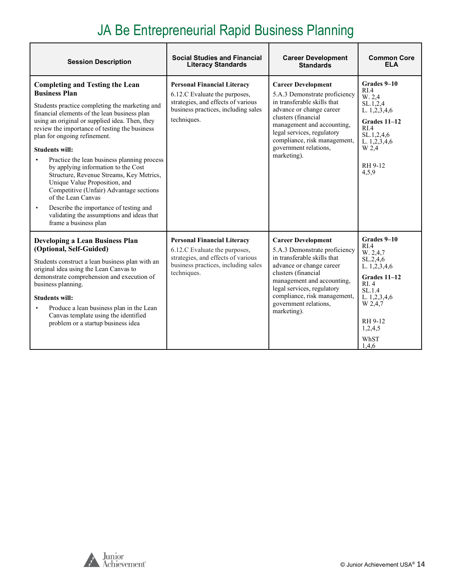# JA Be Entrepreneurial Rapid Business Planning

| <b>Session Description</b>                                                                                                                                                                                                                                                                                                                                                                                                                                                                                                                                                                                                                                                                                 | <b>Social Studies and Financial</b><br><b>Literacy Standards</b>                                                                                                | <b>Career Development</b><br><b>Standards</b>                                                                                                                                                                                                                                    | <b>Common Core</b><br><b>FLA</b>                                                                                                                                      |
|------------------------------------------------------------------------------------------------------------------------------------------------------------------------------------------------------------------------------------------------------------------------------------------------------------------------------------------------------------------------------------------------------------------------------------------------------------------------------------------------------------------------------------------------------------------------------------------------------------------------------------------------------------------------------------------------------------|-----------------------------------------------------------------------------------------------------------------------------------------------------------------|----------------------------------------------------------------------------------------------------------------------------------------------------------------------------------------------------------------------------------------------------------------------------------|-----------------------------------------------------------------------------------------------------------------------------------------------------------------------|
| <b>Completing and Testing the Lean</b><br><b>Business Plan</b><br>Students practice completing the marketing and<br>financial elements of the lean business plan<br>using an original or supplied idea. Then, they<br>review the importance of testing the business<br>plan for ongoing refinement.<br><b>Students will:</b><br>Practice the lean business planning process<br>$\bullet$<br>by applying information to the Cost<br>Structure, Revenue Streams, Key Metrics,<br>Unique Value Proposition, and<br>Competitive (Unfair) Advantage sections<br>of the Lean Canvas<br>Describe the importance of testing and<br>$\bullet$<br>validating the assumptions and ideas that<br>frame a business plan | <b>Personal Financial Literacy</b><br>6.12.C Evaluate the purposes,<br>strategies, and effects of various<br>business practices, including sales<br>techniques. | <b>Career Development</b><br>5.A.3 Demonstrate proficiency<br>in transferable skills that<br>advance or change career<br>clusters (financial<br>management and accounting,<br>legal services, regulatory<br>compliance, risk management,<br>government relations,<br>marketing). | Grades 9–10<br>RIA<br>W. 2,4<br>SL.1,2,4<br>L. $1, 2, 3, 4, 6$<br>Grades 11-12<br>RI.4<br>SL.1,2,4,6<br>L. $1, 2, 3, 4, 6$<br>W 2,4<br>RH 9-12<br>4,5,9               |
| <b>Developing a Lean Business Plan</b><br>(Optional, Self-Guided)<br>Students construct a lean business plan with an<br>original idea using the Lean Canvas to<br>demonstrate comprehension and execution of<br>business planning.<br><b>Students will:</b><br>Produce a lean business plan in the Lean<br>$\bullet$<br>Canvas template using the identified<br>problem or a startup business idea                                                                                                                                                                                                                                                                                                         | <b>Personal Financial Literacy</b><br>6.12.C Evaluate the purposes,<br>strategies, and effects of various<br>business practices, including sales<br>techniques. | <b>Career Development</b><br>5.A.3 Demonstrate proficiency<br>in transferable skills that<br>advance or change career<br>clusters (financial<br>management and accounting,<br>legal services, regulatory<br>compliance, risk management,<br>government relations,<br>marketing). | Grades 9–10<br>RI.4<br>W. 2,4,7<br>SL.2,4,6<br>L. $1, 2, 3, 4, 6$<br>Grades 11-12<br>RI.4<br>SL.1.4<br>L. 1,2,3,4,6<br>W 2,4,7<br>RH 9-12<br>1,2,4,5<br>WhST<br>1.4.6 |

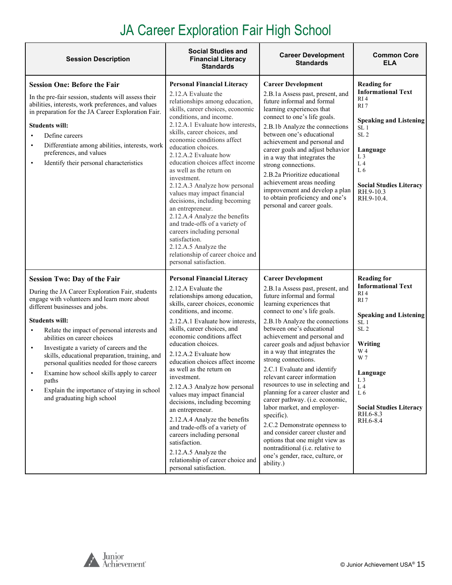# JA Career Exploration Fair High School

<span id="page-14-0"></span>

| <b>Session Description</b>                                                                                                                                                                                                                                                                                                                                                                                                                                                                                                                                                               | <b>Social Studies and</b><br><b>Financial Literacy</b><br><b>Standards</b>                                                                                                                                                                                                                                                                                                                                                                                                                                                                                                                                                                                                                                             | <b>Career Development</b><br><b>Standards</b>                                                                                                                                                                                                                                                                                                                                                                                                                                                                                                                                                                                                                                                                                                                        | <b>Common Core</b><br><b>ELA</b>                                                                                                                                                                                                                                                                      |
|------------------------------------------------------------------------------------------------------------------------------------------------------------------------------------------------------------------------------------------------------------------------------------------------------------------------------------------------------------------------------------------------------------------------------------------------------------------------------------------------------------------------------------------------------------------------------------------|------------------------------------------------------------------------------------------------------------------------------------------------------------------------------------------------------------------------------------------------------------------------------------------------------------------------------------------------------------------------------------------------------------------------------------------------------------------------------------------------------------------------------------------------------------------------------------------------------------------------------------------------------------------------------------------------------------------------|----------------------------------------------------------------------------------------------------------------------------------------------------------------------------------------------------------------------------------------------------------------------------------------------------------------------------------------------------------------------------------------------------------------------------------------------------------------------------------------------------------------------------------------------------------------------------------------------------------------------------------------------------------------------------------------------------------------------------------------------------------------------|-------------------------------------------------------------------------------------------------------------------------------------------------------------------------------------------------------------------------------------------------------------------------------------------------------|
| <b>Session One: Before the Fair</b><br>In the pre-fair session, students will assess their<br>abilities, interests, work preferences, and values<br>in preparation for the JA Career Exploration Fair.<br><b>Students will:</b><br>Define careers<br>Differentiate among abilities, interests, work<br>$\bullet$<br>preferences, and values<br>Identify their personal characteristics<br>$\bullet$                                                                                                                                                                                      | <b>Personal Financial Literacy</b><br>2.12.A Evaluate the<br>relationships among education,<br>skills, career choices, economic<br>conditions, and income.<br>2.12.A.1 Evaluate how interests.<br>skills, career choices, and<br>economic conditions affect<br>education choices.<br>2.12.A.2 Evaluate how<br>education choices affect income<br>as well as the return on<br>investment.<br>2.12.A.3 Analyze how personal<br>values may impact financial<br>decisions, including becoming<br>an entrepreneur.<br>2.12.A.4 Analyze the benefits<br>and trade-offs of a variety of<br>careers including personal<br>satisfaction.<br>2.12.A.5 Analyze the<br>relationship of career choice and<br>personal satisfaction. | <b>Career Development</b><br>2.B.1a Assess past, present, and<br>future informal and formal<br>learning experiences that<br>connect to one's life goals.<br>2.B.1b Analyze the connections<br>between one's educational<br>achievement and personal and<br>career goals and adjust behavior<br>in a way that integrates the<br>strong connections.<br>2.B.2a Prioritize educational<br>achievement areas needing<br>improvement and develop a plan<br>to obtain proficiency and one's<br>personal and career goals.                                                                                                                                                                                                                                                  | <b>Reading for</b><br><b>Informational Text</b><br>RI4<br>RI <sub>7</sub><br><b>Speaking and Listening</b><br>SL <sub>1</sub><br>SL <sub>2</sub><br>Language<br>L <sub>3</sub><br>L <sub>4</sub><br>L6<br><b>Social Studies Literacy</b><br>RH.9-10.3<br>RH.9-10.4.                                   |
| <b>Session Two: Day of the Fair</b><br>During the JA Career Exploration Fair, students<br>engage with volunteers and learn more about<br>different businesses and jobs.<br><b>Students will:</b><br>Relate the impact of personal interests and<br>$\bullet$<br>abilities on career choices<br>Investigate a variety of careers and the<br>$\bullet$<br>skills, educational preparation, training, and<br>personal qualities needed for those careers<br>Examine how school skills apply to career<br>paths<br>Explain the importance of staying in school<br>and graduating high school | <b>Personal Financial Literacy</b><br>2.12.A Evaluate the<br>relationships among education,<br>skills, career choices, economic<br>conditions, and income.<br>2.12.A.1 Evaluate how interests,<br>skills, career choices, and<br>economic conditions affect<br>education choices.<br>2.12.A.2 Evaluate how<br>education choices affect income<br>as well as the return on<br>investment.<br>2.12.A.3 Analyze how personal<br>values may impact financial<br>decisions, including becoming<br>an entrepreneur.<br>2.12.A.4 Analyze the benefits<br>and trade-offs of a variety of<br>careers including personal<br>satisfaction.<br>2.12.A.5 Analyze the<br>relationship of career choice and<br>personal satisfaction. | <b>Career Development</b><br>2.B.1a Assess past, present, and<br>future informal and formal<br>learning experiences that<br>connect to one's life goals.<br>2.B.1b Analyze the connections<br>between one's educational<br>achievement and personal and<br>career goals and adjust behavior<br>in a way that integrates the<br>strong connections.<br>2.C.1 Evaluate and identify<br>relevant career information<br>resources to use in selecting and<br>planning for a career cluster and<br>career pathway. (i.e. economic,<br>labor market, and employer-<br>specific).<br>2.C.2 Demonstrate openness to<br>and consider career cluster and<br>options that one might view as<br>nontraditional (i.e. relative to<br>one's gender, race, culture, or<br>ability.) | <b>Reading for</b><br><b>Informational Text</b><br>RI <sub>4</sub><br>RI <sub>7</sub><br><b>Speaking and Listening</b><br>SL <sub>1</sub><br>SL <sub>2</sub><br>Writing<br>W 4<br>W 7<br>Language<br>L <sub>3</sub><br>L <sub>4</sub><br>L6<br><b>Social Studies Literacy</b><br>RH.6-8.3<br>RH.6-8.4 |

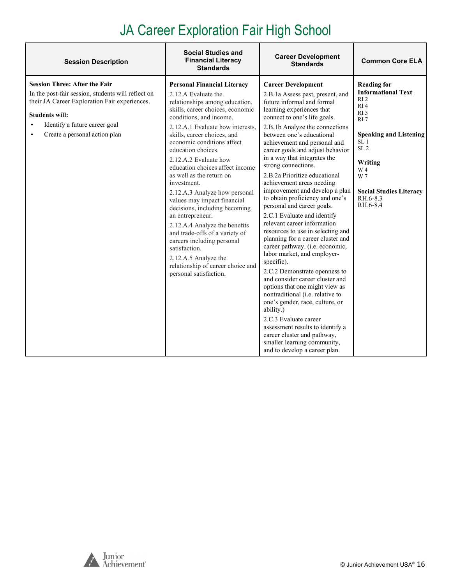# JA Career Exploration Fair High School

| <b>Session Description</b>                                                                                                                                                                                                             | <b>Social Studies and</b><br><b>Financial Literacy</b><br><b>Standards</b>                                                                                                                                                                                                                                                                                                                                                                                                                                                                                                                                                                                                                                             | <b>Career Development</b><br><b>Standards</b>                                                                                                                                                                                                                                                                                                                                                                                                                                                                                                                                                                                                                                                                                                                                                                                                                                                                                                                                                                                                                                                     | <b>Common Core ELA</b>                                                                                                                                                                                                                                                    |
|----------------------------------------------------------------------------------------------------------------------------------------------------------------------------------------------------------------------------------------|------------------------------------------------------------------------------------------------------------------------------------------------------------------------------------------------------------------------------------------------------------------------------------------------------------------------------------------------------------------------------------------------------------------------------------------------------------------------------------------------------------------------------------------------------------------------------------------------------------------------------------------------------------------------------------------------------------------------|---------------------------------------------------------------------------------------------------------------------------------------------------------------------------------------------------------------------------------------------------------------------------------------------------------------------------------------------------------------------------------------------------------------------------------------------------------------------------------------------------------------------------------------------------------------------------------------------------------------------------------------------------------------------------------------------------------------------------------------------------------------------------------------------------------------------------------------------------------------------------------------------------------------------------------------------------------------------------------------------------------------------------------------------------------------------------------------------------|---------------------------------------------------------------------------------------------------------------------------------------------------------------------------------------------------------------------------------------------------------------------------|
| <b>Session Three: After the Fair</b><br>In the post-fair session, students will reflect on<br>their JA Career Exploration Fair experiences.<br><b>Students will:</b><br>Identify a future career goal<br>Create a personal action plan | <b>Personal Financial Literacy</b><br>2.12.A Evaluate the<br>relationships among education,<br>skills, career choices, economic<br>conditions, and income.<br>2.12.A.1 Evaluate how interests.<br>skills, career choices, and<br>economic conditions affect<br>education choices.<br>2.12.A.2 Evaluate how<br>education choices affect income<br>as well as the return on<br>investment.<br>2.12.A.3 Analyze how personal<br>values may impact financial<br>decisions, including becoming<br>an entrepreneur.<br>2.12.A.4 Analyze the benefits<br>and trade-offs of a variety of<br>careers including personal<br>satisfaction.<br>2.12.A.5 Analyze the<br>relationship of career choice and<br>personal satisfaction. | <b>Career Development</b><br>2.B.1a Assess past, present, and<br>future informal and formal<br>learning experiences that<br>connect to one's life goals.<br>2.B.1b Analyze the connections<br>between one's educational<br>achievement and personal and<br>career goals and adjust behavior<br>in a way that integrates the<br>strong connections.<br>2.B.2a Prioritize educational<br>achievement areas needing<br>improvement and develop a plan<br>to obtain proficiency and one's<br>personal and career goals.<br>2.C.1 Evaluate and identify<br>relevant career information<br>resources to use in selecting and<br>planning for a career cluster and<br>career pathway. (i.e. economic,<br>labor market, and employer-<br>specific).<br>2.C.2 Demonstrate openness to<br>and consider career cluster and<br>options that one might view as<br>nontraditional (i.e. relative to<br>one's gender, race, culture, or<br>ability.)<br>2.C.3 Evaluate career<br>assessment results to identify a<br>career cluster and pathway,<br>smaller learning community,<br>and to develop a career plan. | <b>Reading for</b><br><b>Informational Text</b><br>R12<br>RI <sub>4</sub><br>RI <sub>5</sub><br>RI <sub>7</sub><br><b>Speaking and Listening</b><br>SL <sub>1</sub><br>SL <sub>2</sub><br>Writing<br>W 4<br>W 7<br><b>Social Studies Literacy</b><br>RH.6-8.3<br>RH.6-8.4 |

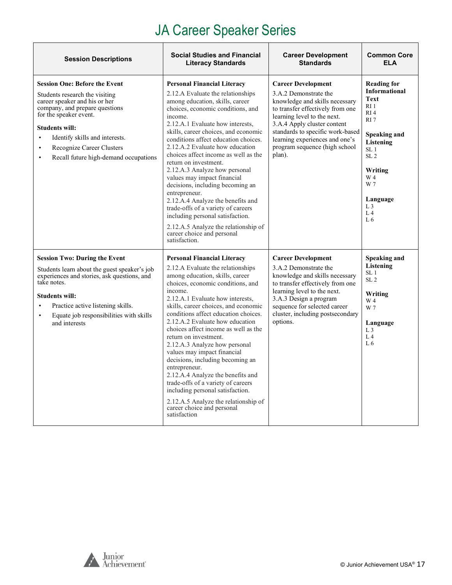# JA Career Speaker Series

| <b>Session Descriptions</b>                                                                                                                                                                                                                                                                                                                 | <b>Social Studies and Financial</b><br><b>Literacy Standards</b>                                                                                                                                                                                                                                                                                                                                                                                                                                                                                                                                                                                                                                              | <b>Career Development</b><br><b>Standards</b>                                                                                                                                                                                                                                                           | <b>Common Core</b><br><b>ELA</b>                                                                                                                                                                                                                                                   |
|---------------------------------------------------------------------------------------------------------------------------------------------------------------------------------------------------------------------------------------------------------------------------------------------------------------------------------------------|---------------------------------------------------------------------------------------------------------------------------------------------------------------------------------------------------------------------------------------------------------------------------------------------------------------------------------------------------------------------------------------------------------------------------------------------------------------------------------------------------------------------------------------------------------------------------------------------------------------------------------------------------------------------------------------------------------------|---------------------------------------------------------------------------------------------------------------------------------------------------------------------------------------------------------------------------------------------------------------------------------------------------------|------------------------------------------------------------------------------------------------------------------------------------------------------------------------------------------------------------------------------------------------------------------------------------|
| <b>Session One: Before the Event</b><br>Students research the visiting<br>career speaker and his or her<br>company, and prepare questions<br>for the speaker event.<br><b>Students will:</b><br>Identify skills and interests.<br>$\bullet$<br>Recognize Career Clusters<br>$\bullet$<br>Recall future high-demand occupations<br>$\bullet$ | <b>Personal Financial Literacy</b><br>2.12.A Evaluate the relationships<br>among education, skills, career<br>choices, economic conditions, and<br>income.<br>2.12.A.1 Evaluate how interests,<br>skills, career choices, and economic<br>conditions affect education choices.<br>2.12.A.2 Evaluate how education<br>choices affect income as well as the<br>return on investment.<br>2.12.A.3 Analyze how personal<br>values may impact financial<br>decisions, including becoming an<br>entrepreneur.<br>2.12.A.4 Analyze the benefits and<br>trade-offs of a variety of careers<br>including personal satisfaction.<br>2.12.A.5 Analyze the relationship of<br>career choice and personal<br>satisfaction. | <b>Career Development</b><br>3.A.2 Demonstrate the<br>knowledge and skills necessary<br>to transfer effectively from one<br>learning level to the next.<br>3.A.4 Apply cluster content<br>standards to specific work-based<br>learning experiences and one's<br>program sequence (high school<br>plan). | <b>Reading for</b><br><b>Informational</b><br><b>Text</b><br>RI <sub>1</sub><br>RI4<br>RI <sub>7</sub><br><b>Speaking and</b><br><b>Listening</b><br>SL <sub>1</sub><br>SL <sub>2</sub><br>Writing<br>W 4<br>W 7<br>Language<br>L <sub>3</sub><br>L <sub>4</sub><br>L <sub>6</sub> |
| <b>Session Two: During the Event</b><br>Students learn about the guest speaker's job<br>experiences and stories, ask questions, and<br>take notes.<br><b>Students will:</b><br>Practice active listening skills.<br>$\bullet$<br>Equate job responsibilities with skills<br>$\bullet$<br>and interests                                      | <b>Personal Financial Literacy</b><br>2.12.A Evaluate the relationships<br>among education, skills, career<br>choices, economic conditions, and<br>income.<br>2.12.A.1 Evaluate how interests,<br>skills, career choices, and economic<br>conditions affect education choices.<br>2.12.A.2 Evaluate how education<br>choices affect income as well as the<br>return on investment.<br>2.12.A.3 Analyze how personal<br>values may impact financial<br>decisions, including becoming an<br>entrepreneur.<br>2.12.A.4 Analyze the benefits and<br>trade-offs of a variety of careers<br>including personal satisfaction.<br>2.12.A.5 Analyze the relationship of<br>career choice and personal<br>satisfaction  | <b>Career Development</b><br>3.A.2 Demonstrate the<br>knowledge and skills necessary<br>to transfer effectively from one<br>learning level to the next.<br>3.A.3 Design a program<br>sequence for selected career<br>cluster, including postsecondary<br>options.                                       | Speaking and<br>Listening<br>SL <sub>1</sub><br>SL <sub>2</sub><br>Writing<br>W 4<br>W 7<br>Language<br>L <sub>3</sub><br>L <sub>4</sub><br>L <sub>6</sub>                                                                                                                         |



 $\overline{1}$ 

h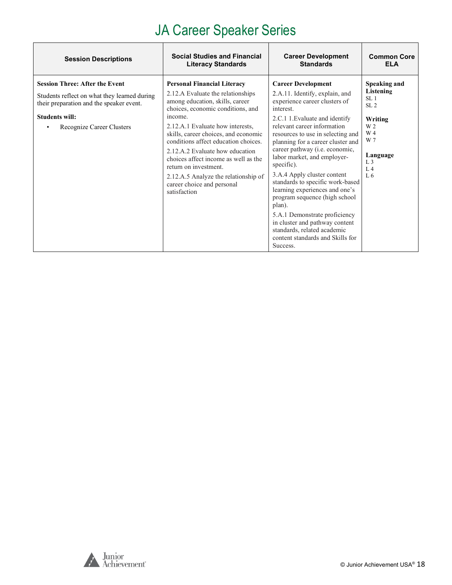# JA Career Speaker Series

| <b>Session Descriptions</b>                                                                                                                                                             | <b>Social Studies and Financial</b>                                                                                                                                                                                                                                                                                                                                                                                                                                      | <b>Career Development</b>                                                                                                                                                                                                                                                                                                                                                                                                                                                                                                                                                                                                             | <b>Common Core</b>                                                                                                                                                |
|-----------------------------------------------------------------------------------------------------------------------------------------------------------------------------------------|--------------------------------------------------------------------------------------------------------------------------------------------------------------------------------------------------------------------------------------------------------------------------------------------------------------------------------------------------------------------------------------------------------------------------------------------------------------------------|---------------------------------------------------------------------------------------------------------------------------------------------------------------------------------------------------------------------------------------------------------------------------------------------------------------------------------------------------------------------------------------------------------------------------------------------------------------------------------------------------------------------------------------------------------------------------------------------------------------------------------------|-------------------------------------------------------------------------------------------------------------------------------------------------------------------|
|                                                                                                                                                                                         | <b>Literacy Standards</b>                                                                                                                                                                                                                                                                                                                                                                                                                                                | <b>Standards</b>                                                                                                                                                                                                                                                                                                                                                                                                                                                                                                                                                                                                                      | <b>ELA</b>                                                                                                                                                        |
| <b>Session Three: After the Event</b><br>Students reflect on what they learned during<br>their preparation and the speaker event.<br><b>Students will:</b><br>Recognize Career Clusters | <b>Personal Financial Literacy</b><br>2.12.A Evaluate the relationships<br>among education, skills, career<br>choices, economic conditions, and<br>income.<br>2.12.A.1 Evaluate how interests,<br>skills, career choices, and economic<br>conditions affect education choices.<br>2.12.A.2 Evaluate how education<br>choices affect income as well as the<br>return on investment.<br>2.12.A.5 Analyze the relationship of<br>career choice and personal<br>satisfaction | <b>Career Development</b><br>2.A.11. Identify, explain, and<br>experience career clusters of<br>interest.<br>2.C.1 1. Evaluate and identify<br>relevant career information<br>resources to use in selecting and<br>planning for a career cluster and<br>career pathway (i.e. economic,<br>labor market, and employer-<br>specific).<br>3.A.4 Apply cluster content<br>standards to specific work-based<br>learning experiences and one's<br>program sequence (high school<br>plan).<br>5.A.1 Demonstrate proficiency<br>in cluster and pathway content<br>standards, related academic<br>content standards and Skills for<br>Success. | Speaking and<br>Listening<br>SL <sub>1</sub><br>SL <sub>2</sub><br>Writing<br>W 2<br>W 4<br>W 7<br>Language<br>L <sub>3</sub><br>L <sub>4</sub><br>L <sub>6</sub> |

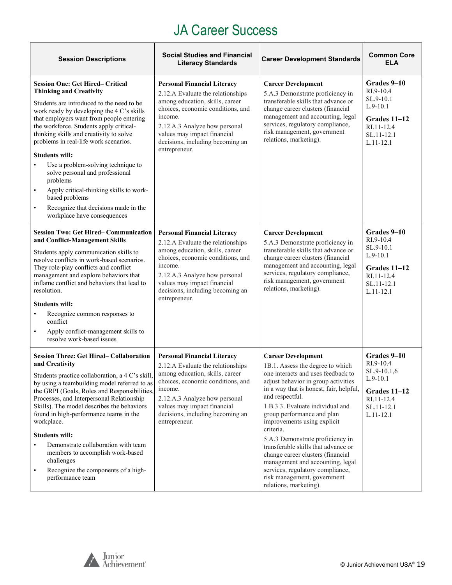<span id="page-18-0"></span>

| <b>Session Descriptions</b>                                                                                                                                                                                                                                                                                                                                                                                                                                                                                                                                                                                                | <b>Social Studies and Financial</b><br><b>Literacy Standards</b>                                                                                                                                                                                                                | <b>Career Development Standards</b>                                                                                                                                                                                                                                                                                                                                                                                                                                                                                                                                     | <b>Common Core</b><br><b>ELA</b>                                                                                 |
|----------------------------------------------------------------------------------------------------------------------------------------------------------------------------------------------------------------------------------------------------------------------------------------------------------------------------------------------------------------------------------------------------------------------------------------------------------------------------------------------------------------------------------------------------------------------------------------------------------------------------|---------------------------------------------------------------------------------------------------------------------------------------------------------------------------------------------------------------------------------------------------------------------------------|-------------------------------------------------------------------------------------------------------------------------------------------------------------------------------------------------------------------------------------------------------------------------------------------------------------------------------------------------------------------------------------------------------------------------------------------------------------------------------------------------------------------------------------------------------------------------|------------------------------------------------------------------------------------------------------------------|
| <b>Session One: Get Hired– Critical</b><br><b>Thinking and Creativity</b><br>Students are introduced to the need to be<br>work ready by developing the 4 C's skills<br>that employers want from people entering<br>the workforce. Students apply critical-<br>thinking skills and creativity to solve<br>problems in real-life work scenarios.<br><b>Students will:</b><br>Use a problem-solving technique to<br>solve personal and professional<br>problems<br>Apply critical-thinking skills to work-<br>$\bullet$<br>based problems<br>Recognize that decisions made in the<br>$\bullet$<br>workplace have consequences | <b>Personal Financial Literacy</b><br>2.12.A Evaluate the relationships<br>among education, skills, career<br>choices, economic conditions, and<br>income.<br>2.12.A.3 Analyze how personal<br>values may impact financial<br>decisions, including becoming an<br>entrepreneur. | <b>Career Development</b><br>5.A.3 Demonstrate proficiency in<br>transferable skills that advance or<br>change career clusters (financial<br>management and accounting, legal<br>services, regulatory compliance,<br>risk management, government<br>relations, marketing).                                                                                                                                                                                                                                                                                              | Grades 9-10<br>RI.9-10.4<br>SL.9-10.1<br>$L.9-10.1$<br>Grades $11-12$<br>RI.11-12.4<br>SL.11-12.1<br>$L.11-12.1$ |
| <b>Session Two: Get Hired-Communication</b><br>and Conflict-Management Skills<br>Students apply communication skills to<br>resolve conflicts in work-based scenarios.<br>They role-play conflicts and conflict<br>management and explore behaviors that<br>inflame conflict and behaviors that lead to<br>resolution.<br><b>Students will:</b><br>Recognize common responses to<br>$\bullet$<br>conflict<br>Apply conflict-management skills to<br>$\bullet$<br>resolve work-based issues                                                                                                                                  | <b>Personal Financial Literacy</b><br>2.12.A Evaluate the relationships<br>among education, skills, career<br>choices, economic conditions, and<br>income.<br>2.12.A.3 Analyze how personal<br>values may impact financial<br>decisions, including becoming an<br>entrepreneur. | <b>Career Development</b><br>5.A.3 Demonstrate proficiency in<br>transferable skills that advance or<br>change career clusters (financial<br>management and accounting, legal<br>services, regulatory compliance,<br>risk management, government<br>relations, marketing).                                                                                                                                                                                                                                                                                              | Grades 9-10<br>RI.9-10.4<br>SL.9-10.1<br>$L.9-10.1$<br>Grades 11–12<br>RI.11-12.4<br>SL.11-12.1<br>$L.11 - 12.1$ |
| <b>Session Three: Get Hired– Collaboration</b><br>and Creativity<br>Students practice collaboration, a 4 C's skill,<br>by using a teambuilding model referred to as<br>the GRPI (Goals, Roles and Responsibilities,<br>Processes, and Interpersonal Relationship<br>Skills). The model describes the behaviors<br>found in high-performance teams in the<br>workplace.<br><b>Students will:</b><br>Demonstrate collaboration with team<br>members to accomplish work-based<br>challenges<br>Recognize the components of a high-<br>$\bullet$<br>performance team                                                           | <b>Personal Financial Literacy</b><br>2.12.A Evaluate the relationships<br>among education, skills, career<br>choices, economic conditions, and<br>income.<br>2.12.A.3 Analyze how personal<br>values may impact financial<br>decisions, including becoming an<br>entrepreneur. | <b>Career Development</b><br>1B.1. Assess the degree to which<br>one interacts and uses feedback to<br>adjust behavior in group activities<br>in a way that is honest, fair, helpful,<br>and respectful.<br>1.B.3 3. Evaluate individual and<br>group performance and plan<br>improvements using explicit<br>criteria.<br>5.A.3 Demonstrate proficiency in<br>transferable skills that advance or<br>change career clusters (financial<br>management and accounting, legal<br>services, regulatory compliance,<br>risk management, government<br>relations, marketing). | Grades 9-10<br>RI.9-10.4<br>SL.9-10.1,6<br>$L.9-10.1$<br>Grades 11-12<br>RI.11-12.4<br>SL.11-12.1<br>$L.11-12.1$ |

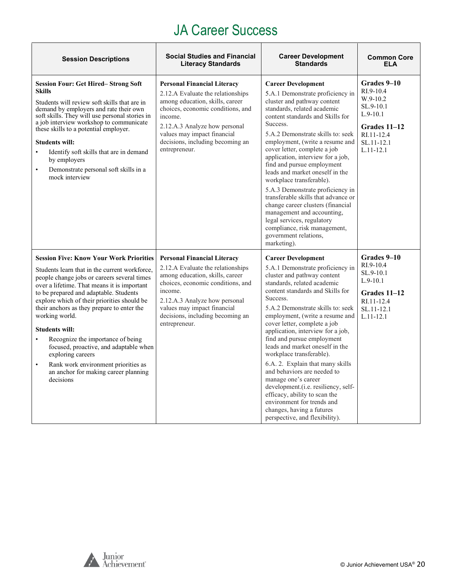| <b>Session Descriptions</b>                                                                                                                                                                                                                                                                                                                                                                                                                                                                                                                                                                               | <b>Social Studies and Financial</b><br><b>Literacy Standards</b>                                                                                                                                                                                                                | <b>Career Development</b><br><b>Standards</b>                                                                                                                                                                                                                                                                                                                                                                                                                                                                                                                                                                                                                                        | <b>Common Core</b><br>FI A                                                                                                     |
|-----------------------------------------------------------------------------------------------------------------------------------------------------------------------------------------------------------------------------------------------------------------------------------------------------------------------------------------------------------------------------------------------------------------------------------------------------------------------------------------------------------------------------------------------------------------------------------------------------------|---------------------------------------------------------------------------------------------------------------------------------------------------------------------------------------------------------------------------------------------------------------------------------|--------------------------------------------------------------------------------------------------------------------------------------------------------------------------------------------------------------------------------------------------------------------------------------------------------------------------------------------------------------------------------------------------------------------------------------------------------------------------------------------------------------------------------------------------------------------------------------------------------------------------------------------------------------------------------------|--------------------------------------------------------------------------------------------------------------------------------|
| <b>Session Four: Get Hired– Strong Soft</b><br><b>Skills</b><br>Students will review soft skills that are in<br>demand by employers and rate their own<br>soft skills. They will use personal stories in<br>a job interview workshop to communicate<br>these skills to a potential employer.<br><b>Students will:</b><br>Identify soft skills that are in demand<br>$\bullet$<br>by employers<br>Demonstrate personal soft skills in a<br>$\bullet$<br>mock interview                                                                                                                                     | <b>Personal Financial Literacy</b><br>2.12.A Evaluate the relationships<br>among education, skills, career<br>choices, economic conditions, and<br>income.<br>2.12.A.3 Analyze how personal<br>values may impact financial<br>decisions, including becoming an<br>entrepreneur. | <b>Career Development</b><br>5.A.1 Demonstrate proficiency in<br>cluster and pathway content<br>standards, related academic<br>content standards and Skills for<br>Success.<br>5.A.2 Demonstrate skills to: seek<br>employment, (write a resume and<br>cover letter, complete a job<br>application, interview for a job,<br>find and pursue employment<br>leads and market oneself in the<br>workplace transferable).<br>5.A.3 Demonstrate proficiency in<br>transferable skills that advance or<br>change career clusters (financial<br>management and accounting,<br>legal services, regulatory<br>compliance, risk management,<br>government relations,<br>marketing).            | Grades 9-10<br>RI.9-10.4<br>$W.9-10.2$<br>SL.9-10.1<br>$L.9-10.1$<br>Grades 11–12<br>RI.11-12.4<br>SL.11-12.1<br>$L.11 - 12.1$ |
| <b>Session Five: Know Your Work Priorities</b><br>Students learn that in the current workforce,<br>people change jobs or careers several times<br>over a lifetime. That means it is important<br>to be prepared and adaptable. Students<br>explore which of their priorities should be<br>their anchors as they prepare to enter the<br>working world.<br><b>Students will:</b><br>Recognize the importance of being<br>$\bullet$<br>focused, proactive, and adaptable when<br>exploring careers<br>Rank work environment priorities as<br>$\bullet$<br>an anchor for making career planning<br>decisions | <b>Personal Financial Literacy</b><br>2.12.A Evaluate the relationships<br>among education, skills, career<br>choices, economic conditions, and<br>income.<br>2.12.A.3 Analyze how personal<br>values may impact financial<br>decisions, including becoming an<br>entrepreneur. | <b>Career Development</b><br>5.A.1 Demonstrate proficiency in<br>cluster and pathway content<br>standards, related academic<br>content standards and Skills for<br>Success.<br>5.A.2 Demonstrate skills to: seek<br>employment, (write a resume and<br>cover letter, complete a job<br>application, interview for a job,<br>find and pursue employment<br>leads and market oneself in the<br>workplace transferable).<br>6.A. 2. Explain that many skills<br>and behaviors are needed to<br>manage one's career<br>development.(i.e. resiliency, self-<br>efficacy, ability to scan the<br>environment for trends and<br>changes, having a futures<br>perspective, and flexibility). | Grades 9-10<br>RI.9-10.4<br>SL.9-10.1<br>$L.9-10.1$<br>Grades 11–12<br>RI.11-12.4<br>SL.11-12.1<br>$L.11-12.1$                 |

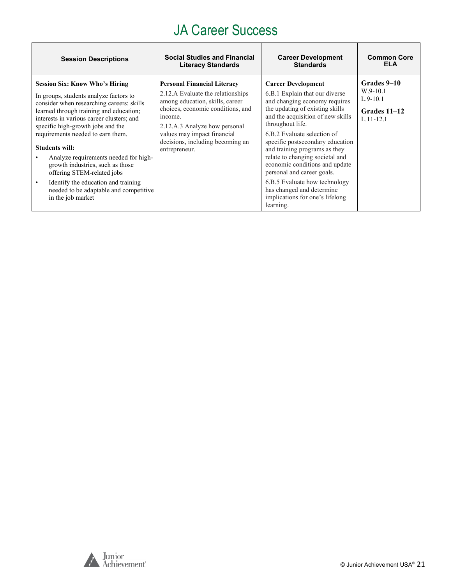| <b>Session Descriptions</b>                                                                                                                                                                                                                                                                                                                                                                                                                                                                                                                           | <b>Social Studies and Financial</b>                                                                                                                                                                                                                                             | <b>Career Development</b>                                                                                                                                                                                                                                                                                                                                                                                                                                                                                     | <b>Common Core</b>                                                       |
|-------------------------------------------------------------------------------------------------------------------------------------------------------------------------------------------------------------------------------------------------------------------------------------------------------------------------------------------------------------------------------------------------------------------------------------------------------------------------------------------------------------------------------------------------------|---------------------------------------------------------------------------------------------------------------------------------------------------------------------------------------------------------------------------------------------------------------------------------|---------------------------------------------------------------------------------------------------------------------------------------------------------------------------------------------------------------------------------------------------------------------------------------------------------------------------------------------------------------------------------------------------------------------------------------------------------------------------------------------------------------|--------------------------------------------------------------------------|
|                                                                                                                                                                                                                                                                                                                                                                                                                                                                                                                                                       | <b>Literacy Standards</b>                                                                                                                                                                                                                                                       | <b>Standards</b>                                                                                                                                                                                                                                                                                                                                                                                                                                                                                              | ELA                                                                      |
| <b>Session Six: Know Who's Hiring</b><br>In groups, students analyze factors to<br>consider when researching careers: skills<br>learned through training and education;<br>interests in various career clusters; and<br>specific high-growth jobs and the<br>requirements needed to earn them.<br><b>Students will:</b><br>Analyze requirements needed for high-<br>growth industries, such as those<br>offering STEM-related jobs<br>Identify the education and training<br>$\bullet$<br>needed to be adaptable and competitive<br>in the job market | <b>Personal Financial Literacy</b><br>2.12.A Evaluate the relationships<br>among education, skills, career<br>choices, economic conditions, and<br>income.<br>2.12.A.3 Analyze how personal<br>values may impact financial<br>decisions, including becoming an<br>entrepreneur. | <b>Career Development</b><br>6.B.1 Explain that our diverse<br>and changing economy requires<br>the updating of existing skills<br>and the acquisition of new skills<br>throughout life.<br>6.B.2 Evaluate selection of<br>specific postsecondary education<br>and training programs as they<br>relate to changing societal and<br>economic conditions and update<br>personal and career goals.<br>6.B.5 Evaluate how technology<br>has changed and determine<br>implications for one's lifelong<br>learning. | Grades 9–10<br>$W.9-10.1$<br>$L.9-10.1$<br>Grades 11–12<br>$L.11 - 12.1$ |

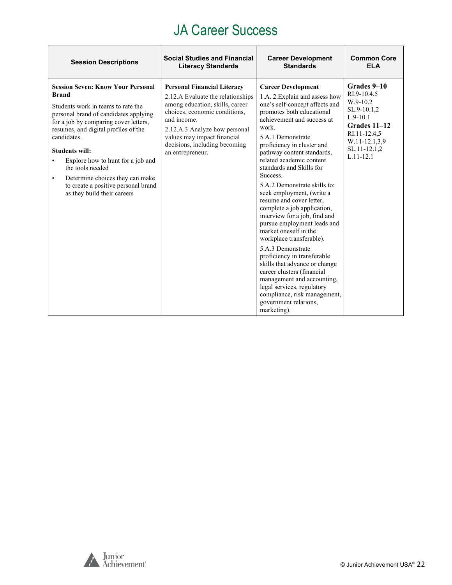| <b>Session Descriptions</b>                                                                                                                                                                                                                                                                                                                                                                                                                          | <b>Social Studies and Financial</b>                                                                                                                                                                                                                                             | <b>Career Development</b>                                                                                                                                                                                                                                                                                                                                                                                                                                                                                                                                                                                                                                                                                                                                                                                                  | <b>Common Core</b>                                                                                                                                    |
|------------------------------------------------------------------------------------------------------------------------------------------------------------------------------------------------------------------------------------------------------------------------------------------------------------------------------------------------------------------------------------------------------------------------------------------------------|---------------------------------------------------------------------------------------------------------------------------------------------------------------------------------------------------------------------------------------------------------------------------------|----------------------------------------------------------------------------------------------------------------------------------------------------------------------------------------------------------------------------------------------------------------------------------------------------------------------------------------------------------------------------------------------------------------------------------------------------------------------------------------------------------------------------------------------------------------------------------------------------------------------------------------------------------------------------------------------------------------------------------------------------------------------------------------------------------------------------|-------------------------------------------------------------------------------------------------------------------------------------------------------|
|                                                                                                                                                                                                                                                                                                                                                                                                                                                      | <b>Literacy Standards</b>                                                                                                                                                                                                                                                       | <b>Standards</b>                                                                                                                                                                                                                                                                                                                                                                                                                                                                                                                                                                                                                                                                                                                                                                                                           | FI A                                                                                                                                                  |
| <b>Session Seven: Know Your Personal</b><br><b>Brand</b><br>Students work in teams to rate the<br>personal brand of candidates applying<br>for a job by comparing cover letters,<br>resumes, and digital profiles of the<br>candidates.<br><b>Students will:</b><br>Explore how to hunt for a job and<br>٠<br>the tools needed<br>Determine choices they can make<br>$\bullet$<br>to create a positive personal brand<br>as they build their careers | <b>Personal Financial Literacy</b><br>2.12.A Evaluate the relationships<br>among education, skills, career<br>choices, economic conditions,<br>and income.<br>2.12.A.3 Analyze how personal<br>values may impact financial<br>decisions, including becoming<br>an entrepreneur. | <b>Career Development</b><br>1.A. 2. Explain and assess how<br>one's self-concept affects and<br>promotes both educational<br>achievement and success at<br>work.<br>5.A.1 Demonstrate<br>proficiency in cluster and<br>pathway content standards,<br>related academic content<br>standards and Skills for<br>Success.<br>5.A.2 Demonstrate skills to:<br>seek employment, (write a<br>resume and cover letter,<br>complete a job application,<br>interview for a job, find and<br>pursue employment leads and<br>market oneself in the<br>workplace transferable).<br>5.A.3 Demonstrate<br>proficiency in transferable<br>skills that advance or change<br>career clusters (financial<br>management and accounting,<br>legal services, regulatory<br>compliance, risk management,<br>government relations,<br>marketing). | Grades 9-10<br>RI.9-10.4.5<br>W.9-10.2<br>SL.9-10.1,2<br>$L.9-10.1$<br>Grades 11-12<br>RI.11-12.4,5<br>W.11-12.1,3,9<br>SL.11-12.1,2<br>$L.11 - 12.1$ |

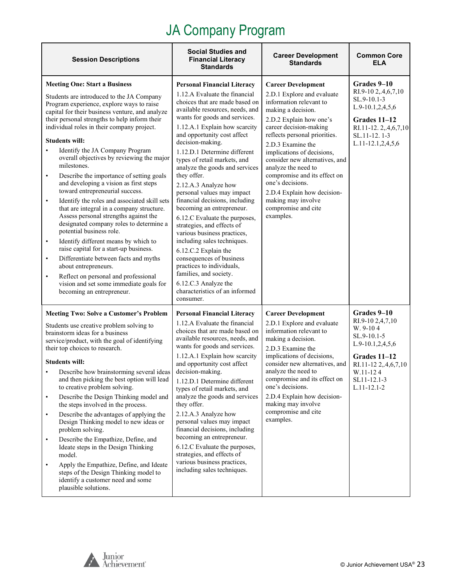<span id="page-22-0"></span>

| <b>Session Descriptions</b>                                                                                                                                                                                                                                                                                                                                                                                                                                                                                                                                                                                                                                                                                                                                                                                                                                                                                                                                                                                                                                                                     | <b>Social Studies and</b><br><b>Financial Literacy</b><br><b>Standards</b>                                                                                                                                                                                                                                                                                                                                                                                                                                                                                                                                                                                                                                                                                                                                         | <b>Career Development</b><br><b>Standards</b>                                                                                                                                                                                                                                                                                                                                                                                                           | <b>Common Core</b><br><b>ELA</b>                                                                                                                                       |
|-------------------------------------------------------------------------------------------------------------------------------------------------------------------------------------------------------------------------------------------------------------------------------------------------------------------------------------------------------------------------------------------------------------------------------------------------------------------------------------------------------------------------------------------------------------------------------------------------------------------------------------------------------------------------------------------------------------------------------------------------------------------------------------------------------------------------------------------------------------------------------------------------------------------------------------------------------------------------------------------------------------------------------------------------------------------------------------------------|--------------------------------------------------------------------------------------------------------------------------------------------------------------------------------------------------------------------------------------------------------------------------------------------------------------------------------------------------------------------------------------------------------------------------------------------------------------------------------------------------------------------------------------------------------------------------------------------------------------------------------------------------------------------------------------------------------------------------------------------------------------------------------------------------------------------|---------------------------------------------------------------------------------------------------------------------------------------------------------------------------------------------------------------------------------------------------------------------------------------------------------------------------------------------------------------------------------------------------------------------------------------------------------|------------------------------------------------------------------------------------------------------------------------------------------------------------------------|
| <b>Meeting One: Start a Business</b><br>Students are introduced to the JA Company<br>Program experience, explore ways to raise<br>capital for their business venture, and analyze<br>their personal strengths to help inform their<br>individual roles in their company project.<br><b>Students will:</b><br>Identify the JA Company Program<br>$\bullet$<br>overall objectives by reviewing the major<br>milestones.<br>Describe the importance of setting goals<br>$\bullet$<br>and developing a vision as first steps<br>toward entrepreneurial success.<br>Identify the roles and associated skill sets<br>$\bullet$<br>that are integral in a company structure.<br>Assess personal strengths against the<br>designated company roles to determine a<br>potential business role.<br>Identify different means by which to<br>$\bullet$<br>raise capital for a start-up business.<br>Differentiate between facts and myths<br>$\bullet$<br>about entrepreneurs.<br>Reflect on personal and professional<br>$\bullet$<br>vision and set some immediate goals for<br>becoming an entrepreneur. | <b>Personal Financial Literacy</b><br>1.12.A Evaluate the financial<br>choices that are made based on<br>available resources, needs, and<br>wants for goods and services.<br>1.12.A.1 Explain how scarcity<br>and opportunity cost affect<br>decision-making.<br>1.12.D.1 Determine different<br>types of retail markets, and<br>analyze the goods and services<br>they offer.<br>2.12.A.3 Analyze how<br>personal values may impact<br>financial decisions, including<br>becoming an entrepreneur.<br>6.12.C Evaluate the purposes,<br>strategies, and effects of<br>various business practices,<br>including sales techniques.<br>6.12.C.2 Explain the<br>consequences of business<br>practices to individuals,<br>families, and society.<br>6.12.C.3 Analyze the<br>characteristics of an informed<br>consumer. | <b>Career Development</b><br>2.D.1 Explore and evaluate<br>information relevant to<br>making a decision.<br>2.D.2 Explain how one's<br>career decision-making<br>reflects personal priorities.<br>2.D.3 Examine the<br>implications of decisions,<br>consider new alternatives, and<br>analyze the need to<br>compromise and its effect on<br>one's decisions.<br>2.D.4 Explain how decision-<br>making may involve<br>compromise and cite<br>examples. | Grades 9–10<br>RI.9-10 2,.4,6,7,10<br>SL.9-10.1-3<br>L.9-10.1,2,4,5,6<br>Grades 11-12<br>RI.11-12.2,.4,6,7,10<br>SL.11-12.1-3<br>$L.11-12.1, 2, 4, 5, 6$               |
| <b>Meeting Two: Solve a Customer's Problem</b><br>Students use creative problem solving to<br>brainstorm ideas for a business<br>service/product, with the goal of identifying<br>their top choices to research.<br><b>Students will:</b><br>Describe how brainstorming several ideas<br>and then picking the best option will lead<br>to creative problem solving.<br>Describe the Design Thinking model and<br>$\bullet$<br>the steps involved in the process.<br>Describe the advantages of applying the<br>$\bullet$<br>Design Thinking model to new ideas or<br>problem solving.<br>Describe the Empathize, Define, and<br>$\bullet$<br>Ideate steps in the Design Thinking<br>model.<br>Apply the Empathize, Define, and Ideate<br>$\bullet$<br>steps of the Design Thinking model to<br>identify a customer need and some<br>plausible solutions.                                                                                                                                                                                                                                        | <b>Personal Financial Literacy</b><br>1.12.A Evaluate the financial<br>choices that are made based on<br>available resources, needs, and<br>wants for goods and services.<br>1.12.A.1 Explain how scarcity<br>and opportunity cost affect<br>decision-making.<br>1.12.D.1 Determine different<br>types of retail markets, and<br>analyze the goods and services<br>they offer.<br>2.12.A.3 Analyze how<br>personal values may impact<br>financial decisions, including<br>becoming an entrepreneur.<br>6.12.C Evaluate the purposes,<br>strategies, and effects of<br>various business practices,<br>including sales techniques.                                                                                                                                                                                   | <b>Career Development</b><br>2.D.1 Explore and evaluate<br>information relevant to<br>making a decision.<br>2.D.3 Examine the<br>implications of decisions,<br>consider new alternatives, and<br>analyze the need to<br>compromise and its effect on<br>one's decisions.<br>2.D.4 Explain how decision-<br>making may involve<br>compromise and cite<br>examples.                                                                                       | Grades 9–10<br>RI.9-10 2,4,7,10<br>W. 9-104<br>SL.9-10.1-5<br>L.9-10.1,2,4,5,6<br>Grades 11-12<br>RI.11-12 2,.4,6,7,10<br>W.11-124<br>SL11-12.1-3<br>$L.11 - 12.1 - 2$ |

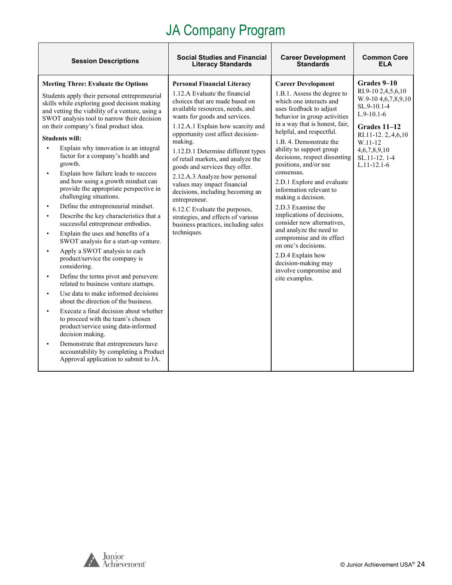| <b>Session Descriptions</b>                                                                                                                                                                                                                                                                                                                                                                                                                                                                                                                                                                                                                                                                                                                                                                                                                                                                                                                                                                                                                                                                                                                                                                                                                                                                                                                                            | <b>Social Studies and Financial</b>                                                                                                                                                                                                                                                                                                                                                                                                                                                                                                                                                                                            | <b>Career Development</b>                                                                                                                                                                                                                                                                                                                                                                                                                                                                                                                                                                                                                                                          | <b>Common Core</b>                                                                                                                                                                                 |
|------------------------------------------------------------------------------------------------------------------------------------------------------------------------------------------------------------------------------------------------------------------------------------------------------------------------------------------------------------------------------------------------------------------------------------------------------------------------------------------------------------------------------------------------------------------------------------------------------------------------------------------------------------------------------------------------------------------------------------------------------------------------------------------------------------------------------------------------------------------------------------------------------------------------------------------------------------------------------------------------------------------------------------------------------------------------------------------------------------------------------------------------------------------------------------------------------------------------------------------------------------------------------------------------------------------------------------------------------------------------|--------------------------------------------------------------------------------------------------------------------------------------------------------------------------------------------------------------------------------------------------------------------------------------------------------------------------------------------------------------------------------------------------------------------------------------------------------------------------------------------------------------------------------------------------------------------------------------------------------------------------------|------------------------------------------------------------------------------------------------------------------------------------------------------------------------------------------------------------------------------------------------------------------------------------------------------------------------------------------------------------------------------------------------------------------------------------------------------------------------------------------------------------------------------------------------------------------------------------------------------------------------------------------------------------------------------------|----------------------------------------------------------------------------------------------------------------------------------------------------------------------------------------------------|
|                                                                                                                                                                                                                                                                                                                                                                                                                                                                                                                                                                                                                                                                                                                                                                                                                                                                                                                                                                                                                                                                                                                                                                                                                                                                                                                                                                        | <b>Literacy Standards</b>                                                                                                                                                                                                                                                                                                                                                                                                                                                                                                                                                                                                      | <b>Standards</b>                                                                                                                                                                                                                                                                                                                                                                                                                                                                                                                                                                                                                                                                   | FI A                                                                                                                                                                                               |
| <b>Meeting Three: Evaluate the Options</b><br>Students apply their personal entrepreneurial<br>skills while exploring good decision making<br>and vetting the viability of a venture, using a<br>SWOT analysis tool to narrow their decision<br>on their company's final product idea.<br><b>Students will:</b><br>Explain why innovation is an integral<br>factor for a company's health and<br>growth.<br>Explain how failure leads to success<br>$\bullet$<br>and how using a growth mindset can<br>provide the appropriate perspective in<br>challenging situations.<br>Define the entrepreneurial mindset.<br>$\bullet$<br>Describe the key characteristics that a<br>$\bullet$<br>successful entrepreneur embodies.<br>Explain the uses and benefits of a<br>$\bullet$<br>SWOT analysis for a start-up venture.<br>Apply a SWOT analysis to each<br>$\bullet$<br>product/service the company is<br>considering.<br>Define the terms pivot and persevere<br>related to business venture startups.<br>Use data to make informed decisions<br>about the direction of the business.<br>Execute a final decision about whether<br>to proceed with the team's chosen<br>product/service using data-informed<br>decision making.<br>Demonstrate that entrepreneurs have<br>$\bullet$<br>accountability by completing a Product<br>Approval application to submit to JA. | <b>Personal Financial Literacy</b><br>1.12.A Evaluate the financial<br>choices that are made based on<br>available resources, needs, and<br>wants for goods and services.<br>1.12.A.1 Explain how scarcity and<br>opportunity cost affect decision-<br>making.<br>1.12.D.1 Determine different types<br>of retail markets, and analyze the<br>goods and services they offer.<br>2.12.A.3 Analyze how personal<br>values may impact financial<br>decisions, including becoming an<br>entrepreneur.<br>6.12.C Evaluate the purposes,<br>strategies, and effects of various<br>business practices, including sales<br>techniques. | <b>Career Development</b><br>1.B.1. Assess the degree to<br>which one interacts and<br>uses feedback to adjust<br>behavior in group activities<br>in a way that is honest, fair,<br>helpful, and respectful.<br>1.B. 4. Demonstrate the<br>ability to support group<br>decisions, respect dissenting<br>positions, and/or use<br>consensus.<br>2.D.1 Explore and evaluate<br>information relevant to<br>making a decision.<br>2.D.3 Examine the<br>implications of decisions,<br>consider new alternatives,<br>and analyze the need to<br>compromise and its effect<br>on one's decisions.<br>2.D.4 Explain how<br>decision-making may<br>involve compromise and<br>cite examples. | Grades 9-10<br>RI.9-10 2,4,5,6,10<br>W.9-10 4, 6, 7, 8, 9, 10<br>SL.9-10.1-4<br>$L.9-10.1-6$<br>Grades 11-12<br>RI.11-12.2,.4,6,10<br>W.11-12<br>4,6,7,8,9,10<br>SL.11-12.1-4<br>$L.11 - 12.1 - 6$ |

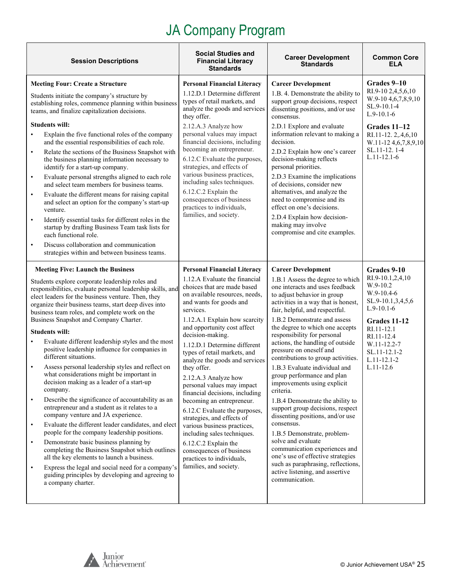| <b>Session Descriptions</b>                                                                                                                                                                                                                                                                                                                                                                                                                                                                                                                                                                                                                                                                                                                                                                                                                                                                                                                                                                                                                                                                                                                                                                                                                                                                      | <b>Social Studies and</b><br><b>Financial Literacy</b><br><b>Standards</b>                                                                                                                                                                                                                                                                                                                                                                                                                                                                                                                                                                                                                                                                     | <b>Career Development</b><br><b>Standards</b>                                                                                                                                                                                                                                                                                                                                                                                                                                                                                                                                                                                                                                                                                                                                                                                                                              | <b>Common Core</b><br>ELA                                                                                                                                                                                     |
|--------------------------------------------------------------------------------------------------------------------------------------------------------------------------------------------------------------------------------------------------------------------------------------------------------------------------------------------------------------------------------------------------------------------------------------------------------------------------------------------------------------------------------------------------------------------------------------------------------------------------------------------------------------------------------------------------------------------------------------------------------------------------------------------------------------------------------------------------------------------------------------------------------------------------------------------------------------------------------------------------------------------------------------------------------------------------------------------------------------------------------------------------------------------------------------------------------------------------------------------------------------------------------------------------|------------------------------------------------------------------------------------------------------------------------------------------------------------------------------------------------------------------------------------------------------------------------------------------------------------------------------------------------------------------------------------------------------------------------------------------------------------------------------------------------------------------------------------------------------------------------------------------------------------------------------------------------------------------------------------------------------------------------------------------------|----------------------------------------------------------------------------------------------------------------------------------------------------------------------------------------------------------------------------------------------------------------------------------------------------------------------------------------------------------------------------------------------------------------------------------------------------------------------------------------------------------------------------------------------------------------------------------------------------------------------------------------------------------------------------------------------------------------------------------------------------------------------------------------------------------------------------------------------------------------------------|---------------------------------------------------------------------------------------------------------------------------------------------------------------------------------------------------------------|
| <b>Meeting Four: Create a Structure</b><br>Students initiate the company's structure by<br>establishing roles, commence planning within business<br>teams, and finalize capitalization decisions.<br><b>Students will:</b><br>Explain the five functional roles of the company<br>$\bullet$<br>and the essential responsibilities of each role.<br>Relate the sections of the Business Snapshot with<br>$\bullet$<br>the business planning information necessary to<br>identify for a start-up company.<br>Evaluate personal strengths aligned to each role<br>$\bullet$<br>and select team members for business teams.<br>Evaluate the different means for raising capital<br>$\bullet$<br>and select an option for the company's start-up<br>venture.<br>Identify essential tasks for different roles in the<br>$\bullet$<br>startup by drafting Business Team task lists for<br>each functional role.<br>Discuss collaboration and communication<br>$\bullet$<br>strategies within and between business teams.                                                                                                                                                                                                                                                                                | <b>Personal Financial Literacy</b><br>1.12.D.1 Determine different<br>types of retail markets, and<br>analyze the goods and services<br>they offer.<br>2.12.A.3 Analyze how<br>personal values may impact<br>financial decisions, including<br>becoming an entrepreneur.<br>6.12.C Evaluate the purposes,<br>strategies, and effects of<br>various business practices,<br>including sales techniques.<br>6.12.C.2 Explain the<br>consequences of business<br>practices to individuals,<br>families, and society.                                                                                                                                                                                                                               | <b>Career Development</b><br>1.B. 4. Demonstrate the ability to<br>support group decisions, respect<br>dissenting positions, and/or use<br>consensus.<br>2.D.1 Explore and evaluate<br>information relevant to making a<br>decision.<br>2.D.2 Explain how one's career<br>decision-making reflects<br>personal priorities.<br>2.D.3 Examine the implications<br>of decisions, consider new<br>alternatives, and analyze the<br>need to compromise and its<br>effect on one's decisions.<br>2.D.4 Explain how decision-<br>making may involve<br>compromise and cite examples.                                                                                                                                                                                                                                                                                              | Grades 9-10<br>RI.9-10 2,4,5,6,10<br>W.9-10 4, 6, 7, 8, 9, 10<br>SL.9-10.1-4<br>$L.9-10.1-6$<br>Grades 11-12<br>RI.11-12.2,.4,6,10<br>W.11-12 4, 6, 7, 8, 9, 10<br>SL.11-12.1-4<br>$L.11 - 12.1 - 6$          |
| <b>Meeting Five: Launch the Business</b><br>Students explore corporate leadership roles and<br>responsibilities, evaluate personal leadership skills, and<br>elect leaders for the business venture. Then, they<br>organize their business teams, start deep dives into<br>business team roles, and complete work on the<br>Business Snapshot and Company Charter.<br><b>Students will:</b><br>Evaluate different leadership styles and the most<br>$\bullet$<br>positive leadership influence for companies in<br>different situations.<br>Assess personal leadership styles and reflect on<br>$\bullet$<br>what considerations might be important in<br>decision making as a leader of a start-up<br>company.<br>Describe the significance of accountability as an<br>$\bullet$<br>entrepreneur and a student as it relates to a<br>company venture and JA experience.<br>Evaluate the different leader candidates, and elect<br>$\bullet$<br>people for the company leadership positions.<br>Demonstrate basic business planning by<br>$\bullet$<br>completing the Business Snapshot which outlines<br>all the key elements to launch a business.<br>Express the legal and social need for a company's<br>$\bullet$<br>guiding principles by developing and agreeing to<br>a company charter. | <b>Personal Financial Literacy</b><br>1.12.A Evaluate the financial<br>choices that are made based<br>on available resources, needs,<br>and wants for goods and<br>services.<br>1.12.A.1 Explain how scarcity<br>and opportunity cost affect<br>decision-making.<br>1.12.D.1 Determine different<br>types of retail markets, and<br>analyze the goods and services<br>they offer.<br>2.12.A.3 Analyze how<br>personal values may impact<br>financial decisions, including<br>becoming an entrepreneur.<br>6.12.C Evaluate the purposes,<br>strategies, and effects of<br>various business practices,<br>including sales techniques.<br>6.12.C.2 Explain the<br>consequences of business<br>practices to individuals,<br>families, and society. | <b>Career Development</b><br>1.B.1 Assess the degree to which<br>one interacts and uses feedback<br>to adjust behavior in group<br>activities in a way that is honest,<br>fair, helpful, and respectful.<br>1.B.2 Demonstrate and assess<br>the degree to which one accepts<br>responsibility for personal<br>actions, the handling of outside<br>pressure on oneself and<br>contributions to group activities.<br>1.B.3 Evaluate individual and<br>group performance and plan<br>improvements using explicit<br>criteria.<br>1.B.4 Demonstrate the ability to<br>support group decisions, respect<br>dissenting positions, and/or use<br>consensus.<br>1.B.5 Demonstrate, problem-<br>solve and evaluate<br>communication experiences and<br>one's use of effective strategies<br>such as paraphrasing, reflections,<br>active listening, and assertive<br>communication. | Grades 9-10<br>RI.9-10.1,2,4,10<br>W.9-10.2<br>W.9-10.4-6<br>SL.9-10.1,3,4,5,6<br>$L.9-10.1-6$<br>Grades 11-12<br>RI.11-12.1<br>RI.11-12.4<br>W.11-12.2-7<br>SL.11-12.1-2<br>$L.11 - 12.1 - 2$<br>$L.11-12.6$ |

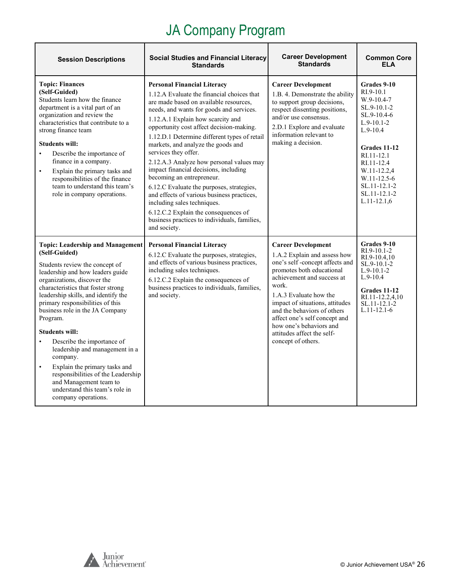| <b>Session Descriptions</b>                                                                                                                                                                                                                                                                                                                                                                                                                                                                                                                                                                                            | <b>Social Studies and Financial Literacy</b><br><b>Standards</b>                                                                                                                                                                                                                                                                                                                                                                                                                                                                                                                                                                                                                                                          | <b>Career Development</b><br><b>Standards</b>                                                                                                                                                                                                                                                                                                                               | <b>Common Core</b><br><b>ELA</b>                                                                                                                                                                                                              |
|------------------------------------------------------------------------------------------------------------------------------------------------------------------------------------------------------------------------------------------------------------------------------------------------------------------------------------------------------------------------------------------------------------------------------------------------------------------------------------------------------------------------------------------------------------------------------------------------------------------------|---------------------------------------------------------------------------------------------------------------------------------------------------------------------------------------------------------------------------------------------------------------------------------------------------------------------------------------------------------------------------------------------------------------------------------------------------------------------------------------------------------------------------------------------------------------------------------------------------------------------------------------------------------------------------------------------------------------------------|-----------------------------------------------------------------------------------------------------------------------------------------------------------------------------------------------------------------------------------------------------------------------------------------------------------------------------------------------------------------------------|-----------------------------------------------------------------------------------------------------------------------------------------------------------------------------------------------------------------------------------------------|
| <b>Topic: Finances</b><br>(Self-Guided)<br>Students learn how the finance<br>department is a vital part of an<br>organization and review the<br>characteristics that contribute to a<br>strong finance team<br><b>Students will:</b><br>Describe the importance of<br>$\bullet$<br>finance in a company.<br>Explain the primary tasks and<br>$\bullet$<br>responsibilities of the finance<br>team to understand this team's<br>role in company operations.                                                                                                                                                             | <b>Personal Financial Literacy</b><br>1.12.A Evaluate the financial choices that<br>are made based on available resources,<br>needs, and wants for goods and services.<br>1.12.A.1 Explain how scarcity and<br>opportunity cost affect decision-making.<br>1.12.D.1 Determine different types of retail<br>markets, and analyze the goods and<br>services they offer.<br>2.12.A.3 Analyze how personal values may<br>impact financial decisions, including<br>becoming an entrepreneur.<br>6.12.C Evaluate the purposes, strategies,<br>and effects of various business practices,<br>including sales techniques.<br>6.12.C.2 Explain the consequences of<br>business practices to individuals, families,<br>and society. | <b>Career Development</b><br>1.B. 4. Demonstrate the ability<br>to support group decisions,<br>respect dissenting positions,<br>and/or use consensus.<br>2.D.1 Explore and evaluate<br>information relevant to<br>making a decision.                                                                                                                                        | Grades 9-10<br>RI.9-10.1<br>$W.9-10.4-7$<br>SL.9-10.1-2<br>SL.9-10.4-6<br>$L.9-10.1-2$<br>$L.9-10.4$<br>Grades 11-12<br>RI.11-12.1<br>RI.11-12.4<br>W.11-12.2,4<br>W.11-12.5-6<br>$SL.11 - 12.1 - 2$<br>$SL.11 - 12.1 - 2$<br>$L.11 - 12.1,6$ |
| <b>Topic: Leadership and Management</b><br>(Self-Guided)<br>Students review the concept of<br>leadership and how leaders guide<br>organizations, discover the<br>characteristics that foster strong<br>leadership skills, and identify the<br>primary responsibilities of this<br>business role in the JA Company<br>Program.<br><b>Students will:</b><br>Describe the importance of<br>$\bullet$<br>leadership and management in a<br>company.<br>Explain the primary tasks and<br>$\bullet$<br>responsibilities of the Leadership<br>and Management team to<br>understand this team's role in<br>company operations. | <b>Personal Financial Literacy</b><br>6.12.C Evaluate the purposes, strategies,<br>and effects of various business practices,<br>including sales techniques.<br>6.12.C.2 Explain the consequences of<br>business practices to individuals, families,<br>and society.                                                                                                                                                                                                                                                                                                                                                                                                                                                      | <b>Career Development</b><br>1.A.2 Explain and assess how<br>one's self-concept affects and<br>promotes both educational<br>achievement and success at<br>work.<br>1.A.3 Evaluate how the<br>impact of situations, attitudes<br>and the behaviors of others<br>affect one's self concept and<br>how one's behaviors and<br>attitudes affect the self-<br>concept of others. | Grades 9-10<br>$RI.9-10.1-2$<br>RI.9-10.4,10<br>$SL.9-10.1-2$<br>$L.9-10.1-2$<br>$L.9-10.4$<br>Grades 11-12<br>RI.11-12.2,4,10<br>SL.11-12.1-2<br>$L.11 - 12.1 - 6$                                                                           |

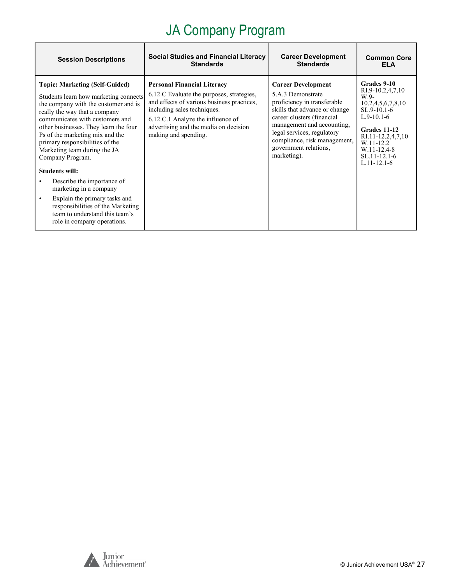| <b>Session Descriptions</b>                                                                                                                                                                                                                                                                                                                                                                                                                                                                                                                            | <b>Social Studies and Financial Literacy</b><br><b>Standards</b>                                                                                                                                                                                                   | <b>Career Development</b><br><b>Standards</b>                                                                                                                                                                                                                                    | <b>Common Core</b><br>ELA                                                                                                                                                                               |
|--------------------------------------------------------------------------------------------------------------------------------------------------------------------------------------------------------------------------------------------------------------------------------------------------------------------------------------------------------------------------------------------------------------------------------------------------------------------------------------------------------------------------------------------------------|--------------------------------------------------------------------------------------------------------------------------------------------------------------------------------------------------------------------------------------------------------------------|----------------------------------------------------------------------------------------------------------------------------------------------------------------------------------------------------------------------------------------------------------------------------------|---------------------------------------------------------------------------------------------------------------------------------------------------------------------------------------------------------|
| <b>Topic: Marketing (Self-Guided)</b><br>Students learn how marketing connects<br>the company with the customer and is<br>really the way that a company<br>communicates with customers and<br>other businesses. They learn the four<br>Ps of the marketing mix and the<br>primary responsibilities of the<br>Marketing team during the JA<br>Company Program.<br><b>Students will:</b><br>Describe the importance of<br>marketing in a company<br>Explain the primary tasks and<br>responsibilities of the Marketing<br>team to understand this team's | <b>Personal Financial Literacy</b><br>6.12.C Evaluate the purposes, strategies,<br>and effects of various business practices,<br>including sales techniques.<br>6.12.C.1 Analyze the influence of<br>advertising and the media on decision<br>making and spending. | <b>Career Development</b><br>5.A.3 Demonstrate<br>proficiency in transferable<br>skills that advance or change<br>career clusters (financial<br>management and accounting,<br>legal services, regulatory<br>compliance, risk management,<br>government relations,<br>marketing). | Grades 9-10<br>RI.9-10.2,4,7,10<br>$W.9-$<br>10.2,4,5,6,7,8,10<br>$SL.9-10.1-6$<br>$L.9-10.1-6$<br>Grades 11-12<br>RI.11-12.2,4,7,10<br>W.11-12.2<br>W.11-12.4-8<br>$SL.11-12.1-6$<br>$L.11 - 12.1 - 6$ |
| role in company operations.                                                                                                                                                                                                                                                                                                                                                                                                                                                                                                                            |                                                                                                                                                                                                                                                                    |                                                                                                                                                                                                                                                                                  |                                                                                                                                                                                                         |

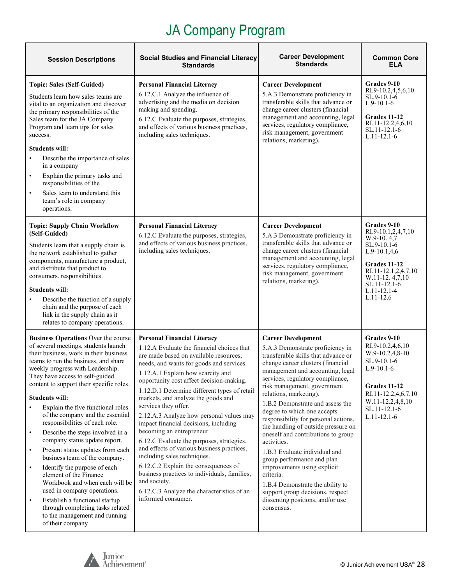| <b>Session Descriptions</b>                                                                                                                                                                                                                                                                                                                                                                                                                                                                                                                                                                                                                                                                                                                                                                                                                                                                  | <b>Social Studies and Financial Literacy</b><br><b>Standards</b>                                                                                                                                                                                                                                                                                                                                                                                                                                                                                                                                                                                                                                                                                                                              | <b>Career Development</b><br><b>Standards</b>                                                                                                                                                                                                                                                                                                                                                                                                                                                                                                                                                                                                                                                                          | <b>Common Core</b><br>ELA                                                                                                                                                                     |
|----------------------------------------------------------------------------------------------------------------------------------------------------------------------------------------------------------------------------------------------------------------------------------------------------------------------------------------------------------------------------------------------------------------------------------------------------------------------------------------------------------------------------------------------------------------------------------------------------------------------------------------------------------------------------------------------------------------------------------------------------------------------------------------------------------------------------------------------------------------------------------------------|-----------------------------------------------------------------------------------------------------------------------------------------------------------------------------------------------------------------------------------------------------------------------------------------------------------------------------------------------------------------------------------------------------------------------------------------------------------------------------------------------------------------------------------------------------------------------------------------------------------------------------------------------------------------------------------------------------------------------------------------------------------------------------------------------|------------------------------------------------------------------------------------------------------------------------------------------------------------------------------------------------------------------------------------------------------------------------------------------------------------------------------------------------------------------------------------------------------------------------------------------------------------------------------------------------------------------------------------------------------------------------------------------------------------------------------------------------------------------------------------------------------------------------|-----------------------------------------------------------------------------------------------------------------------------------------------------------------------------------------------|
| <b>Topic: Sales (Self-Guided)</b><br>Students learn how sales teams are<br>vital to an organization and discover<br>the primary responsibilities of the<br>Sales team for the JA Company<br>Program and learn tips for sales<br>success.<br><b>Students will:</b><br>Describe the importance of sales<br>in a company<br>Explain the primary tasks and<br>$\bullet$<br>responsibilities of the<br>Sales team to understand this<br>$\bullet$<br>team's role in company<br>operations.                                                                                                                                                                                                                                                                                                                                                                                                        | <b>Personal Financial Literacy</b><br>6.12.C.1 Analyze the influence of<br>advertising and the media on decision<br>making and spending.<br>6.12.C Evaluate the purposes, strategies,<br>and effects of various business practices,<br>including sales techniques.                                                                                                                                                                                                                                                                                                                                                                                                                                                                                                                            | <b>Career Development</b><br>5.A.3 Demonstrate proficiency in<br>transferable skills that advance or<br>change career clusters (financial<br>management and accounting, legal<br>services, regulatory compliance,<br>risk management, government<br>relations, marketing).                                                                                                                                                                                                                                                                                                                                                                                                                                             | Grades 9-10<br>RI.9-10.2,4,5,6,10<br>SL.9-10.1-6<br>$L.9-10.1-6$<br>Grades 11-12<br>RI.11-12.2,4,6,10<br>SL.11-12.1-6<br>L.11-12.1-6                                                          |
| <b>Topic: Supply Chain Workflow</b><br>(Self-Guided)<br>Students learn that a supply chain is<br>the network established to gather<br>components, manufacture a product,<br>and distribute that product to<br>consumers. responsibilities.<br><b>Students will:</b><br>Describe the function of a supply<br>chain and the purpose of each<br>link in the supply chain as it<br>relates to company operations.                                                                                                                                                                                                                                                                                                                                                                                                                                                                                | <b>Personal Financial Literacy</b><br>6.12.C Evaluate the purposes, strategies,<br>and effects of various business practices,<br>including sales techniques.                                                                                                                                                                                                                                                                                                                                                                                                                                                                                                                                                                                                                                  | <b>Career Development</b><br>5.A.3 Demonstrate proficiency in<br>transferable skills that advance or<br>change career clusters (financial<br>management and accounting, legal<br>services, regulatory compliance,<br>risk management, government<br>relations, marketing).                                                                                                                                                                                                                                                                                                                                                                                                                                             | Grades 9-10<br>RI.9-10.1,2,4,7,10<br>W.9-10.4,7<br>SL.9-10.1-6<br>$L.9-10.1,4,6$<br>Grades 11-12<br>RI.11-12.1,2,4,7,10<br>W.11-12.4,7,10<br>SL.11-12.1-6<br>$L.11 - 12.1 - 4$<br>$L.11-12.6$ |
| <b>Business Operations Over the course</b><br>of several meetings, students launch<br>their business, work in their business<br>teams to run the business, and share<br>weekly progress with Leadership.<br>They have access to self-guided<br>content to support their specific roles.<br><b>Students will:</b><br>Explain the five functional roles<br>$\bullet$<br>of the company and the essential<br>responsibilities of each role.<br>Describe the steps involved in a<br>$\bullet$<br>company status update report.<br>Present status updates from each<br>$\bullet$<br>business team of the company.<br>Identify the purpose of each<br>$\bullet$<br>element of the Finance<br>Workbook and when each will be<br>used in company operations.<br>Establish a functional startup<br>$\bullet$<br>through completing tasks related<br>to the management and running<br>of their company | <b>Personal Financial Literacy</b><br>1.12.A Evaluate the financial choices that<br>are made based on available resources,<br>needs, and wants for goods and services.<br>1.12.A.1 Explain how scarcity and<br>opportunity cost affect decision-making.<br>1.12.D.1 Determine different types of retail<br>markets, and analyze the goods and<br>services they offer.<br>2.12.A.3 Analyze how personal values may<br>impact financial decisions, including<br>becoming an entrepreneur.<br>6.12.C Evaluate the purposes, strategies,<br>and effects of various business practices,<br>including sales techniques.<br>6.12.C.2 Explain the consequences of<br>business practices to individuals, families,<br>and society.<br>6.12.C.3 Analyze the characteristics of an<br>informed consumer. | <b>Career Development</b><br>5.A.3 Demonstrate proficiency in<br>transferable skills that advance or<br>change career clusters (financial<br>management and accounting, legal<br>services, regulatory compliance,<br>risk management, government<br>relations, marketing).<br>1.B.2 Demonstrate and assess the<br>degree to which one accepts<br>responsibility for personal actions,<br>the handling of outside pressure on<br>oneself and contributions to group<br>activities.<br>1.B.3 Evaluate individual and<br>group performance and plan<br>improvements using explicit<br>criteria.<br>1.B.4 Demonstrate the ability to<br>support group decisions, respect<br>dissenting positions, and/or use<br>consensus. | Grades 9-10<br>RI.9-10.2,4,6,10<br>W.9-10.2,4,8-10<br>SL.9-10.1-6<br>$L.9-10.1-6$<br>Grades 11-12<br>RI.11-12.2,4,6,7,10<br>W.11-12.2,4,8,10<br>SL.11-12.1-6<br>$L.11 - 12.1 - 6$             |

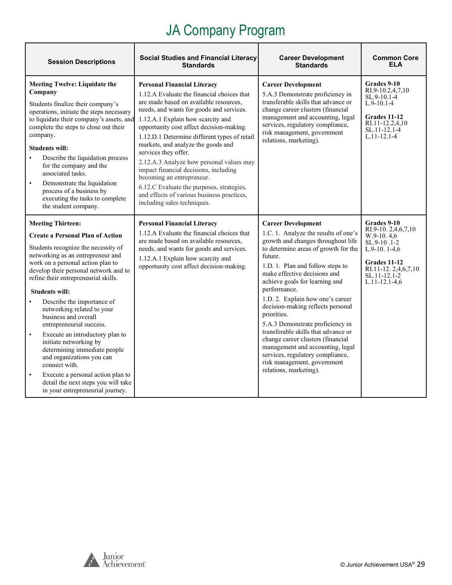| <b>Session Descriptions</b>                                                                                                                                                                                                                                                                                                                                                                                                                                                                                                                                                                                                                                                            | <b>Social Studies and Financial Literacy</b><br><b>Standards</b>                                                                                                                                                                                                                                                                                                                                                                                                                                                                                                                                                  | <b>Career Development</b><br><b>Standards</b>                                                                                                                                                                                                                                                                                                                                                                                                                                                                                                                                                                             | <b>Common Core</b><br>ELA                                                                                                                                         |
|----------------------------------------------------------------------------------------------------------------------------------------------------------------------------------------------------------------------------------------------------------------------------------------------------------------------------------------------------------------------------------------------------------------------------------------------------------------------------------------------------------------------------------------------------------------------------------------------------------------------------------------------------------------------------------------|-------------------------------------------------------------------------------------------------------------------------------------------------------------------------------------------------------------------------------------------------------------------------------------------------------------------------------------------------------------------------------------------------------------------------------------------------------------------------------------------------------------------------------------------------------------------------------------------------------------------|---------------------------------------------------------------------------------------------------------------------------------------------------------------------------------------------------------------------------------------------------------------------------------------------------------------------------------------------------------------------------------------------------------------------------------------------------------------------------------------------------------------------------------------------------------------------------------------------------------------------------|-------------------------------------------------------------------------------------------------------------------------------------------------------------------|
| <b>Meeting Twelve: Liquidate the</b><br>Company<br>Students finalize their company's<br>operations, initiate the steps necessary<br>to liquidate their company's assets, and<br>complete the steps to close out their<br>company.<br><b>Students will:</b><br>Describe the liquidation process<br>for the company and the<br>associated tasks.<br>Demonstrate the liquidation<br>$\bullet$<br>process of a business by<br>executing the tasks to complete<br>the student company.                                                                                                                                                                                                      | <b>Personal Financial Literacy</b><br>1.12.A Evaluate the financial choices that<br>are made based on available resources,<br>needs, and wants for goods and services.<br>1.12.A.1 Explain how scarcity and<br>opportunity cost affect decision-making.<br>1.12.D.1 Determine different types of retail<br>markets, and analyze the goods and<br>services they offer.<br>2.12.A.3 Analyze how personal values may<br>impact financial decisions, including<br>becoming an entrepreneur.<br>6.12.C Evaluate the purposes, strategies,<br>and effects of various business practices,<br>including sales techniques. | <b>Career Development</b><br>5.A.3 Demonstrate proficiency in<br>transferable skills that advance or<br>change career clusters (financial<br>management and accounting, legal<br>services, regulatory compliance,<br>risk management, government<br>relations, marketing).                                                                                                                                                                                                                                                                                                                                                | Grades 9-10<br>RI.9-10.2,4,7,10<br>SL.9-10.1-4<br>$L.9-10.1-4$<br>Grades 11-12<br>RI.11-12.2,4,10<br>$SL.11 - 12.1 - 4$<br>$L.11 - 12.1 - 4$                      |
| <b>Meeting Thirteen:</b><br><b>Create a Personal Plan of Action</b><br>Students recognize the necessity of<br>networking as an entrepreneur and<br>work on a personal action plan to<br>develop their personal network and to<br>refine their entrepreneurial skills.<br><b>Students will:</b><br>Describe the importance of<br>networking related to your<br>business and overall<br>entrepreneurial success.<br>Execute an introductory plan to<br>$\bullet$<br>initiate networking by<br>determining immediate people<br>and organizations you can<br>connect with.<br>Execute a personal action plan to<br>detail the next steps you will take<br>in your entrepreneurial journey. | <b>Personal Financial Literacy</b><br>1.12.A Evaluate the financial choices that<br>are made based on available resources,<br>needs, and wants for goods and services.<br>1.12.A.1 Explain how scarcity and<br>opportunity cost affect decision-making.                                                                                                                                                                                                                                                                                                                                                           | <b>Career Development</b><br>1.C. 1. Analyze the results of one's<br>growth and changes throughout life<br>to determine areas of growth for the<br>future.<br>1.D. 1. Plan and follow steps to<br>make effective decisions and<br>achieve goals for learning and<br>performance.<br>1.D. 2. Explain how one's career<br>decision-making reflects personal<br>priorities.<br>5.A.3 Demonstrate proficiency in<br>transferable skills that advance or<br>change career clusters (financial<br>management and accounting, legal<br>services, regulatory compliance,<br>risk management, government<br>relations, marketing). | Grades 9-10<br>RI.9-10. 2,4,6,7,10<br>$W.9-10.4.6$<br>SL.9-10.1-2<br>$L.9-10.1-4,6$<br>Grades 11-12<br>RI.11-12.2,4,6,7,10<br>SL.11-12.1-2<br>$L.11 - 12.1 - 4.6$ |

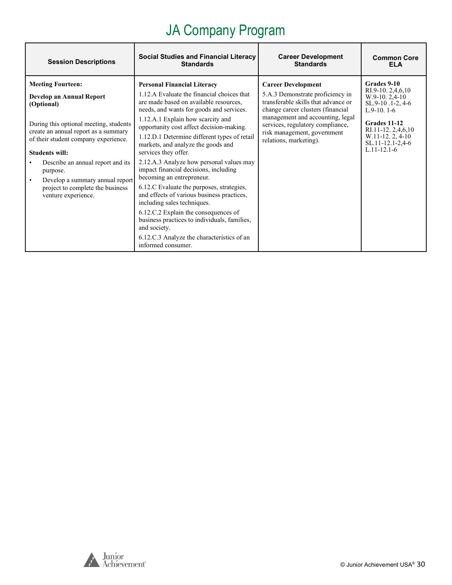| <b>Session Descriptions</b>                                                                                                                                                                                                                                                                                                                                          | <b>Social Studies and Financial Literacy</b>                                                                                                                                                                                                                                                                                                                                                                                                                                                                                                                                                                                                                                                                                                                                                  | <b>Career Development</b>                                                                                                                                                                                                                                                  | <b>Common Core</b>                                                                                                                                                                         |
|----------------------------------------------------------------------------------------------------------------------------------------------------------------------------------------------------------------------------------------------------------------------------------------------------------------------------------------------------------------------|-----------------------------------------------------------------------------------------------------------------------------------------------------------------------------------------------------------------------------------------------------------------------------------------------------------------------------------------------------------------------------------------------------------------------------------------------------------------------------------------------------------------------------------------------------------------------------------------------------------------------------------------------------------------------------------------------------------------------------------------------------------------------------------------------|----------------------------------------------------------------------------------------------------------------------------------------------------------------------------------------------------------------------------------------------------------------------------|--------------------------------------------------------------------------------------------------------------------------------------------------------------------------------------------|
|                                                                                                                                                                                                                                                                                                                                                                      | <b>Standards</b>                                                                                                                                                                                                                                                                                                                                                                                                                                                                                                                                                                                                                                                                                                                                                                              | <b>Standards</b>                                                                                                                                                                                                                                                           | FI A                                                                                                                                                                                       |
| <b>Meeting Fourteen:</b><br>Develop an Annual Report<br>(Optional)<br>During this optional meeting, students<br>create an annual report as a summary<br>of their student company experience.<br><b>Students will:</b><br>Describe an annual report and its<br>purpose.<br>Develop a summary annual report<br>project to complete the business<br>venture experience. | <b>Personal Financial Literacy</b><br>1.12.A Evaluate the financial choices that<br>are made based on available resources,<br>needs, and wants for goods and services.<br>1.12.A.1 Explain how scarcity and<br>opportunity cost affect decision-making.<br>1.12.D.1 Determine different types of retail<br>markets, and analyze the goods and<br>services they offer.<br>2.12.A.3 Analyze how personal values may<br>impact financial decisions, including<br>becoming an entrepreneur.<br>6.12.C Evaluate the purposes, strategies,<br>and effects of various business practices,<br>including sales techniques.<br>6.12.C.2 Explain the consequences of<br>business practices to individuals, families,<br>and society.<br>6.12.C.3 Analyze the characteristics of an<br>informed consumer. | <b>Career Development</b><br>5.A.3 Demonstrate proficiency in<br>transferable skills that advance or<br>change career clusters (financial<br>management and accounting, legal<br>services, regulatory compliance,<br>risk management, government<br>relations, marketing). | Grades 9-10<br>RI.9-10. $2,4,6,10$<br>$W.9-10.2.4-10$<br>SL.9-10.1-2, 4-6<br>$L.9-10.1-6$<br>Grades 11-12<br>RI.11-12.2,4,6,10<br>W.11-12.2, 4-10<br>SL.11-12.1-2,4-6<br>$L.11 - 12.1 - 6$ |

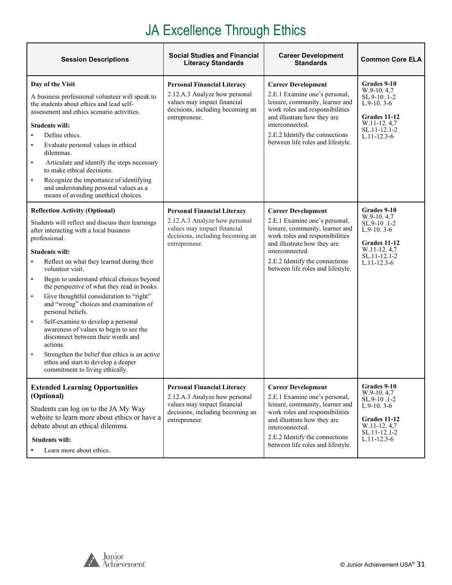# JA Excellence Through Ethics

| <b>Session Descriptions</b>                                                                                                                                                                                                                                                                                                                                                                                                                                                                                                                                                                                                                                                                                                                                    | <b>Social Studies and Financial</b><br><b>Literacy Standards</b>                                                                                        | <b>Career Development</b><br><b>Standards</b>                                                                                                                                                                                                             | <b>Common Core ELA</b>                                                                                                           |
|----------------------------------------------------------------------------------------------------------------------------------------------------------------------------------------------------------------------------------------------------------------------------------------------------------------------------------------------------------------------------------------------------------------------------------------------------------------------------------------------------------------------------------------------------------------------------------------------------------------------------------------------------------------------------------------------------------------------------------------------------------------|---------------------------------------------------------------------------------------------------------------------------------------------------------|-----------------------------------------------------------------------------------------------------------------------------------------------------------------------------------------------------------------------------------------------------------|----------------------------------------------------------------------------------------------------------------------------------|
| Day of the Visit<br>A business professional volunteer will speak to<br>the students about ethics and lead self-<br>assessment and ethics scenario activities.<br><b>Students will:</b><br>Define ethics.<br>Evaluate personal values in ethical<br>$\bullet$<br>dilemmas.<br>Articulate and identify the steps necessary<br>$\bullet$<br>to make ethical decisions.<br>Recognize the importance of identifying<br>$\bullet$<br>and understanding personal values as a<br>means of avoiding unethical choices.                                                                                                                                                                                                                                                  | <b>Personal Financial Literacy</b><br>2.12.A.3 Analyze how personal<br>values may impact financial<br>decisions, including becoming an<br>entrepreneur. | <b>Career Development</b><br>2.E.1 Examine one's personal,<br>leisure, community, learner and<br>work roles and responsibilities<br>and illustrate how they are<br>interconnected.<br>2.E.2 Identify the connections<br>between life roles and lifestyle. | Grades 9-10<br>$W.9-10.4.7$<br>SL.9-10.1-2<br>$L.9-10.3-6$<br>Grades 11-12<br>W.11-12.4,7<br>SL.11-12.1-2<br>$L.11 - 12.3 - 6$   |
| <b>Reflection Activity (Optional)</b><br>Students will reflect and discuss their learnings<br>after interacting with a local business<br>professional.<br><b>Students will:</b><br>Reflect on what they learned during their<br>volunteer visit.<br>Begin to understand ethical choices beyond<br>$\bullet$<br>the perspective of what they read in books.<br>Give thoughtful consideration to "right"<br>$\bullet$<br>and "wrong" choices and examination of<br>personal beliefs.<br>Self-examine to develop a personal<br>$\bullet$<br>awareness of values to begin to see the<br>disconnect between their words and<br>actions.<br>Strengthen the belief that ethics is an active<br>ethos and start to develop a deeper<br>commitment to living ethically. | <b>Personal Financial Literacy</b><br>2.12.A.3 Analyze how personal<br>values may impact financial<br>decisions, including becoming an<br>entrepreneur. | <b>Career Development</b><br>2.E.1 Examine one's personal,<br>leisure, community, learner and<br>work roles and responsibilities<br>and illustrate how they are<br>interconnected.<br>2.E.2 Identify the connections<br>between life roles and lifestyle. | Grades 9-10<br>$W.9-10.4,7$<br>SL.9-10.1-2<br>$L.9-10.3-6$<br>Grades 11-12<br>W.11-12.4,7<br>SL.11-12.1-2<br>$L.11 - 12.3 - 6$   |
| <b>Extended Learning Opportunities</b><br>(Optional)<br>Students can log on to the JA My Way<br>website to learn more about ethics or have a<br>debate about an ethical dilemma.<br><b>Students will:</b><br>Learn more about ethics.                                                                                                                                                                                                                                                                                                                                                                                                                                                                                                                          | <b>Personal Financial Literacy</b><br>2.12.A.3 Analyze how personal<br>values may impact financial<br>decisions, including becoming an<br>entrepreneur. | <b>Career Development</b><br>2.E.1 Examine one's personal,<br>leisure, community, learner and<br>work roles and responsibilities<br>and illustrate how they are<br>interconnected.<br>2.E.2 Identify the connections<br>between life roles and lifestyle. | Grades 9-10<br>$W.9-10.4.7$<br>SL.9-10.1-2<br>$L.9-10.3-6$<br>Grades 11-12<br>$W.11-12.4,7$<br>SL.11-12.1-2<br>$L.11 - 12.3 - 6$ |

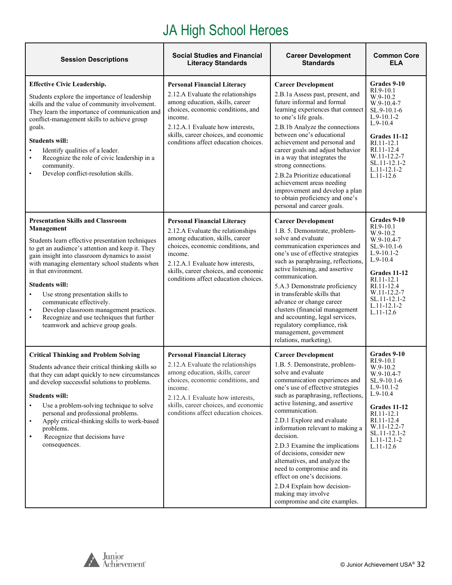# JA High School Heroes

| <b>Session Descriptions</b>                                                                                                                                                                                                                                                                                                                                                                                                                                                                                                                | <b>Social Studies and Financial</b><br><b>Literacy Standards</b>                                                                                                                                                                                                               | <b>Career Development</b><br><b>Standards</b>                                                                                                                                                                                                                                                                                                                                                                                                                                                                                                                                       | <b>Common Core</b><br><b>ELA</b>                                                                                                                                                                                     |
|--------------------------------------------------------------------------------------------------------------------------------------------------------------------------------------------------------------------------------------------------------------------------------------------------------------------------------------------------------------------------------------------------------------------------------------------------------------------------------------------------------------------------------------------|--------------------------------------------------------------------------------------------------------------------------------------------------------------------------------------------------------------------------------------------------------------------------------|-------------------------------------------------------------------------------------------------------------------------------------------------------------------------------------------------------------------------------------------------------------------------------------------------------------------------------------------------------------------------------------------------------------------------------------------------------------------------------------------------------------------------------------------------------------------------------------|----------------------------------------------------------------------------------------------------------------------------------------------------------------------------------------------------------------------|
| <b>Effective Civic Leadership.</b><br>Students explore the importance of leadership<br>skills and the value of community involvement.<br>They learn the importance of communication and<br>conflict-management skills to achieve group<br>goals.<br><b>Students will:</b><br>Identify qualities of a leader.<br>$\bullet$<br>Recognize the role of civic leadership in a<br>$\bullet$<br>community.<br>Develop conflict-resolution skills.<br>$\bullet$                                                                                    | <b>Personal Financial Literacy</b><br>2.12.A Evaluate the relationships<br>among education, skills, career<br>choices, economic conditions, and<br>income.<br>2.12.A.1 Evaluate how interests,<br>skills, career choices, and economic<br>conditions affect education choices. | <b>Career Development</b><br>2.B.1a Assess past, present, and<br>future informal and formal<br>learning experiences that connect<br>to one's life goals.<br>2.B.1b Analyze the connections<br>between one's educational<br>achievement and personal and<br>career goals and adjust behavior<br>in a way that integrates the<br>strong connections.<br>2.B.2a Prioritize educational<br>achievement areas needing<br>improvement and develop a plan<br>to obtain proficiency and one's<br>personal and career goals.                                                                 | Grades 9-10<br>RI.9-10.1<br>$W.9-10.2$<br>$W.9-10.4-7$<br>SL.9-10.1-6<br>$L.9-10.1-2$<br>$L.9-10.4$<br>Grades 11-12<br>RI.11-12.1<br>RI.11-12.4<br>W.11-12.2-7<br>SL.11-12.1-2<br>$L.11 - 12.1 - 2$<br>$L.11 - 12.6$ |
| <b>Presentation Skills and Classroom</b><br>Management<br>Students learn effective presentation techniques<br>to get an audience's attention and keep it. They<br>gain insight into classroom dynamics to assist<br>with managing elementary school students when<br>in that environment.<br><b>Students will:</b><br>Use strong presentation skills to<br>communicate effectively.<br>Develop classroom management practices.<br>$\bullet$<br>Recognize and use techniques that further<br>$\bullet$<br>teamwork and achieve group goals. | <b>Personal Financial Literacy</b><br>2.12.A Evaluate the relationships<br>among education, skills, career<br>choices, economic conditions, and<br>income.<br>2.12.A.1 Evaluate how interests,<br>skills, career choices, and economic<br>conditions affect education choices. | <b>Career Development</b><br>1.B. 5. Demonstrate, problem-<br>solve and evaluate<br>communication experiences and<br>one's use of effective strategies<br>such as paraphrasing, reflections,<br>active listening, and assertive<br>communication.<br>5.A.3 Demonstrate proficiency<br>in transferable skills that<br>advance or change career<br>clusters (financial management<br>and accounting, legal services,<br>regulatory compliance, risk<br>management, government<br>relations, marketing).                                                                               | Grades 9-10<br>RI.9-10.1<br>W.9-10.2<br>$W.9-10.4-7$<br>SL.9-10.1-6<br>L.9-10.1-2<br>$L.9-10.4$<br>Grades 11-12<br>RI.11-12.1<br>RI.11-12.4<br>W.11-12.2-7<br>SL.11-12.1-2<br>$L.11 - 12.1 - 2$<br>L.11-12.6         |
| <b>Critical Thinking and Problem Solving</b><br>Students advance their critical thinking skills so<br>that they can adapt quickly to new circumstances<br>and develop successful solutions to problems.<br><b>Students will:</b><br>Use a problem-solving technique to solve<br>personal and professional problems.<br>Apply critical-thinking skills to work-based<br>$\bullet$<br>problems.<br>Recognize that decisions have<br>$\bullet$<br>consequences.                                                                               | <b>Personal Financial Literacy</b><br>2.12.A Evaluate the relationships<br>among education, skills, career<br>choices, economic conditions, and<br>income.<br>2.12.A.1 Evaluate how interests,<br>skills, career choices, and economic<br>conditions affect education choices. | <b>Career Development</b><br>1.B. 5. Demonstrate, problem-<br>solve and evaluate<br>communication experiences and<br>one's use of effective strategies<br>such as paraphrasing, reflections,<br>active listening, and assertive<br>communication.<br>2.D.1 Explore and evaluate<br>information relevant to making a<br>decision.<br>2.D.3 Examine the implications<br>of decisions, consider new<br>alternatives, and analyze the<br>need to compromise and its<br>effect on one's decisions.<br>2.D.4 Explain how decision-<br>making may involve<br>compromise and cite examples. | Grades 9-10<br>RI.9-10.1<br>W.9-10.2<br>W.9-10.4-7<br>SL.9-10.1-6<br>$L.9-10.1-2$<br>$L.9-10.4$<br>Grades 11-12<br>RI.11-12.1<br>RI.11-12.4<br>W.11-12.2-7<br>SL.11-12.1-2<br>$L.11 - 12.1 - 2$<br>$L.11 - 12.6$     |

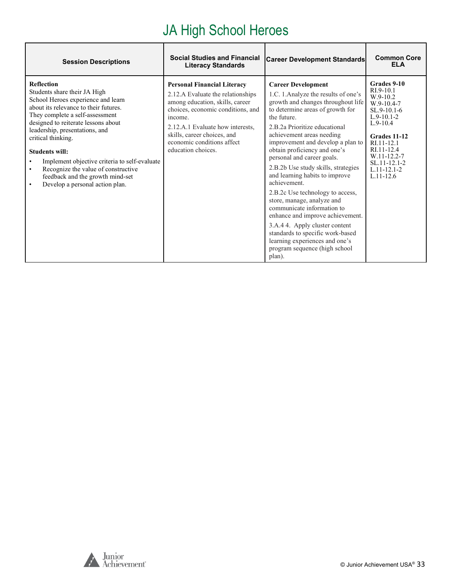# JA High School Heroes

| <b>Session Descriptions</b>                                                                                                                                                                                                                                                                                                                                                                                                                                             | <b>Social Studies and Financial</b><br><b>Literacy Standards</b>                                                                                                                                                                                                                  | <b>Career Development Standards</b>                                                                                                                                                                                                                                                                                                                                                                                                                                                                                                                                                                                                                                                                         | <b>Common Core</b><br><b>ELA</b>                                                                                                                                                                                       |
|-------------------------------------------------------------------------------------------------------------------------------------------------------------------------------------------------------------------------------------------------------------------------------------------------------------------------------------------------------------------------------------------------------------------------------------------------------------------------|-----------------------------------------------------------------------------------------------------------------------------------------------------------------------------------------------------------------------------------------------------------------------------------|-------------------------------------------------------------------------------------------------------------------------------------------------------------------------------------------------------------------------------------------------------------------------------------------------------------------------------------------------------------------------------------------------------------------------------------------------------------------------------------------------------------------------------------------------------------------------------------------------------------------------------------------------------------------------------------------------------------|------------------------------------------------------------------------------------------------------------------------------------------------------------------------------------------------------------------------|
| <b>Reflection</b><br>Students share their JA High<br>School Heroes experience and learn<br>about its relevance to their futures.<br>They complete a self-assessment<br>designed to reiterate lessons about<br>leadership, presentations, and<br>critical thinking.<br><b>Students will:</b><br>Implement objective criteria to self-evaluate<br>Recognize the value of constructive<br>$\bullet$<br>feedback and the growth mind-set<br>Develop a personal action plan. | <b>Personal Financial Literacy</b><br>2.12.A Evaluate the relationships<br>among education, skills, career<br>choices, economic conditions, and<br>income.<br>2.12.A.1 Evaluate how interests,<br>skills, career choices, and<br>economic conditions affect<br>education choices. | <b>Career Development</b><br>1.C. 1. Analyze the results of one's<br>growth and changes throughout life<br>to determine areas of growth for<br>the future.<br>2.B.2a Prioritize educational<br>achievement areas needing<br>improvement and develop a plan to<br>obtain proficiency and one's<br>personal and career goals.<br>2.B.2b Use study skills, strategies<br>and learning habits to improve<br>achievement.<br>2.B.2c Use technology to access,<br>store, manage, analyze and<br>communicate information to<br>enhance and improve achievement.<br>3.A.4 4. Apply cluster content<br>standards to specific work-based<br>learning experiences and one's<br>program sequence (high school<br>plan). | Grades 9-10<br>RI.9-10.1<br>$W.9-10.2$<br>$W.9-10.4-7$<br>$SL.9-10.1-6$<br>$L.9-10.1-2$<br>$L.9-10.4$<br>Grades 11-12<br>RI.11-12.1<br>RI.11-12.4<br>W.11-12.2-7<br>SL.11-12.1-2<br>$L.11 - 12.1 - 2$<br>$L.11 - 12.6$ |

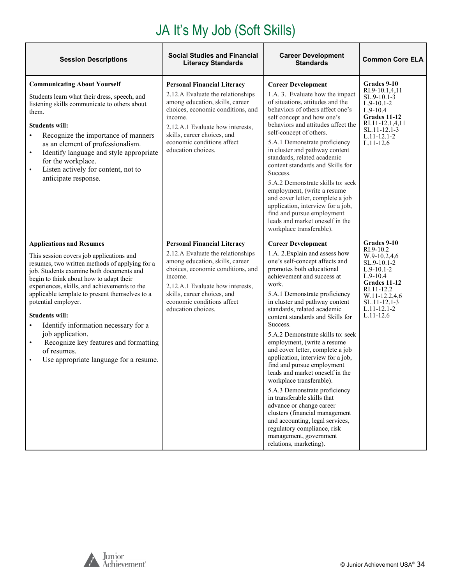# JA It's My Job (Soft Skills)

| <b>Session Descriptions</b>                                                                                                                                                                                                                                                                                                                                                                                                                                                                                                                                                 | <b>Social Studies and Financial</b><br><b>Literacy Standards</b>                                                                                                                                                                                                                  | <b>Career Development</b><br><b>Standards</b>                                                                                                                                                                                                                                                                                                                                                                                                                                                                                                                                                                                                                                                                                                                                                                     | <b>Common Core ELA</b>                                                                                                                                                                     |
|-----------------------------------------------------------------------------------------------------------------------------------------------------------------------------------------------------------------------------------------------------------------------------------------------------------------------------------------------------------------------------------------------------------------------------------------------------------------------------------------------------------------------------------------------------------------------------|-----------------------------------------------------------------------------------------------------------------------------------------------------------------------------------------------------------------------------------------------------------------------------------|-------------------------------------------------------------------------------------------------------------------------------------------------------------------------------------------------------------------------------------------------------------------------------------------------------------------------------------------------------------------------------------------------------------------------------------------------------------------------------------------------------------------------------------------------------------------------------------------------------------------------------------------------------------------------------------------------------------------------------------------------------------------------------------------------------------------|--------------------------------------------------------------------------------------------------------------------------------------------------------------------------------------------|
| <b>Communicating About Yourself</b><br>Students learn what their dress, speech, and<br>listening skills communicate to others about<br>them.<br><b>Students will:</b><br>Recognize the importance of manners<br>$\bullet$<br>as an element of professionalism.<br>Identify language and style appropriate<br>$\bullet$<br>for the workplace.<br>Listen actively for content, not to<br>$\bullet$<br>anticipate response.                                                                                                                                                    | <b>Personal Financial Literacy</b><br>2.12.A Evaluate the relationships<br>among education, skills, career<br>choices, economic conditions, and<br>income.<br>2.12.A.1 Evaluate how interests.<br>skills, career choices, and<br>economic conditions affect<br>education choices. | <b>Career Development</b><br>1.A. 3. Evaluate how the impact<br>of situations, attitudes and the<br>behaviors of others affect one's<br>self concept and how one's<br>behaviors and attitudes affect the<br>self-concept of others.<br>5.A.1 Demonstrate proficiency<br>in cluster and pathway content<br>standards, related academic<br>content standards and Skills for<br>Success.<br>5.A.2 Demonstrate skills to: seek<br>employment, (write a resume<br>and cover letter, complete a job<br>application, interview for a job,<br>find and pursue employment<br>leads and market oneself in the<br>workplace transferable).                                                                                                                                                                                   | Grades 9-10<br>RI.9-10.1,4,11<br>$SL.9-10.1-3$<br>$L.9-10.1-2$<br>$L.9-10.4$<br>Grades 11-12<br>RI.11-12.1,4,11<br>SL.11-12.1-3<br>$L.11 - 12.1 - 2$<br>$L.11 - 12.6$                      |
| <b>Applications and Resumes</b><br>This session covers job applications and<br>resumes, two written methods of applying for a<br>job. Students examine both documents and<br>begin to think about how to adapt their<br>experiences, skills, and achievements to the<br>applicable template to present themselves to a<br>potential employer.<br><b>Students will:</b><br>Identify information necessary for a<br>$\bullet$<br>job application.<br>Recognize key features and formatting<br>$\bullet$<br>of resumes.<br>Use appropriate language for a resume.<br>$\bullet$ | <b>Personal Financial Literacy</b><br>2.12.A Evaluate the relationships<br>among education, skills, career<br>choices, economic conditions, and<br>income.<br>2.12.A.1 Evaluate how interests,<br>skills, career choices, and<br>economic conditions affect<br>education choices. | <b>Career Development</b><br>1.A. 2. Explain and assess how<br>one's self-concept affects and<br>promotes both educational<br>achievement and success at<br>work.<br>5.A.1 Demonstrate proficiency<br>in cluster and pathway content<br>standards, related academic<br>content standards and Skills for<br>Success.<br>5.A.2 Demonstrate skills to: seek<br>employment, (write a resume<br>and cover letter, complete a job<br>application, interview for a job,<br>find and pursue employment<br>leads and market oneself in the<br>workplace transferable).<br>5.A.3 Demonstrate proficiency<br>in transferable skills that<br>advance or change career<br>clusters (financial management<br>and accounting, legal services,<br>regulatory compliance, risk<br>management, government<br>relations, marketing). | Grades 9-10<br>RI.9-10.2<br>W.9-10.2,4,6<br>SL.9-10.1-2<br>$L.9-10.1-2$<br>$L.9-10.4$<br>Grades 11-12<br>RI.11-12.2<br>W.11-12.2,4,6<br>SL.11-12.1-3<br>$L.11 - 12.1 - 2$<br>$L.11 - 12.6$ |



 $\overline{1}$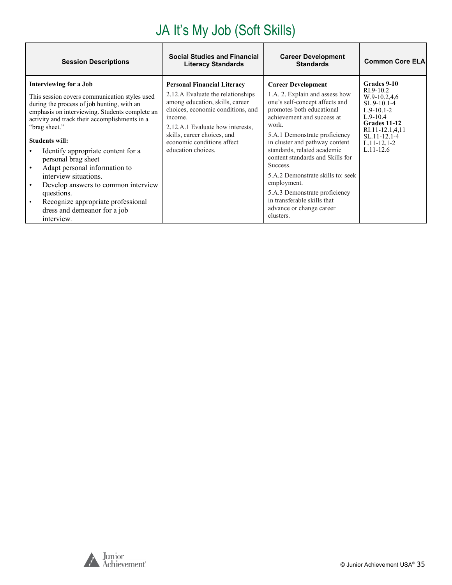# JA It's My Job (Soft Skills)

| <b>Session Descriptions</b>                                                                                                                                                                                                                                                                                                                                                                                                                                                                                                                     | <b>Social Studies and Financial</b><br><b>Literacy Standards</b>                                                                                                                                                                                                                  | <b>Career Development</b><br><b>Standards</b>                                                                                                                                                                                                                                                                                                                                                                                                                                    | <b>Common Core ELA</b>                                                                                                                                                             |
|-------------------------------------------------------------------------------------------------------------------------------------------------------------------------------------------------------------------------------------------------------------------------------------------------------------------------------------------------------------------------------------------------------------------------------------------------------------------------------------------------------------------------------------------------|-----------------------------------------------------------------------------------------------------------------------------------------------------------------------------------------------------------------------------------------------------------------------------------|----------------------------------------------------------------------------------------------------------------------------------------------------------------------------------------------------------------------------------------------------------------------------------------------------------------------------------------------------------------------------------------------------------------------------------------------------------------------------------|------------------------------------------------------------------------------------------------------------------------------------------------------------------------------------|
| Interviewing for a Job<br>This session covers communication styles used<br>during the process of job hunting, with an<br>emphasis on interviewing. Students complete an<br>activity and track their accomplishments in a<br>"brag sheet."<br><b>Students will:</b><br>Identify appropriate content for a<br>personal brag sheet<br>Adapt personal information to<br>interview situations.<br>Develop answers to common interview<br>questions.<br>Recognize appropriate professional<br>$\bullet$<br>dress and demeanor for a job<br>interview. | <b>Personal Financial Literacy</b><br>2.12.A Evaluate the relationships<br>among education, skills, career<br>choices, economic conditions, and<br>income.<br>2.12.A.1 Evaluate how interests.<br>skills, career choices, and<br>economic conditions affect<br>education choices. | <b>Career Development</b><br>1.A. 2. Explain and assess how<br>one's self-concept affects and<br>promotes both educational<br>achievement and success at<br>work.<br>5.A.1 Demonstrate proficiency<br>in cluster and pathway content<br>standards, related academic<br>content standards and Skills for<br>Success.<br>5.A.2 Demonstrate skills to: seek<br>employment.<br>5.A.3 Demonstrate proficiency<br>in transferable skills that<br>advance or change career<br>clusters. | Grades 9-10<br>$RI.9-10.2$<br>$W.9-10.2,4.6$<br>SL.9-10.1-4<br>$L.9-10.1-2$<br>$L.9-10.4$<br>Grades 11-12<br>RI.11-12.1,4,11<br>SL.11-12.1-4<br>$L.11 - 12.1 - 2$<br>$L.11 - 12.6$ |

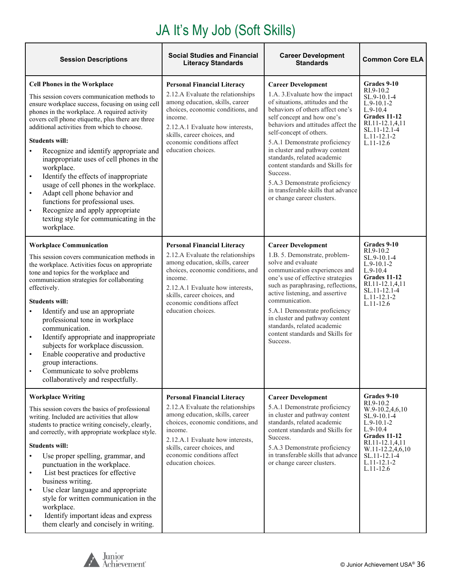# JA It's My Job (Soft Skills)

| <b>Session Descriptions</b>                                                                                                                                                                                                                                                                                                                                                                                                                                                                                                                                                                                                                                                                                                     | <b>Social Studies and Financial</b><br><b>Literacy Standards</b>                                                                                                                                                                                                                  | <b>Career Development</b><br><b>Standards</b>                                                                                                                                                                                                                                                                                                                                                                                                                                               | <b>Common Core ELA</b>                                                                                                                                                                        |
|---------------------------------------------------------------------------------------------------------------------------------------------------------------------------------------------------------------------------------------------------------------------------------------------------------------------------------------------------------------------------------------------------------------------------------------------------------------------------------------------------------------------------------------------------------------------------------------------------------------------------------------------------------------------------------------------------------------------------------|-----------------------------------------------------------------------------------------------------------------------------------------------------------------------------------------------------------------------------------------------------------------------------------|---------------------------------------------------------------------------------------------------------------------------------------------------------------------------------------------------------------------------------------------------------------------------------------------------------------------------------------------------------------------------------------------------------------------------------------------------------------------------------------------|-----------------------------------------------------------------------------------------------------------------------------------------------------------------------------------------------|
| <b>Cell Phones in the Workplace</b><br>This session covers communication methods to<br>ensure workplace success, focusing on using cell<br>phones in the workplace. A required activity<br>covers cell phone etiquette, plus there are three<br>additional activities from which to choose.<br><b>Students will:</b><br>Recognize and identify appropriate and<br>$\bullet$<br>inappropriate uses of cell phones in the<br>workplace.<br>Identify the effects of inappropriate<br>$\bullet$<br>usage of cell phones in the workplace.<br>Adapt cell phone behavior and<br>$\bullet$<br>functions for professional uses.<br>Recognize and apply appropriate<br>$\bullet$<br>texting style for communicating in the<br>workplace. | <b>Personal Financial Literacy</b><br>2.12.A Evaluate the relationships<br>among education, skills, career<br>choices, economic conditions, and<br>income.<br>2.12.A.1 Evaluate how interests,<br>skills, career choices, and<br>economic conditions affect<br>education choices. | <b>Career Development</b><br>1.A. 3. Evaluate how the impact<br>of situations, attitudes and the<br>behaviors of others affect one's<br>self concept and how one's<br>behaviors and attitudes affect the<br>self-concept of others.<br>5.A.1 Demonstrate proficiency<br>in cluster and pathway content<br>standards, related academic<br>content standards and Skills for<br>Success.<br>5.A.3 Demonstrate proficiency<br>in transferable skills that advance<br>or change career clusters. | Grades 9-10<br>RI.9-10.2<br>SL.9-10.1-4<br>$L.9-10.1-2$<br>$L.9-10.4$<br>Grades 11-12<br>RI.11-12.1,4,11<br>SL.11-12.1-4<br>L.11-12.1-2<br>$L.11-12.6$                                        |
| <b>Workplace Communication</b><br>This session covers communication methods in<br>the workplace. Activities focus on appropriate<br>tone and topics for the workplace and<br>communication strategies for collaborating<br>effectively.<br><b>Students will:</b><br>Identify and use an appropriate<br>$\bullet$<br>professional tone in workplace<br>communication.<br>Identify appropriate and inappropriate<br>$\bullet$<br>subjects for workplace discussion.<br>Enable cooperative and productive<br>$\bullet$<br>group interactions.<br>Communicate to solve problems<br>collaboratively and respectfully.                                                                                                                | <b>Personal Financial Literacy</b><br>2.12.A Evaluate the relationships<br>among education, skills, career<br>choices, economic conditions, and<br>income.<br>2.12.A.1 Evaluate how interests,<br>skills, career choices, and<br>economic conditions affect<br>education choices. | <b>Career Development</b><br>1.B. 5. Demonstrate, problem-<br>solve and evaluate<br>communication experiences and<br>one's use of effective strategies<br>such as paraphrasing, reflections,<br>active listening, and assertive<br>communication.<br>5.A.1 Demonstrate proficiency<br>in cluster and pathway content<br>standards, related academic<br>content standards and Skills for<br>Success.                                                                                         | Grades 9-10<br>$RI.9-10.2$<br>SL.9-10.1-4<br>$L.9-10.1-2$<br>$L.9-10.4$<br>Grades 11-12<br>RI.11-12.1,4,11<br>SL.11-12.1-4<br>$L.11 - 12.1 - 2$<br>$L.11-12.6$                                |
| <b>Workplace Writing</b><br>This session covers the basics of professional<br>writing. Included are activities that allow<br>students to practice writing concisely, clearly,<br>and correctly, with appropriate workplace style.<br><b>Students will:</b><br>Use proper spelling, grammar, and<br>punctuation in the workplace.<br>List best practices for effective<br>$\bullet$<br>business writing.<br>Use clear language and appropriate<br>$\bullet$<br>style for written communication in the<br>workplace.<br>Identify important ideas and express<br>$\bullet$<br>them clearly and concisely in writing.                                                                                                               | <b>Personal Financial Literacy</b><br>2.12.A Evaluate the relationships<br>among education, skills, career<br>choices, economic conditions, and<br>income.<br>2.12.A.1 Evaluate how interests,<br>skills, career choices, and<br>economic conditions affect<br>education choices. | <b>Career Development</b><br>5.A.1 Demonstrate proficiency<br>in cluster and pathway content<br>standards, related academic<br>content standards and Skills for<br>Success.<br>5.A.3 Demonstrate proficiency<br>in transferable skills that advance<br>or change career clusters.                                                                                                                                                                                                           | Grades 9-10<br>RI.9-10.2<br>W.9-10.2,4,6,10<br>SL.9-10.1-4<br>$L.9-10.1-2$<br>$L.9-10.4$<br>Grades 11-12<br>RI.11-12.1,4,11<br>W.11-12.2,4,6,10<br>SL.11-12.1-4<br>L.11-12.1-2<br>$L.11-12.6$ |

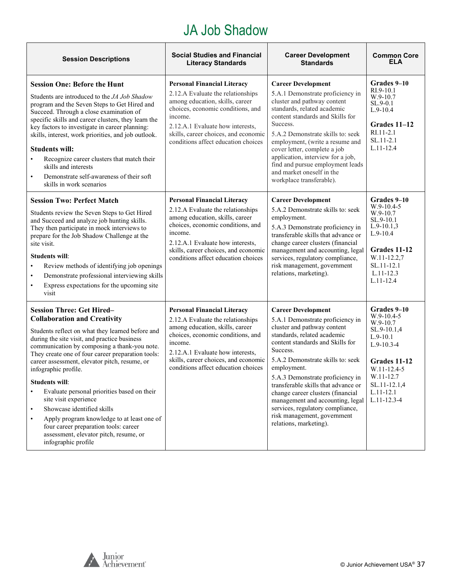#### JA Job Shadow

| <b>Session Descriptions</b>                                                                                                                                                                                                                                                                                                                                                                                                                                                                                                                                                                                                                                                             | <b>Social Studies and Financial</b><br><b>Literacy Standards</b>                                                                                                                                                                                                              | <b>Career Development</b><br><b>Standards</b>                                                                                                                                                                                                                                                                                                                                                                                                                                    | <b>Common Core</b><br><b>ELA</b>                                                                                                                                                       |
|-----------------------------------------------------------------------------------------------------------------------------------------------------------------------------------------------------------------------------------------------------------------------------------------------------------------------------------------------------------------------------------------------------------------------------------------------------------------------------------------------------------------------------------------------------------------------------------------------------------------------------------------------------------------------------------------|-------------------------------------------------------------------------------------------------------------------------------------------------------------------------------------------------------------------------------------------------------------------------------|----------------------------------------------------------------------------------------------------------------------------------------------------------------------------------------------------------------------------------------------------------------------------------------------------------------------------------------------------------------------------------------------------------------------------------------------------------------------------------|----------------------------------------------------------------------------------------------------------------------------------------------------------------------------------------|
| <b>Session One: Before the Hunt</b><br>Students are introduced to the JA Job Shadow<br>program and the Seven Steps to Get Hired and<br>Succeed. Through a close examination of<br>specific skills and career clusters, they learn the<br>key factors to investigate in career planning:<br>skills, interest, work priorities, and job outlook.<br><b>Students will:</b><br>Recognize career clusters that match their<br>$\bullet$<br>skills and interests<br>Demonstrate self-awareness of their soft<br>$\bullet$<br>skills in work scenarios                                                                                                                                         | <b>Personal Financial Literacy</b><br>2.12.A Evaluate the relationships<br>among education, skills, career<br>choices, economic conditions, and<br>income.<br>2.12.A.1 Evaluate how interests,<br>skills, career choices, and economic<br>conditions affect education choices | <b>Career Development</b><br>5.A.1 Demonstrate proficiency in<br>cluster and pathway content<br>standards, related academic<br>content standards and Skills for<br>Success.<br>5.A.2 Demonstrate skills to: seek<br>employment, (write a resume and<br>cover letter, complete a job<br>application, interview for a job,<br>find and pursue employment leads<br>and market oneself in the<br>workplace transferable).                                                            | Grades 9-10<br>$RI.9-10.1$<br>W.9-10.7<br>$SL.9-0.1$<br>$L.9-10.4$<br>Grades 11-12<br>RI.11-2.1<br>$SL.11-2.1$<br>$L.11 - 12.4$                                                        |
| <b>Session Two: Perfect Match</b><br>Students review the Seven Steps to Get Hired<br>and Succeed and analyze job hunting skills.<br>They then participate in mock interviews to<br>prepare for the Job Shadow Challenge at the<br>site visit.<br><b>Students will:</b><br>Review methods of identifying job openings<br>$\bullet$<br>Demonstrate professional interviewing skills<br>$\bullet$<br>Express expectations for the upcoming site<br>$\bullet$<br>visit                                                                                                                                                                                                                      | <b>Personal Financial Literacy</b><br>2.12.A Evaluate the relationships<br>among education, skills, career<br>choices, economic conditions, and<br>income.<br>2.12.A.1 Evaluate how interests,<br>skills, career choices, and economic<br>conditions affect education choices | <b>Career Development</b><br>5.A.2 Demonstrate skills to: seek<br>employment.<br>5.A.3 Demonstrate proficiency in<br>transferable skills that advance or<br>change career clusters (financial<br>management and accounting, legal<br>services, regulatory compliance,<br>risk management, government<br>relations, marketing).                                                                                                                                                   | Grades 9-10<br>$W.9-10.4-5$<br>W.9-10.7<br>SL.9-10.1<br>$L.9-10.1,3$<br>$L.9-10.4$<br>Grades 11-12<br>W.11-12.2,7<br>SL.11-12.1<br>$L.11-12.3$<br>$L.11 - 12.4$                        |
| <b>Session Three: Get Hired-</b><br><b>Collaboration and Creativity</b><br>Students reflect on what they learned before and<br>during the site visit, and practice business<br>communication by composing a thank-you note.<br>They create one of four career preparation tools:<br>career assessment, elevator pitch, resume, or<br>infographic profile.<br><b>Students will:</b><br>Evaluate personal priorities based on their<br>$\bullet$<br>site visit experience<br>Showcase identified skills<br>$\bullet$<br>Apply program knowledge to at least one of<br>$\bullet$<br>four career preparation tools: career<br>assessment, elevator pitch, resume, or<br>infographic profile | <b>Personal Financial Literacy</b><br>2.12.A Evaluate the relationships<br>among education, skills, career<br>choices, economic conditions, and<br>income.<br>2.12.A.1 Evaluate how interests,<br>skills, career choices, and economic<br>conditions affect education choices | <b>Career Development</b><br>5.A.1 Demonstrate proficiency in<br>cluster and pathway content<br>standards, related academic<br>content standards and Skills for<br>Success.<br>5.A.2 Demonstrate skills to: seek<br>employment.<br>5.A.3 Demonstrate proficiency in<br>transferable skills that advance or<br>change career clusters (financial<br>management and accounting, legal<br>services, regulatory compliance,<br>risk management, government<br>relations, marketing). | Grades 9-10<br>$W.9-10.4-5$<br>W.9-10.7<br>SL.9-10.1,4<br>$L.9-10.1$<br>$L.9-10.3-4$<br>Grades 11-12<br>W.11-12.4-5<br>W.11-12.7<br>SL.11-12.1,4<br>$L.11 - 12.1$<br>$L.11 - 12.3 - 4$ |

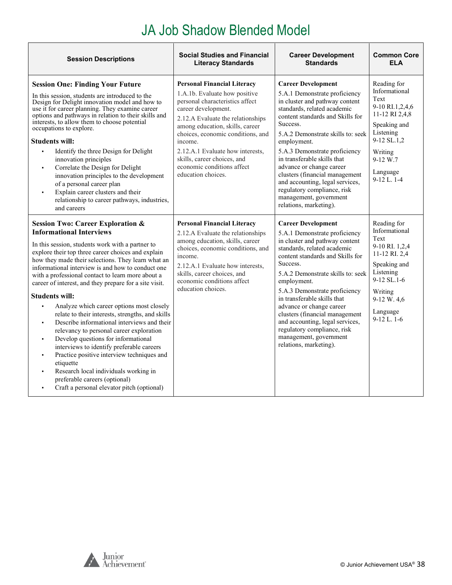# JA Job Shadow Blended Model

| <b>Session Descriptions</b>                                                                                                                                                                                                                                                                                                                                                                                                                                                                                                                                                                                                                                                                                                                                                                                                                                                                                                                                                                                    | <b>Social Studies and Financial</b><br><b>Literacy Standards</b>                                                                                                                                                                                                                                                                                                             | <b>Career Development</b><br><b>Standards</b>                                                                                                                                                                                                                                                                                                                                                                                                                                       | <b>Common Core</b><br>FI A                                                                                                                                                   |
|----------------------------------------------------------------------------------------------------------------------------------------------------------------------------------------------------------------------------------------------------------------------------------------------------------------------------------------------------------------------------------------------------------------------------------------------------------------------------------------------------------------------------------------------------------------------------------------------------------------------------------------------------------------------------------------------------------------------------------------------------------------------------------------------------------------------------------------------------------------------------------------------------------------------------------------------------------------------------------------------------------------|------------------------------------------------------------------------------------------------------------------------------------------------------------------------------------------------------------------------------------------------------------------------------------------------------------------------------------------------------------------------------|-------------------------------------------------------------------------------------------------------------------------------------------------------------------------------------------------------------------------------------------------------------------------------------------------------------------------------------------------------------------------------------------------------------------------------------------------------------------------------------|------------------------------------------------------------------------------------------------------------------------------------------------------------------------------|
| <b>Session One: Finding Your Future</b><br>In this session, students are introduced to the<br>Design for Delight innovation model and how to<br>use it for career planning. They examine career<br>options and pathways in relation to their skills and<br>interests, to allow them to choose potential<br>occupations to explore.<br><b>Students will:</b><br>Identify the three Design for Delight<br>innovation principles<br>Correlate the Design for Delight<br>$\blacksquare$<br>innovation principles to the development<br>of a personal career plan<br>Explain career clusters and their<br>relationship to career pathways, industries,<br>and careers                                                                                                                                                                                                                                                                                                                                               | <b>Personal Financial Literacy</b><br>1.A.1b. Evaluate how positive<br>personal characteristics affect<br>career development.<br>2.12.A Evaluate the relationships<br>among education, skills, career<br>choices, economic conditions, and<br>income.<br>2.12.A.1 Evaluate how interests,<br>skills, career choices, and<br>economic conditions affect<br>education choices. | <b>Career Development</b><br>5.A.1 Demonstrate proficiency<br>in cluster and pathway content<br>standards, related academic<br>content standards and Skills for<br>Success.<br>5.A.2 Demonstrate skills to: seek<br>employment.<br>5.A.3 Demonstrate proficiency<br>in transferable skills that<br>advance or change career<br>clusters (financial management<br>and accounting, legal services,<br>regulatory compliance, risk<br>management, government<br>relations, marketing). | Reading for<br>Informational<br>Text<br>9-10 RI.1,2,4,6<br>11-12 RI 2,4,8<br>Speaking and<br>Listening<br>9-12 SL.1,2<br>Writing<br>$9-12 W.7$<br>Language<br>9-12 L. 1-4    |
| <b>Session Two: Career Exploration &amp;</b><br><b>Informational Interviews</b><br>In this session, students work with a partner to<br>explore their top three career choices and explain<br>how they made their selections. They learn what an<br>informational interview is and how to conduct one<br>with a professional contact to learn more about a<br>career of interest, and they prepare for a site visit.<br><b>Students will:</b><br>Analyze which career options most closely<br>$\blacksquare$<br>relate to their interests, strengths, and skills<br>Describe informational interviews and their<br>$\blacksquare$<br>relevancy to personal career exploration<br>Develop questions for informational<br>$\blacksquare$<br>interviews to identify preferable careers<br>Practice positive interview techniques and<br>$\blacksquare$<br>etiquette<br>Research local individuals working in<br>٠<br>preferable careers (optional)<br>Craft a personal elevator pitch (optional)<br>$\blacksquare$ | <b>Personal Financial Literacy</b><br>2.12.A Evaluate the relationships<br>among education, skills, career<br>choices, economic conditions, and<br>income.<br>2.12.A.1 Evaluate how interests,<br>skills, career choices, and<br>economic conditions affect<br>education choices.                                                                                            | <b>Career Development</b><br>5.A.1 Demonstrate proficiency<br>in cluster and pathway content<br>standards, related academic<br>content standards and Skills for<br>Success.<br>5.A.2 Demonstrate skills to: seek<br>employment.<br>5.A.3 Demonstrate proficiency<br>in transferable skills that<br>advance or change career<br>clusters (financial management<br>and accounting, legal services,<br>regulatory compliance, risk<br>management, government<br>relations, marketing). | Reading for<br>Informational<br>Text<br>9-10 RI. 1,2,4<br>11-12 RI. 2,4<br>Speaking and<br>Listening<br>$9-12$ SL.1-6<br>Writing<br>9-12 W. 4,6<br>Language<br>$9-12$ L. 1-6 |



<span id="page-37-0"></span> $\Gamma$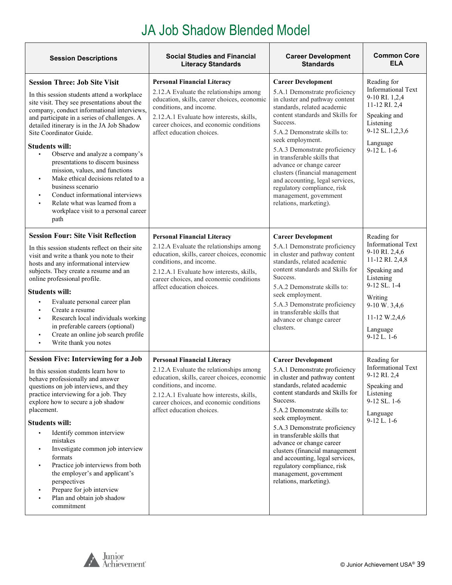# JA Job Shadow Blended Model

| <b>Session Descriptions</b>                                                                                                                                                                                                                                                                                                                                                                                                                                                                                                                                                                                                                                         | <b>Social Studies and Financial</b><br><b>Literacy Standards</b>                                                                                                                                                                                                            | <b>Career Development</b><br><b>Standards</b>                                                                                                                                                                                                                                                                                                                                                                                                                                       | <b>Common Core</b><br><b>ELA</b>                                                                                                                                                                         |
|---------------------------------------------------------------------------------------------------------------------------------------------------------------------------------------------------------------------------------------------------------------------------------------------------------------------------------------------------------------------------------------------------------------------------------------------------------------------------------------------------------------------------------------------------------------------------------------------------------------------------------------------------------------------|-----------------------------------------------------------------------------------------------------------------------------------------------------------------------------------------------------------------------------------------------------------------------------|-------------------------------------------------------------------------------------------------------------------------------------------------------------------------------------------------------------------------------------------------------------------------------------------------------------------------------------------------------------------------------------------------------------------------------------------------------------------------------------|----------------------------------------------------------------------------------------------------------------------------------------------------------------------------------------------------------|
| <b>Session Three: Job Site Visit</b><br>In this session students attend a workplace<br>site visit. They see presentations about the<br>company, conduct informational interviews,<br>and participate in a series of challenges. A<br>detailed itinerary is in the JA Job Shadow<br>Site Coordinator Guide.<br><b>Students will:</b><br>$\blacksquare$<br>Observe and analyze a company's<br>presentations to discern business<br>mission, values, and functions<br>Make ethical decisions related to a<br>$\blacksquare$<br>business scenario<br>Conduct informational interviews<br>Relate what was learned from a<br>workplace visit to a personal career<br>path | <b>Personal Financial Literacy</b><br>2.12.A Evaluate the relationships among<br>education, skills, career choices, economic<br>conditions, and income.<br>2.12.A.1 Evaluate how interests, skills,<br>career choices, and economic conditions<br>affect education choices. | <b>Career Development</b><br>5.A.1 Demonstrate proficiency<br>in cluster and pathway content<br>standards, related academic<br>content standards and Skills for<br>Success.<br>5.A.2 Demonstrate skills to:<br>seek employment.<br>5.A.3 Demonstrate proficiency<br>in transferable skills that<br>advance or change career<br>clusters (financial management<br>and accounting, legal services,<br>regulatory compliance, risk<br>management, government<br>relations, marketing). | Reading for<br><b>Informational Text</b><br>9-10 RI. 1,2,4<br>11-12 RI. 2,4<br>Speaking and<br>Listening<br>9-12 SL.1,2,3,6<br>Language<br>$9-12$ L. $1-6$                                               |
| <b>Session Four: Site Visit Reflection</b><br>In this session students reflect on their site<br>visit and write a thank you note to their<br>hosts and any informational interview<br>subjects. They create a resume and an<br>online professional profile.<br><b>Students will:</b><br>Evaluate personal career plan<br>Create a resume<br>Research local individuals working<br>in preferable careers (optional)<br>Create an online job search profile<br>Write thank you notes<br>$\blacksquare$                                                                                                                                                                | <b>Personal Financial Literacy</b><br>2.12.A Evaluate the relationships among<br>education, skills, career choices, economic<br>conditions, and income.<br>2.12.A.1 Evaluate how interests, skills,<br>career choices, and economic conditions<br>affect education choices. | <b>Career Development</b><br>5.A.1 Demonstrate proficiency<br>in cluster and pathway content<br>standards, related academic<br>content standards and Skills for<br>Success.<br>5.A.2 Demonstrate skills to:<br>seek employment.<br>5.A.3 Demonstrate proficiency<br>in transferable skills that<br>advance or change career<br>clusters.                                                                                                                                            | Reading for<br><b>Informational Text</b><br>9-10 RI. 2,4,6<br>11-12 RI. 2,4,8<br>Speaking and<br>Listening<br>$9-12$ SL $.1-4$<br>Writing<br>9-10 W. 3,4,6<br>11-12 W.2,4,6<br>Language<br>$9-12$ L. 1-6 |
| <b>Session Five: Interviewing for a Job</b><br>In this session students learn how to<br>behave professionally and answer<br>questions on job interviews, and they<br>practice interviewing for a job. They<br>explore how to secure a job shadow<br>placement.<br><b>Students will:</b><br>Identify common interview<br>$\blacksquare$<br>mistakes<br>Investigate common job interview<br>formats<br>Practice job interviews from both<br>٠<br>the employer's and applicant's<br>perspectives<br>Prepare for job interview<br>Plan and obtain job shadow<br>commitment                                                                                              | <b>Personal Financial Literacy</b><br>2.12.A Evaluate the relationships among<br>education, skills, career choices, economic<br>conditions, and income.<br>2.12.A.1 Evaluate how interests, skills,<br>career choices, and economic conditions<br>affect education choices. | <b>Career Development</b><br>5.A.1 Demonstrate proficiency<br>in cluster and pathway content<br>standards, related academic<br>content standards and Skills for<br>Success.<br>5.A.2 Demonstrate skills to:<br>seek employment.<br>5.A.3 Demonstrate proficiency<br>in transferable skills that<br>advance or change career<br>clusters (financial management<br>and accounting, legal services,<br>regulatory compliance, risk<br>management, government<br>relations, marketing). | Reading for<br><b>Informational Text</b><br>9-12 RI. 2,4<br>Speaking and<br>Listening<br>9-12 SL. 1-6<br>Language<br>$9-12$ L. $1-6$                                                                     |

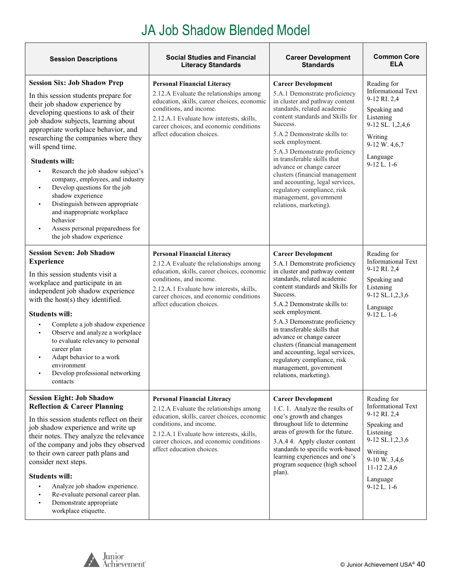### JA Job Shadow Blended Model

| <b>Session Descriptions</b>                                                                                                                                                                                                                                                                                                                                                                                                                                                                                                                                                                                                                                       | <b>Social Studies and Financial</b><br><b>Literacy Standards</b>                                                                                                                                                                                                            | <b>Career Development</b><br><b>Standards</b>                                                                                                                                                                                                                                                                                                                                                                                                                                       | <b>Common Core</b><br><b>ELA</b>                                                                                                                                                     |
|-------------------------------------------------------------------------------------------------------------------------------------------------------------------------------------------------------------------------------------------------------------------------------------------------------------------------------------------------------------------------------------------------------------------------------------------------------------------------------------------------------------------------------------------------------------------------------------------------------------------------------------------------------------------|-----------------------------------------------------------------------------------------------------------------------------------------------------------------------------------------------------------------------------------------------------------------------------|-------------------------------------------------------------------------------------------------------------------------------------------------------------------------------------------------------------------------------------------------------------------------------------------------------------------------------------------------------------------------------------------------------------------------------------------------------------------------------------|--------------------------------------------------------------------------------------------------------------------------------------------------------------------------------------|
| <b>Session Six: Job Shadow Prep</b><br>In this session students prepare for<br>their job shadow experience by<br>developing questions to ask of their<br>job shadow subjects, learning about<br>appropriate workplace behavior, and<br>researching the companies where they<br>will spend time.<br><b>Students will:</b><br>Research the job shadow subject's<br>$\blacksquare$<br>company, employees, and industry<br>Develop questions for the job<br>$\blacksquare$<br>shadow experience<br>Distinguish between appropriate<br>٠<br>and inappropriate workplace<br>behavior<br>Assess personal preparedness for<br>$\blacksquare$<br>the job shadow experience | <b>Personal Financial Literacy</b><br>2.12.A Evaluate the relationships among<br>education, skills, career choices, economic<br>conditions, and income.<br>2.12.A.1 Evaluate how interests, skills,<br>career choices, and economic conditions<br>affect education choices. | <b>Career Development</b><br>5.A.1 Demonstrate proficiency<br>in cluster and pathway content<br>standards, related academic<br>content standards and Skills for<br>Success.<br>5.A.2 Demonstrate skills to:<br>seek employment.<br>5.A.3 Demonstrate proficiency<br>in transferable skills that<br>advance or change career<br>clusters (financial management<br>and accounting, legal services,<br>regulatory compliance, risk<br>management, government<br>relations, marketing). | Reading for<br><b>Informational Text</b><br>9-12 RI. 2,4<br>Speaking and<br>Listening<br>9-12 SL. 1,2,4,6<br>Writing<br>9-12 W. 4,6,7<br>Language<br>$9-12$ L. $1-6$                 |
| <b>Session Seven: Job Shadow</b><br><b>Experience</b><br>In this session students visit a<br>workplace and participate in an<br>independent job shadow experience<br>with the host(s) they identified.<br><b>Students will:</b><br>Complete a job shadow experience<br>Observe and analyze a workplace<br>٠<br>to evaluate relevancy to personal<br>career plan<br>Adapt behavior to a work<br>$\blacksquare$<br>environment<br>Develop professional networking<br>$\blacksquare$<br>contacts                                                                                                                                                                     | <b>Personal Financial Literacy</b><br>2.12.A Evaluate the relationships among<br>education, skills, career choices, economic<br>conditions, and income.<br>2.12.A.1 Evaluate how interests, skills,<br>career choices, and economic conditions<br>affect education choices. | <b>Career Development</b><br>5.A.1 Demonstrate proficiency<br>in cluster and pathway content<br>standards, related academic<br>content standards and Skills for<br>Success.<br>5.A.2 Demonstrate skills to:<br>seek employment.<br>5.A.3 Demonstrate proficiency<br>in transferable skills that<br>advance or change career<br>clusters (financial management<br>and accounting, legal services,<br>regulatory compliance, risk<br>management, government<br>relations, marketing). | Reading for<br><b>Informational Text</b><br>9-12 RI. 2,4<br>Speaking and<br>Listening<br>9-12 SL.1,2,3,6<br>Language<br>$9-12$ L. $1-6$                                              |
| <b>Session Eight: Job Shadow</b><br><b>Reflection &amp; Career Planning</b><br>In this session students reflect on their<br>job shadow experience and write up<br>their notes. They analyze the relevance<br>of the company and jobs they observed<br>to their own career path plans and<br>consider next steps.<br><b>Students will:</b><br>Analyze job shadow experience.<br>Re-evaluate personal career plan.<br>Demonstrate appropriate<br>$\blacksquare$<br>workplace etiquette.                                                                                                                                                                             | <b>Personal Financial Literacy</b><br>2.12.A Evaluate the relationships among<br>education, skills, career choices, economic<br>conditions, and income.<br>2.12.A.1 Evaluate how interests, skills,<br>career choices, and economic conditions<br>affect education choices. | <b>Career Development</b><br>1.C. 1. Analyze the results of<br>one's growth and changes<br>throughout life to determine<br>areas of growth for the future.<br>3.A.4 4. Apply cluster content<br>standards to specific work-based<br>learning experiences and one's<br>program sequence (high school<br>plan).                                                                                                                                                                       | Reading for<br><b>Informational Text</b><br>9-12 RI. 2,4<br>Speaking and<br>Listening<br>9-12 SL.1,2,3,6<br>Writing<br>$9-10 W. 3,4,6$<br>11-12 2,4,6<br>Language<br>$9-12$ L. $1-6$ |

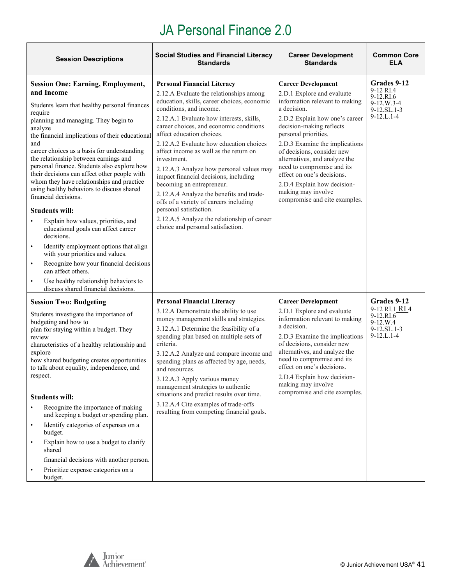T

<span id="page-40-0"></span>

| <b>Session Descriptions</b>                                                                                                                                                                                                                                                                                                                                                                                                                                                                                                                                                                                                                                                                                                                                                                                                                                                                                                        | <b>Social Studies and Financial Literacy</b><br><b>Standards</b>                                                                                                                                                                                                                                                                                                                                                                                                                                                                                                                                                                                                                                      | <b>Career Development</b><br><b>Standards</b>                                                                                                                                                                                                                                                                                                                                                                                                     | <b>Common Core</b><br><b>ELA</b>                                                                   |
|------------------------------------------------------------------------------------------------------------------------------------------------------------------------------------------------------------------------------------------------------------------------------------------------------------------------------------------------------------------------------------------------------------------------------------------------------------------------------------------------------------------------------------------------------------------------------------------------------------------------------------------------------------------------------------------------------------------------------------------------------------------------------------------------------------------------------------------------------------------------------------------------------------------------------------|-------------------------------------------------------------------------------------------------------------------------------------------------------------------------------------------------------------------------------------------------------------------------------------------------------------------------------------------------------------------------------------------------------------------------------------------------------------------------------------------------------------------------------------------------------------------------------------------------------------------------------------------------------------------------------------------------------|---------------------------------------------------------------------------------------------------------------------------------------------------------------------------------------------------------------------------------------------------------------------------------------------------------------------------------------------------------------------------------------------------------------------------------------------------|----------------------------------------------------------------------------------------------------|
| <b>Session One: Earning, Employment,</b><br>and Income<br>Students learn that healthy personal finances<br>require<br>planning and managing. They begin to<br>analyze<br>the financial implications of their educational<br>and<br>career choices as a basis for understanding<br>the relationship between earnings and<br>personal finance. Students also explore how<br>their decisions can affect other people with<br>whom they have relationships and practice<br>using healthy behaviors to discuss shared<br>financial decisions.<br><b>Students will:</b><br>Explain how values, priorities, and<br>educational goals can affect career<br>decisions.<br>Identify employment options that align<br>$\bullet$<br>with your priorities and values.<br>Recognize how your financial decisions<br>$\bullet$<br>can affect others.<br>Use healthy relationship behaviors to<br>$\bullet$<br>discuss shared financial decisions. | <b>Personal Financial Literacy</b><br>2.12.A Evaluate the relationships among<br>education, skills, career choices, economic<br>conditions, and income.<br>2.12.A.1 Evaluate how interests, skills,<br>career choices, and economic conditions<br>affect education choices.<br>2.12.A.2 Evaluate how education choices<br>affect income as well as the return on<br>investment.<br>2.12.A.3 Analyze how personal values may<br>impact financial decisions, including<br>becoming an entrepreneur.<br>2.12.A.4 Analyze the benefits and trade-<br>offs of a variety of careers including<br>personal satisfaction.<br>2.12.A.5 Analyze the relationship of career<br>choice and personal satisfaction. | <b>Career Development</b><br>2.D.1 Explore and evaluate<br>information relevant to making<br>a decision.<br>2.D.2 Explain how one's career<br>decision-making reflects<br>personal priorities.<br>2.D.3 Examine the implications<br>of decisions, consider new<br>alternatives, and analyze the<br>need to compromise and its<br>effect on one's decisions.<br>2.D.4 Explain how decision-<br>making may involve<br>compromise and cite examples. | Grades 9-12<br>9-12 RI.4<br>9-12.RI.6<br>$9-12.W.3-4$<br>$9-12.SL.1-3$<br>$9-12.L.1-4$             |
| <b>Session Two: Budgeting</b><br>Students investigate the importance of<br>budgeting and how to<br>plan for staying within a budget. They<br>review<br>characteristics of a healthy relationship and<br>explore<br>how shared budgeting creates opportunities<br>to talk about equality, independence, and<br>respect.<br><b>Students will:</b><br>Recognize the importance of making<br>and keeping a budget or spending plan.<br>Identify categories of expenses on a<br>$\bullet$<br>budget.<br>Explain how to use a budget to clarify<br>$\bullet$<br>shared<br>financial decisions with another person.<br>Prioritize expense categories on a<br>budget.                                                                                                                                                                                                                                                                      | <b>Personal Financial Literacy</b><br>3.12.A Demonstrate the ability to use<br>money management skills and strategies.<br>3.12.A.1 Determine the feasibility of a<br>spending plan based on multiple sets of<br>criteria.<br>3.12.A.2 Analyze and compare income and<br>spending plans as affected by age, needs,<br>and resources.<br>3.12.A.3 Apply various money<br>management strategies to authentic<br>situations and predict results over time.<br>3.12.A.4 Cite examples of trade-offs<br>resulting from competing financial goals.                                                                                                                                                           | <b>Career Development</b><br>2.D.1 Explore and evaluate<br>information relevant to making<br>a decision.<br>2.D.3 Examine the implications<br>of decisions, consider new<br>alternatives, and analyze the<br>need to compromise and its<br>effect on one's decisions.<br>2.D.4 Explain how decision-<br>making may involve<br>compromise and cite examples.                                                                                       | Grades 9-12<br>9-12 RI.1 RI 4<br>9-12.RI.6<br>9-12.W.4<br>$9 - 12$ .SL.1-3<br>$9 - 12$ .L. $1 - 4$ |

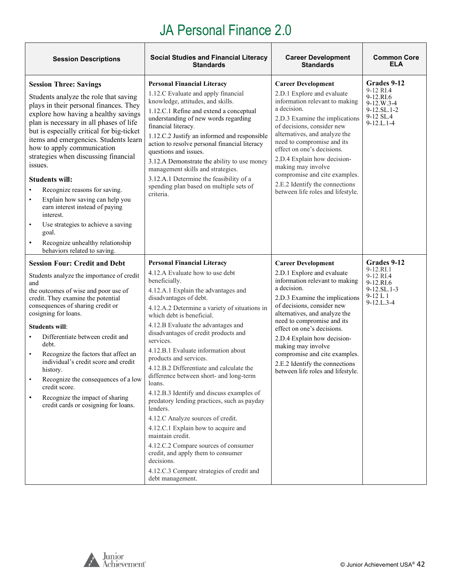| <b>Session Descriptions</b>                                                                                                                                                                                                                                                                                                                                                                                                                                                                                                                                                                                                                                                       | <b>Social Studies and Financial Literacy</b><br><b>Standards</b>                                                                                                                                                                                                                                                                                                                                                                                                                                                                                                                                                                                                                                                                                                                                                                                                        | <b>Career Development</b><br><b>Standards</b>                                                                                                                                                                                                                                                                                                                                                                                      | <b>Common Core</b><br>ELA                                                                                 |
|-----------------------------------------------------------------------------------------------------------------------------------------------------------------------------------------------------------------------------------------------------------------------------------------------------------------------------------------------------------------------------------------------------------------------------------------------------------------------------------------------------------------------------------------------------------------------------------------------------------------------------------------------------------------------------------|-------------------------------------------------------------------------------------------------------------------------------------------------------------------------------------------------------------------------------------------------------------------------------------------------------------------------------------------------------------------------------------------------------------------------------------------------------------------------------------------------------------------------------------------------------------------------------------------------------------------------------------------------------------------------------------------------------------------------------------------------------------------------------------------------------------------------------------------------------------------------|------------------------------------------------------------------------------------------------------------------------------------------------------------------------------------------------------------------------------------------------------------------------------------------------------------------------------------------------------------------------------------------------------------------------------------|-----------------------------------------------------------------------------------------------------------|
| <b>Session Three: Savings</b><br>Students analyze the role that saving<br>plays in their personal finances. They<br>explore how having a healthy savings<br>plan is necessary in all phases of life<br>but is especially critical for big-ticket<br>items and emergencies. Students learn<br>how to apply communication<br>strategies when discussing financial<br>issues.<br><b>Students will:</b><br>Recognize reasons for saving.<br>Explain how saving can help you<br>$\bullet$<br>earn interest instead of paying<br>interest.<br>Use strategies to achieve a saving<br>$\bullet$<br>goal.<br>Recognize unhealthy relationship<br>$\bullet$<br>behaviors related to saving. | <b>Personal Financial Literacy</b><br>1.12.C Evaluate and apply financial<br>knowledge, attitudes, and skills.<br>1.12.C.1 Refine and extend a conceptual<br>understanding of new words regarding<br>financial literacy.<br>1.12.C.2 Justify an informed and responsible<br>action to resolve personal financial literacy<br>questions and issues.<br>3.12.A Demonstrate the ability to use money<br>management skills and strategies.<br>3.12.A.1 Determine the feasibility of a<br>spending plan based on multiple sets of<br>criteria.                                                                                                                                                                                                                                                                                                                               | <b>Career Development</b><br>2.D.1 Explore and evaluate<br>information relevant to making<br>a decision.<br>2.D.3 Examine the implications<br>of decisions, consider new<br>alternatives, and analyze the<br>need to compromise and its<br>effect on one's decisions.<br>2.D.4 Explain how decision-<br>making may involve<br>compromise and cite examples.<br>2.E.2 Identify the connections<br>between life roles and lifestyle. | Grades 9-12<br>9-12 RI.4<br>9-12.RI.6<br>$9-12.W.3-4$<br>9-12.SL.1-2<br>9-12 SL.4<br>$9 - 12$ .L. $1 - 4$ |
| <b>Session Four: Credit and Debt</b><br>Students analyze the importance of credit<br>and<br>the outcomes of wise and poor use of<br>credit. They examine the potential<br>consequences of sharing credit or<br>cosigning for loans.<br><b>Students will:</b><br>Differentiate between credit and<br>debt.<br>Recognize the factors that affect an<br>$\bullet$<br>individual's credit score and credit<br>history.<br>Recognize the consequences of a low<br>credit score.<br>Recognize the impact of sharing<br>credit cards or cosigning for loans.                                                                                                                             | <b>Personal Financial Literacy</b><br>4.12.A Evaluate how to use debt<br>beneficially.<br>4.12.A.1 Explain the advantages and<br>disadvantages of debt.<br>4.12.A.2 Determine a variety of situations in<br>which debt is beneficial.<br>4.12.B Evaluate the advantages and<br>disadvantages of credit products and<br>services.<br>4.12.B.1 Evaluate information about<br>products and services.<br>4.12.B.2 Differentiate and calculate the<br>difference between short- and long-term<br>loans.<br>4.12.B.3 Identify and discuss examples of<br>predatory lending practices, such as payday<br>lenders.<br>4.12.C Analyze sources of credit.<br>4.12.C.1 Explain how to acquire and<br>maintain credit.<br>4.12.C.2 Compare sources of consumer<br>credit, and apply them to consumer<br>decisions.<br>4.12.C.3 Compare strategies of credit and<br>debt management. | <b>Career Development</b><br>2.D.1 Explore and evaluate<br>information relevant to making<br>a decision.<br>2.D.3 Examine the implications<br>of decisions, consider new<br>alternatives, and analyze the<br>need to compromise and its<br>effect on one's decisions.<br>2.D.4 Explain how decision-<br>making may involve<br>compromise and cite examples.<br>2.E.2 Identify the connections<br>between life roles and lifestyle. | Grades 9-12<br>9-12.RI.1<br>9-12 RI.4<br>9-12.RI.6<br>9-12.SL.1-3<br>$9-12 L1$<br>$9 - 12$ .L. $3 - 4$    |



ヿ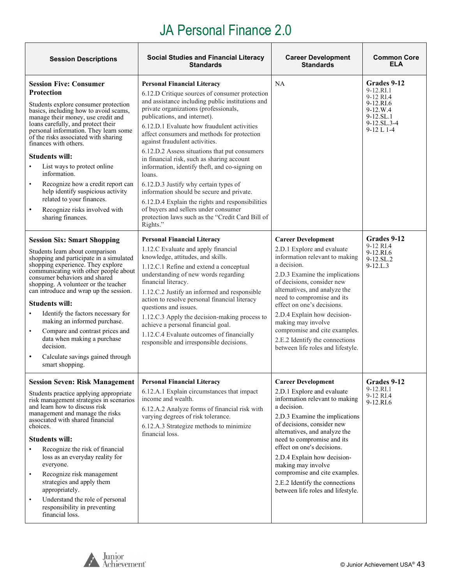| <b>Session Descriptions</b>                                                                                                                                                                                                                                                                                                                                                                                                                                                                                                                                         | <b>Social Studies and Financial Literacy</b><br><b>Standards</b>                                                                                                                                                                                                                                                                                                                                                                                                                                                                                                                                                                                                                                                                                               | <b>Career Development</b><br><b>Standards</b>                                                                                                                                                                                                                                                                                                                                                                                      | <b>Common Core</b><br><b>ELA</b>                                                                            |
|---------------------------------------------------------------------------------------------------------------------------------------------------------------------------------------------------------------------------------------------------------------------------------------------------------------------------------------------------------------------------------------------------------------------------------------------------------------------------------------------------------------------------------------------------------------------|----------------------------------------------------------------------------------------------------------------------------------------------------------------------------------------------------------------------------------------------------------------------------------------------------------------------------------------------------------------------------------------------------------------------------------------------------------------------------------------------------------------------------------------------------------------------------------------------------------------------------------------------------------------------------------------------------------------------------------------------------------------|------------------------------------------------------------------------------------------------------------------------------------------------------------------------------------------------------------------------------------------------------------------------------------------------------------------------------------------------------------------------------------------------------------------------------------|-------------------------------------------------------------------------------------------------------------|
| <b>Session Five: Consumer</b><br>Protection<br>Students explore consumer protection<br>basics, including how to avoid scams,<br>manage their money, use credit and<br>loans carefully, and protect their<br>personal information. They learn some<br>of the risks associated with sharing<br>finances with others.<br><b>Students will:</b><br>List ways to protect online<br>information.<br>Recognize how a credit report can<br>help identify suspicious activity<br>related to your finances.<br>Recognize risks involved with<br>sharing finances.             | <b>Personal Financial Literacy</b><br>6.12.D Critique sources of consumer protection<br>and assistance including public institutions and<br>private organizations (professionals,<br>publications, and internet).<br>6.12.D.1 Evaluate how fraudulent activities<br>affect consumers and methods for protection<br>against fraudulent activities.<br>6.12.D.2 Assess situations that put consumers<br>in financial risk, such as sharing account<br>information, identify theft, and co-signing on<br>loans.<br>6.12.D.3 Justify why certain types of<br>information should be secure and private.<br>6.12.D.4 Explain the rights and responsibilities<br>of buyers and sellers under consumer<br>protection laws such as the "Credit Card Bill of<br>Rights." | NA                                                                                                                                                                                                                                                                                                                                                                                                                                 | Grades 9-12<br>9-12.RI.1<br>9-12 RI.4<br>9-12.RI.6<br>$9-12.W.4$<br>9-12.SL.1<br>9-12.SL.3-4<br>$9-12 L1-4$ |
| <b>Session Six: Smart Shopping</b><br>Students learn about comparison<br>shopping and participate in a simulated<br>shopping experience. They explore<br>communicating with other people about<br>consumer behaviors and shared<br>shopping. A volunteer or the teacher<br>can introduce and wrap up the session.<br><b>Students will:</b><br>Identify the factors necessary for<br>making an informed purchase.<br>Compare and contrast prices and<br>$\bullet$<br>data when making a purchase<br>decision.<br>Calculate savings gained through<br>smart shopping. | <b>Personal Financial Literacy</b><br>1.12.C Evaluate and apply financial<br>knowledge, attitudes, and skills.<br>1.12.C.1 Refine and extend a conceptual<br>understanding of new words regarding<br>financial literacy.<br>1.12.C.2 Justify an informed and responsible<br>action to resolve personal financial literacy<br>questions and issues.<br>1.12.C.3 Apply the decision-making process to<br>achieve a personal financial goal.<br>1.12.C.4 Evaluate outcomes of financially<br>responsible and irresponsible decisions.                                                                                                                                                                                                                             | <b>Career Development</b><br>2.D.1 Explore and evaluate<br>information relevant to making<br>a decision.<br>2.D.3 Examine the implications<br>of decisions, consider new<br>alternatives, and analyze the<br>need to compromise and its<br>effect on one's decisions.<br>2.D.4 Explain how decision-<br>making may involve<br>compromise and cite examples.<br>2.E.2 Identify the connections<br>between life roles and lifestyle. | Grades 9-12<br>9-12 RI.4<br>9-12.RI.6<br>9-12.SL.2<br>$9 - 12$ .L.3                                         |
| <b>Session Seven: Risk Management</b><br>Students practice applying appropriate<br>risk management strategies in scenarios<br>and learn how to discuss risk<br>management and manage the risks<br>associated with shared financial<br>choices.<br><b>Students will:</b><br>Recognize the risk of financial<br>loss as an everyday reality for<br>everyone.<br>Recognize risk management<br>$\bullet$<br>strategies and apply them<br>appropriately.<br>Understand the role of personal<br>$\bullet$<br>responsibility in preventing<br>financial loss.              | <b>Personal Financial Literacy</b><br>6.12.A.1 Explain circumstances that impact<br>income and wealth.<br>6.12.A.2 Analyze forms of financial risk with<br>varying degrees of risk tolerance.<br>6.12.A.3 Strategize methods to minimize<br>financial loss.                                                                                                                                                                                                                                                                                                                                                                                                                                                                                                    | <b>Career Development</b><br>2.D.1 Explore and evaluate<br>information relevant to making<br>a decision.<br>2.D.3 Examine the implications<br>of decisions, consider new<br>alternatives, and analyze the<br>need to compromise and its<br>effect on one's decisions.<br>2.D.4 Explain how decision-<br>making may involve<br>compromise and cite examples.<br>2.E.2 Identify the connections<br>between life roles and lifestyle. | Grades 9-12<br>9-12.RI.1<br>9-12 RI.4<br>9-12.RI.6                                                          |

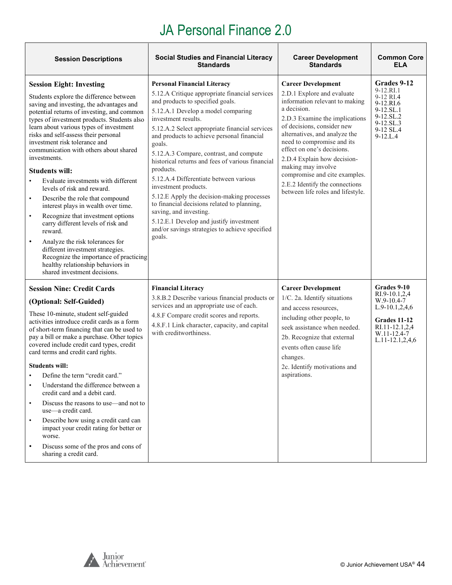| <b>Session Descriptions</b>                                                                                                                                                                                                                                                                                                                                                                                                                                                                                                                                                                                                                                                                                                                                                                                                                                                                               | <b>Social Studies and Financial Literacy</b><br><b>Standards</b>                                                                                                                                                                                                                                                                                                                                                                                                                                                                                                                                                                                                                                            | <b>Career Development</b><br><b>Standards</b>                                                                                                                                                                                                                                                                                                                                                                                      | <b>Common Core</b><br><b>ELA</b>                                                                                                        |
|-----------------------------------------------------------------------------------------------------------------------------------------------------------------------------------------------------------------------------------------------------------------------------------------------------------------------------------------------------------------------------------------------------------------------------------------------------------------------------------------------------------------------------------------------------------------------------------------------------------------------------------------------------------------------------------------------------------------------------------------------------------------------------------------------------------------------------------------------------------------------------------------------------------|-------------------------------------------------------------------------------------------------------------------------------------------------------------------------------------------------------------------------------------------------------------------------------------------------------------------------------------------------------------------------------------------------------------------------------------------------------------------------------------------------------------------------------------------------------------------------------------------------------------------------------------------------------------------------------------------------------------|------------------------------------------------------------------------------------------------------------------------------------------------------------------------------------------------------------------------------------------------------------------------------------------------------------------------------------------------------------------------------------------------------------------------------------|-----------------------------------------------------------------------------------------------------------------------------------------|
| <b>Session Eight: Investing</b><br>Students explore the difference between<br>saving and investing, the advantages and<br>potential returns of investing, and common<br>types of investment products. Students also<br>learn about various types of investment<br>risks and self-assess their personal<br>investment risk tolerance and<br>communication with others about shared<br>investments.<br><b>Students will:</b><br>Evaluate investments with different<br>$\bullet$<br>levels of risk and reward.<br>Describe the role that compound<br>$\bullet$<br>interest plays in wealth over time.<br>Recognize that investment options<br>$\bullet$<br>carry different levels of risk and<br>reward.<br>Analyze the risk tolerances for<br>$\bullet$<br>different investment strategies.<br>Recognize the importance of practicing<br>healthy relationship behaviors in<br>shared investment decisions. | <b>Personal Financial Literacy</b><br>5.12.A Critique appropriate financial services<br>and products to specified goals.<br>5.12.A.1 Develop a model comparing<br>investment results.<br>5.12.A.2 Select appropriate financial services<br>and products to achieve personal financial<br>goals.<br>5.12.A.3 Compare, contrast, and compute<br>historical returns and fees of various financial<br>products.<br>5.12.A.4 Differentiate between various<br>investment products.<br>5.12.E Apply the decision-making processes<br>to financial decisions related to planning,<br>saving, and investing.<br>5.12.E.1 Develop and justify investment<br>and/or savings strategies to achieve specified<br>goals. | <b>Career Development</b><br>2.D.1 Explore and evaluate<br>information relevant to making<br>a decision.<br>2.D.3 Examine the implications<br>of decisions, consider new<br>alternatives, and analyze the<br>need to compromise and its<br>effect on one's decisions.<br>2.D.4 Explain how decision-<br>making may involve<br>compromise and cite examples.<br>2.E.2 Identify the connections<br>between life roles and lifestyle. | Grades 9-12<br>9-12.RI.1<br>9-12 RI.4<br>9-12.RI.6<br>9-12.SL.1<br>9-12.SL.2<br>9-12.SL.3<br>9-12 SL.4<br>$9 - 12$ .L.4                 |
| <b>Session Nine: Credit Cards</b><br>(Optional: Self-Guided)<br>These 10-minute, student self-guided<br>activities introduce credit cards as a form<br>of short-term financing that can be used to<br>pay a bill or make a purchase. Other topics<br>covered include credit card types, credit<br>card terms and credit card rights.<br><b>Students will:</b><br>Define the term "credit card."<br>$\bullet$<br>Understand the difference between a<br>$\bullet$<br>credit card and a debit card.<br>Discuss the reasons to use—and not to<br>$\bullet$<br>use—a credit card.<br>Describe how using a credit card can<br>$\bullet$<br>impact your credit rating for better or<br>worse.<br>Discuss some of the pros and cons of<br>$\bullet$<br>sharing a credit card.                                                                                                                                    | <b>Financial Literacy</b><br>3.8.B.2 Describe various financial products or<br>services and an appropriate use of each.<br>4.8.F Compare credit scores and reports.<br>4.8.F.1 Link character, capacity, and capital<br>with creditworthiness.                                                                                                                                                                                                                                                                                                                                                                                                                                                              | <b>Career Development</b><br>1/C. 2a. Identify situations<br>and access resources,<br>including other people, to<br>seek assistance when needed.<br>2b. Recognize that external<br>events often cause life<br>changes.<br>2c. Identify motivations and<br>aspirations.                                                                                                                                                             | Grades 9-10<br>RI.9-10.1,2,4<br>$W.9-10.4-7$<br>$L.9-10.1, 2, 4, 6$<br>Grades 11-12<br>RI.11-12.1,2,4<br>W.11-12.4-7<br>L.11-12.1,2,4,6 |



٦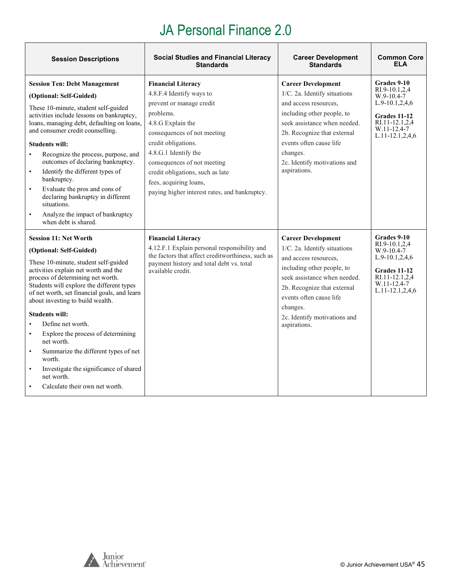| <b>Session Descriptions</b>                                                                                                                                                                                                                                                                                                                                                                                                                                                                                                                                                                        | <b>Social Studies and Financial Literacy</b><br><b>Standards</b>                                                                                                                                                                                                                                                                                | <b>Career Development</b><br><b>Standards</b>                                                                                                                                                                                                                          | <b>Common Core</b><br>ELA                                                                                                                      |
|----------------------------------------------------------------------------------------------------------------------------------------------------------------------------------------------------------------------------------------------------------------------------------------------------------------------------------------------------------------------------------------------------------------------------------------------------------------------------------------------------------------------------------------------------------------------------------------------------|-------------------------------------------------------------------------------------------------------------------------------------------------------------------------------------------------------------------------------------------------------------------------------------------------------------------------------------------------|------------------------------------------------------------------------------------------------------------------------------------------------------------------------------------------------------------------------------------------------------------------------|------------------------------------------------------------------------------------------------------------------------------------------------|
| <b>Session Ten: Debt Management</b><br>(Optional: Self-Guided)<br>These 10-minute, student self-guided<br>activities include lessons on bankruptcy,<br>loans, managing debt, defaulting on loans,<br>and consumer credit counselling.<br><b>Students will:</b><br>Recognize the process, purpose, and<br>outcomes of declaring bankruptcy.<br>Identify the different types of<br>$\bullet$<br>bankruptcy.<br>Evaluate the pros and cons of<br>$\bullet$<br>declaring bankruptcy in different<br>situations.<br>Analyze the impact of bankruptcy<br>$\bullet$<br>when debt is shared.               | <b>Financial Literacy</b><br>4.8.F.4 Identify ways to<br>prevent or manage credit<br>problems.<br>4.8.G Explain the<br>consequences of not meeting<br>credit obligations.<br>4.8.G.1 Identify the<br>consequences of not meeting<br>credit obligations, such as late<br>fees, acquiring loans,<br>paying higher interest rates, and bankruptcy. | <b>Career Development</b><br>1/C. 2a. Identify situations<br>and access resources,<br>including other people, to<br>seek assistance when needed.<br>2b. Recognize that external<br>events often cause life<br>changes.<br>2c. Identify motivations and<br>aspirations. | Grades 9-10<br>RI.9-10.1,2,4<br>W.9-10.4-7<br>$L.9-10.1, 2, 4, 6$<br>Grades 11-12<br>RI.11-12.1,2,4<br>W.11-12.4-7<br>$L.11 - 12.1, 2, 4, 6$   |
| <b>Session 11: Net Worth</b><br>(Optional: Self-Guided)<br>These 10-minute, student self-guided<br>activities explain net worth and the<br>process of determining net worth.<br>Students will explore the different types<br>of net worth, set financial goals, and learn<br>about investing to build wealth.<br><b>Students will:</b><br>Define net worth.<br>Explore the process of determining<br>$\bullet$<br>net worth.<br>Summarize the different types of net<br>$\bullet$<br>worth.<br>Investigate the significance of shared<br>$\bullet$<br>net worth.<br>Calculate their own net worth. | <b>Financial Literacy</b><br>4.12.F.1 Explain personal responsibility and<br>the factors that affect creditworthiness, such as<br>payment history and total debt vs. total<br>available credit.                                                                                                                                                 | <b>Career Development</b><br>1/C. 2a. Identify situations<br>and access resources,<br>including other people, to<br>seek assistance when needed.<br>2b. Recognize that external<br>events often cause life<br>changes.<br>2c. Identify motivations and<br>aspirations. | Grades 9-10<br>RI.9-10.1,2,4<br>$W.9-10.4-7$<br>$L.9-10.1, 2, 4, 6$<br>Grades 11-12<br>RI.11-12.1,2,4<br>W.11-12.4-7<br>$L.11 - 12.1, 2, 4, 6$ |

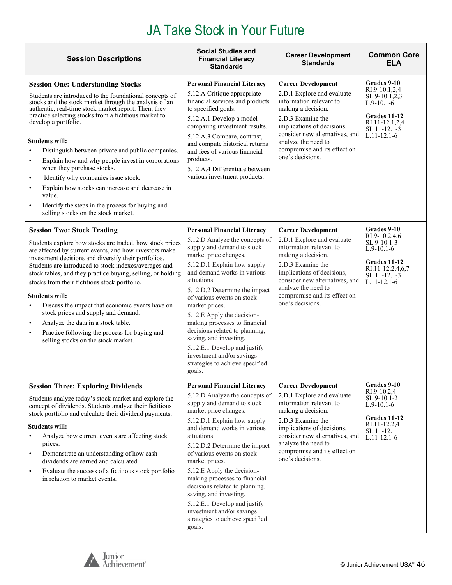| <b>Session Descriptions</b>                                                                                                                                                                                                                                                                                                                                                                                                                                                                                                                                                                                                                                                                                                | <b>Social Studies and</b><br><b>Financial Literacy</b><br><b>Standards</b>                                                                                                                                                                                                                                                                                                                                                                                                                                                     | <b>Career Development</b><br><b>Standards</b>                                                                                                                                                                                                                            | <b>Common Core</b><br><b>ELA</b>                                                                                                           |
|----------------------------------------------------------------------------------------------------------------------------------------------------------------------------------------------------------------------------------------------------------------------------------------------------------------------------------------------------------------------------------------------------------------------------------------------------------------------------------------------------------------------------------------------------------------------------------------------------------------------------------------------------------------------------------------------------------------------------|--------------------------------------------------------------------------------------------------------------------------------------------------------------------------------------------------------------------------------------------------------------------------------------------------------------------------------------------------------------------------------------------------------------------------------------------------------------------------------------------------------------------------------|--------------------------------------------------------------------------------------------------------------------------------------------------------------------------------------------------------------------------------------------------------------------------|--------------------------------------------------------------------------------------------------------------------------------------------|
| <b>Session One: Understanding Stocks</b><br>Students are introduced to the foundational concepts of<br>stocks and the stock market through the analysis of an<br>authentic, real-time stock market report. Then, they<br>practice selecting stocks from a fictitious market to<br>develop a portfolio.<br><b>Students will:</b><br>Distinguish between private and public companies.<br>Explain how and why people invest in corporations<br>$\bullet$<br>when they purchase stocks.<br>Identify why companies issue stock.<br>$\bullet$<br>Explain how stocks can increase and decrease in<br>$\bullet$<br>value.<br>Identify the steps in the process for buying and<br>$\bullet$<br>selling stocks on the stock market. | <b>Personal Financial Literacy</b><br>5.12.A Critique appropriate<br>financial services and products<br>to specified goals.<br>5.12.A.1 Develop a model<br>comparing investment results.<br>5.12.A.3 Compare, contrast,<br>and compute historical returns<br>and fees of various financial<br>products.<br>5.12.A.4 Differentiate between<br>various investment products.                                                                                                                                                      | <b>Career Development</b><br>2.D.1 Explore and evaluate<br>information relevant to<br>making a decision.<br>2.D.3 Examine the<br>implications of decisions,<br>consider new alternatives, and<br>analyze the need to<br>compromise and its effect on<br>one's decisions. | Grades 9-10<br>RI.9-10.1,2,4<br>SL.9-10.1,2,3<br>$L.9-10.1-6$<br>Grades 11-12<br>RI.11-12.1,2,4<br>$SL.11 - 12.1 - 3$<br>$L.11 - 12.1 - 6$ |
| <b>Session Two: Stock Trading</b><br>Students explore how stocks are traded, how stock prices<br>are affected by current events, and how investors make<br>investment decisions and diversify their portfolios.<br>Students are introduced to stock indexes/averages and<br>stock tables, and they practice buying, selling, or holding<br>stocks from their fictitious stock portfolio.<br><b>Students will:</b><br>Discuss the impact that economic events have on<br>stock prices and supply and demand.<br>Analyze the data in a stock table.<br>$\bullet$<br>Practice following the process for buying and<br>$\bullet$<br>selling stocks on the stock market.                                                        | <b>Personal Financial Literacy</b><br>5.12.D Analyze the concepts of<br>supply and demand to stock<br>market price changes.<br>5.12.D.1 Explain how supply<br>and demand works in various<br>situations.<br>5.12.D.2 Determine the impact<br>of various events on stock<br>market prices.<br>5.12.E Apply the decision-<br>making processes to financial<br>decisions related to planning,<br>saving, and investing.<br>5.12.E.1 Develop and justify<br>investment and/or savings<br>strategies to achieve specified<br>goals. | <b>Career Development</b><br>2.D.1 Explore and evaluate<br>information relevant to<br>making a decision.<br>2.D.3 Examine the<br>implications of decisions,<br>consider new alternatives, and<br>analyze the need to<br>compromise and its effect on<br>one's decisions. | Grades 9-10<br>RI.9-10.2,4,6<br>$SL.9-10.1-3$<br>$L.9-10.1-6$<br>Grades 11-12<br>RI.11-12.2,4,6,7<br>SL.11-12.1-3<br>$L.11 - 12.1 - 6$     |
| <b>Session Three: Exploring Dividends</b><br>Students analyze today's stock market and explore the<br>concept of dividends. Students analyze their fictitious<br>stock portfolio and calculate their dividend payments.<br><b>Students will:</b><br>Analyze how current events are affecting stock<br>prices.<br>Demonstrate an understanding of how cash<br>$\bullet$<br>dividends are earned and calculated.<br>Evaluate the success of a fictitious stock portfolio<br>٠<br>in relation to market events.                                                                                                                                                                                                               | <b>Personal Financial Literacy</b><br>5.12.D Analyze the concepts of<br>supply and demand to stock<br>market price changes.<br>5.12.D.1 Explain how supply<br>and demand works in various<br>situations.<br>5.12.D.2 Determine the impact<br>of various events on stock<br>market prices.<br>5.12.E Apply the decision-<br>making processes to financial<br>decisions related to planning,<br>saving, and investing.<br>5.12.E.1 Develop and justify<br>investment and/or savings<br>strategies to achieve specified<br>goals. | <b>Career Development</b><br>2.D.1 Explore and evaluate<br>information relevant to<br>making a decision.<br>2.D.3 Examine the<br>implications of decisions,<br>consider new alternatives, and<br>analyze the need to<br>compromise and its effect on<br>one's decisions. | Grades 9-10<br>RI.9-10.2,4<br>SL.9-10.1-2<br>$L.9-10.1-6$<br>Grades 11-12<br>RI.11-12.2,4<br>SL.11-12.1<br>$L.11 - 12.1 - 6$               |



<span id="page-45-0"></span> $\blacksquare$ 

 $\overline{\mathbf{1}}$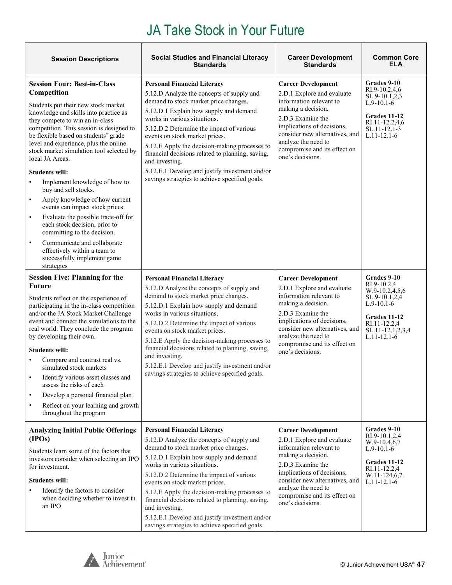| <b>Session Descriptions</b>                                                                                                                                                                                                                                                                                                                                                                                                                                                                                                                                                                                                                                                                                                                                                       | <b>Social Studies and Financial Literacy</b><br><b>Standards</b>                                                                                                                                                                                                                                                                                                                                                                                                                                            | <b>Career Development</b><br><b>Standards</b>                                                                                                                                                                                                                            | <b>Common Core</b><br><b>ELA</b>                                                                                                                       |
|-----------------------------------------------------------------------------------------------------------------------------------------------------------------------------------------------------------------------------------------------------------------------------------------------------------------------------------------------------------------------------------------------------------------------------------------------------------------------------------------------------------------------------------------------------------------------------------------------------------------------------------------------------------------------------------------------------------------------------------------------------------------------------------|-------------------------------------------------------------------------------------------------------------------------------------------------------------------------------------------------------------------------------------------------------------------------------------------------------------------------------------------------------------------------------------------------------------------------------------------------------------------------------------------------------------|--------------------------------------------------------------------------------------------------------------------------------------------------------------------------------------------------------------------------------------------------------------------------|--------------------------------------------------------------------------------------------------------------------------------------------------------|
| <b>Session Four: Best-in-Class</b><br>Competition<br>Students put their new stock market<br>knowledge and skills into practice as<br>they compete to win an in-class<br>competition. This session is designed to<br>be flexible based on students' grade<br>level and experience, plus the online<br>stock market simulation tool selected by<br>local JA Areas.<br><b>Students will:</b><br>Implement knowledge of how to<br>buy and sell stocks.<br>Apply knowledge of how current<br>$\bullet$<br>events can impact stock prices.<br>Evaluate the possible trade-off for<br>$\bullet$<br>each stock decision, prior to<br>committing to the decision.<br>Communicate and collaborate<br>$\bullet$<br>effectively within a team to<br>successfully implement game<br>strategies | <b>Personal Financial Literacy</b><br>5.12.D Analyze the concepts of supply and<br>demand to stock market price changes.<br>5.12.D.1 Explain how supply and demand<br>works in various situations.<br>5.12.D.2 Determine the impact of various<br>events on stock market prices.<br>5.12.E Apply the decision-making processes to<br>financial decisions related to planning, saving,<br>and investing.<br>5.12.E.1 Develop and justify investment and/or<br>savings strategies to achieve specified goals. | <b>Career Development</b><br>2.D.1 Explore and evaluate<br>information relevant to<br>making a decision.<br>2.D.3 Examine the<br>implications of decisions,<br>consider new alternatives, and<br>analyze the need to<br>compromise and its effect on<br>one's decisions. | Grades 9-10<br>RI.9-10.2,4,6<br>SL.9-10.1,2,3<br>$L.9-10.1-6$<br>Grades 11-12<br>RI.11-12.2,4,6<br>SL.11-12.1-3<br>$L.11 - 12.1 - 6$                   |
| <b>Session Five: Planning for the</b><br><b>Future</b><br>Students reflect on the experience of<br>participating in the in-class competition<br>and/or the JA Stock Market Challenge<br>event and connect the simulations to the<br>real world. They conclude the program<br>by developing their own.<br><b>Students will:</b><br>Compare and contrast real vs.<br>simulated stock markets<br>Identify various asset classes and<br>$\bullet$<br>assess the risks of each<br>Develop a personal financial plan<br>Reflect on your learning and growth<br>throughout the program                                                                                                                                                                                                   | <b>Personal Financial Literacy</b><br>5.12.D Analyze the concepts of supply and<br>demand to stock market price changes.<br>5.12.D.1 Explain how supply and demand<br>works in various situations.<br>5.12.D.2 Determine the impact of various<br>events on stock market prices.<br>5.12.E Apply the decision-making processes to<br>financial decisions related to planning, saving,<br>and investing.<br>5.12.E.1 Develop and justify investment and/or<br>savings strategies to achieve specified goals. | <b>Career Development</b><br>2.D.1 Explore and evaluate<br>information relevant to<br>making a decision.<br>2.D.3 Examine the<br>implications of decisions,<br>consider new alternatives, and<br>analyze the need to<br>compromise and its effect on<br>one's decisions. | Grades 9-10<br>RI.9-10.2,4<br>W.9-10.2,4,5,6<br>SL.9-10.1,2,4<br>$L.9-10.1-6$<br>Grades 11-12<br>RI.11-12.2,4<br>SL.11-12.1,2,3,4<br>$L.11 - 12.1 - 6$ |
| <b>Analyzing Initial Public Offerings</b><br>(IPOs)<br>Students learn some of the factors that<br>investors consider when selecting an IPO<br>for investment.<br><b>Students will:</b><br>Identify the factors to consider<br>when deciding whether to invest in<br>an IPO                                                                                                                                                                                                                                                                                                                                                                                                                                                                                                        | <b>Personal Financial Literacy</b><br>5.12.D Analyze the concepts of supply and<br>demand to stock market price changes.<br>5.12.D.1 Explain how supply and demand<br>works in various situations.<br>5.12.D.2 Determine the impact of various<br>events on stock market prices.<br>5.12.E Apply the decision-making processes to<br>financial decisions related to planning, saving,<br>and investing.<br>5.12.E.1 Develop and justify investment and/or<br>savings strategies to achieve specified goals. | <b>Career Development</b><br>2.D.1 Explore and evaluate<br>information relevant to<br>making a decision.<br>2.D.3 Examine the<br>implications of decisions,<br>consider new alternatives, and<br>analyze the need to<br>compromise and its effect on<br>one's decisions. | Grades 9-10<br>RI.9-10.1,2,4<br>W.9-10.4,6,7<br>$L.9-10.1-6$<br>Grades 11-12<br>RI.11-12.2,4<br>W.11-124,6,7.<br>$L.11 - 12.1 - 6$                     |

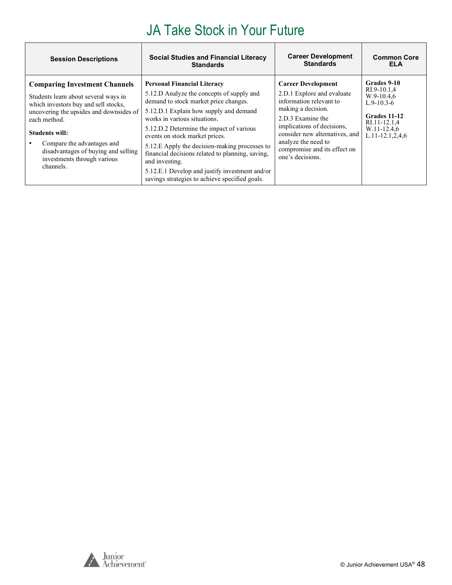| <b>Session Descriptions</b>                                                                                                                                                                                                                                                                                        | <b>Social Studies and Financial Literacy</b>                                                                                                                                                                                                                                                                                                                                                                                                                                                                | <b>Career Development</b>                                                                                                                                                                                                                                                | <b>Common Core</b>                                                                                                                  |
|--------------------------------------------------------------------------------------------------------------------------------------------------------------------------------------------------------------------------------------------------------------------------------------------------------------------|-------------------------------------------------------------------------------------------------------------------------------------------------------------------------------------------------------------------------------------------------------------------------------------------------------------------------------------------------------------------------------------------------------------------------------------------------------------------------------------------------------------|--------------------------------------------------------------------------------------------------------------------------------------------------------------------------------------------------------------------------------------------------------------------------|-------------------------------------------------------------------------------------------------------------------------------------|
|                                                                                                                                                                                                                                                                                                                    | <b>Standards</b>                                                                                                                                                                                                                                                                                                                                                                                                                                                                                            | <b>Standards</b>                                                                                                                                                                                                                                                         | <b>ELA</b>                                                                                                                          |
| <b>Comparing Investment Channels</b><br>Students learn about several ways in<br>which investors buy and sell stocks,<br>uncovering the upsides and downsides of<br>each method.<br>Students will:<br>Compare the advantages and<br>disadvantages of buying and selling<br>investments through various<br>channels. | <b>Personal Financial Literacy</b><br>5.12.D Analyze the concepts of supply and<br>demand to stock market price changes.<br>5.12.D.1 Explain how supply and demand<br>works in various situations.<br>5.12.D.2 Determine the impact of various<br>events on stock market prices.<br>5.12.E Apply the decision-making processes to<br>financial decisions related to planning, saving,<br>and investing.<br>5.12.E.1 Develop and justify investment and/or<br>savings strategies to achieve specified goals. | <b>Career Development</b><br>2.D.1 Explore and evaluate<br>information relevant to<br>making a decision.<br>2.D.3 Examine the<br>implications of decisions,<br>consider new alternatives, and<br>analyze the need to<br>compromise and its effect on<br>one's decisions. | Grades 9-10<br>RI.9-10.1,4<br>$W.9-10.4.6$<br>$L.9-10.3-6$<br>Grades 11-12<br>RI.11-12.1,4<br>W.11-12.4,6<br>$L.11 - 12.1, 2, 4, 6$ |

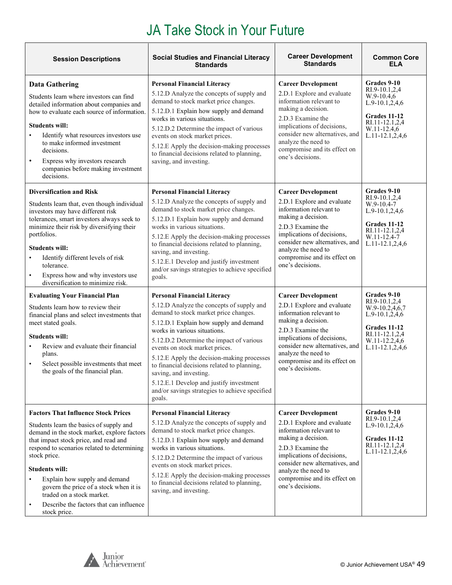| <b>Session Descriptions</b>                                                                                                                                                                                                                                                                                                                                                                                                              | <b>Social Studies and Financial Literacy</b><br><b>Standards</b>                                                                                                                                                                                                                                                                                                                                                                                                                                               | <b>Career Development</b><br><b>Standards</b>                                                                                                                                                                                                                            | <b>Common Core</b><br><b>ELA</b>                                                                                                              |
|------------------------------------------------------------------------------------------------------------------------------------------------------------------------------------------------------------------------------------------------------------------------------------------------------------------------------------------------------------------------------------------------------------------------------------------|----------------------------------------------------------------------------------------------------------------------------------------------------------------------------------------------------------------------------------------------------------------------------------------------------------------------------------------------------------------------------------------------------------------------------------------------------------------------------------------------------------------|--------------------------------------------------------------------------------------------------------------------------------------------------------------------------------------------------------------------------------------------------------------------------|-----------------------------------------------------------------------------------------------------------------------------------------------|
| <b>Data Gathering</b><br>Students learn where investors can find<br>detailed information about companies and<br>how to evaluate each source of information.<br><b>Students will:</b><br>Identify what resources investors use<br>to make informed investment<br>decisions.<br>Express why investors research<br>$\bullet$<br>companies before making investment<br>decisions.                                                            | <b>Personal Financial Literacy</b><br>5.12.D Analyze the concepts of supply and<br>demand to stock market price changes.<br>5.12.D.1 Explain how supply and demand<br>works in various situations.<br>5.12.D.2 Determine the impact of various<br>events on stock market prices.<br>5.12.E Apply the decision-making processes<br>to financial decisions related to planning,<br>saving, and investing.                                                                                                        | <b>Career Development</b><br>2.D.1 Explore and evaluate<br>information relevant to<br>making a decision.<br>2.D.3 Examine the<br>implications of decisions,<br>consider new alternatives, and<br>analyze the need to<br>compromise and its effect on<br>one's decisions. | Grades 9-10<br>RI.9-10.1,2,4<br>$W.9-10.4,6$<br>$L.9-10.1,2,4,6$<br>Grades 11-12<br>RI.11-12.1,2,4<br>W.11-12.4,6<br>$L.11-12.1, 2, 4, 6$     |
| <b>Diversification and Risk</b><br>Students learn that, even though individual<br>investors may have different risk<br>tolerances, smart investors always seek to<br>minimize their risk by diversifying their<br>portfolios.<br><b>Students will:</b><br>Identify different levels of risk<br>tolerance.<br>Express how and why investors use<br>diversification to minimize risk.                                                      | <b>Personal Financial Literacy</b><br>5.12.D Analyze the concepts of supply and<br>demand to stock market price changes.<br>5.12.D.1 Explain how supply and demand<br>works in various situations.<br>5.12.E Apply the decision-making processes<br>to financial decisions related to planning,<br>saving, and investing.<br>5.12.E.1 Develop and justify investment<br>and/or savings strategies to achieve specified<br>goals.                                                                               | <b>Career Development</b><br>2.D.1 Explore and evaluate<br>information relevant to<br>making a decision.<br>2.D.3 Examine the<br>implications of decisions,<br>consider new alternatives, and<br>analyze the need to<br>compromise and its effect on<br>one's decisions. | Grades 9-10<br>RI.9-10.1,2,4<br>$W.9-10.4-7$<br>L.9-10.1,2,4,6<br>Grades 11-12<br>RI.11-12.1,2,4<br>W.11-12.4-7<br>$L.11-12.1, 2, 4, 6$       |
| <b>Evaluating Your Financial Plan</b><br>Students learn how to review their<br>financial plans and select investments that<br>meet stated goals.<br><b>Students will:</b><br>Review and evaluate their financial<br>plans.<br>Select possible investments that meet<br>$\bullet$<br>the goals of the financial plan.                                                                                                                     | <b>Personal Financial Literacy</b><br>5.12.D Analyze the concepts of supply and<br>demand to stock market price changes.<br>5.12.D.1 Explain how supply and demand<br>works in various situations.<br>5.12.D.2 Determine the impact of various<br>events on stock market prices.<br>5.12.E Apply the decision-making processes<br>to financial decisions related to planning,<br>saving, and investing.<br>5.12.E.1 Develop and justify investment<br>and/or savings strategies to achieve specified<br>goals. | <b>Career Development</b><br>2.D.1 Explore and evaluate<br>information relevant to<br>making a decision.<br>2.D.3 Examine the<br>implications of decisions,<br>consider new alternatives, and<br>analyze the need to<br>compromise and its effect on<br>one's decisions. | Grades 9-10<br>RI.9-10.1,2,4<br>W.9-10.2,4,6,7<br>$L.9-10.1,2,4,6$<br>Grades 11-12<br>RI.11-12.1,2,4<br>W.11-12.2,4,6<br>$L.11-12.1, 2, 4, 6$ |
| <b>Factors That Influence Stock Prices</b><br>Students learn the basics of supply and<br>demand in the stock market, explore factors<br>that impact stock price, and read and<br>respond to scenarios related to determining<br>stock price.<br><b>Students will:</b><br>Explain how supply and demand<br>govern the price of a stock when it is<br>traded on a stock market.<br>Describe the factors that can influence<br>stock price. | <b>Personal Financial Literacy</b><br>5.12.D Analyze the concepts of supply and<br>demand to stock market price changes.<br>5.12.D.1 Explain how supply and demand<br>works in various situations.<br>5.12.D.2 Determine the impact of various<br>events on stock market prices.<br>5.12.E Apply the decision-making processes<br>to financial decisions related to planning,<br>saving, and investing.                                                                                                        | <b>Career Development</b><br>2.D.1 Explore and evaluate<br>information relevant to<br>making a decision.<br>2.D.3 Examine the<br>implications of decisions,<br>consider new alternatives, and<br>analyze the need to<br>compromise and its effect on<br>one's decisions. | Grades 9-10<br>RI.9-10.1,2,4<br>L.9-10.1,2,4,6<br>Grades 11-12<br>RI.11-12.1,2,4<br>$L.11-12.1, 2, 4, 6$                                      |

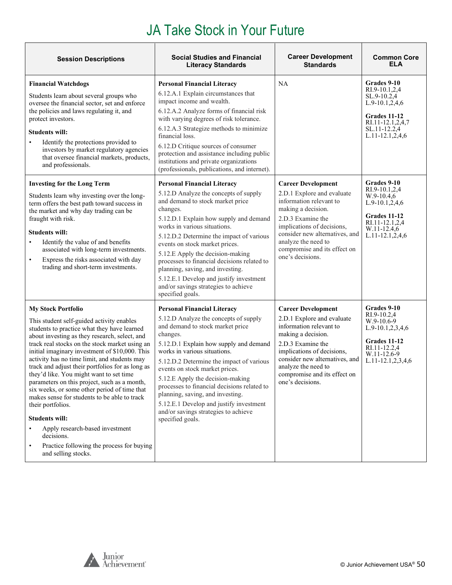| <b>Session Descriptions</b>                                                                                                                                                                                                                                                                                                                                                                                                                                                                                                                                                                                                                                                                                                                  | <b>Social Studies and Financial</b><br><b>Literacy Standards</b>                                                                                                                                                                                                                                                                                                                                                                                                                                                  | <b>Career Development</b><br><b>Standards</b>                                                                                                                                                                                                                            | <b>Common Core</b><br><b>ELA</b>                                                                                                                 |
|----------------------------------------------------------------------------------------------------------------------------------------------------------------------------------------------------------------------------------------------------------------------------------------------------------------------------------------------------------------------------------------------------------------------------------------------------------------------------------------------------------------------------------------------------------------------------------------------------------------------------------------------------------------------------------------------------------------------------------------------|-------------------------------------------------------------------------------------------------------------------------------------------------------------------------------------------------------------------------------------------------------------------------------------------------------------------------------------------------------------------------------------------------------------------------------------------------------------------------------------------------------------------|--------------------------------------------------------------------------------------------------------------------------------------------------------------------------------------------------------------------------------------------------------------------------|--------------------------------------------------------------------------------------------------------------------------------------------------|
| <b>Financial Watchdogs</b><br>Students learn about several groups who<br>oversee the financial sector, set and enforce<br>the policies and laws regulating it, and<br>protect investors.<br><b>Students will:</b><br>Identify the protections provided to<br>investors by market regulatory agencies<br>that oversee financial markets, products,<br>and professionals.                                                                                                                                                                                                                                                                                                                                                                      | <b>Personal Financial Literacy</b><br>6.12.A.1 Explain circumstances that<br>impact income and wealth.<br>6.12.A.2 Analyze forms of financial risk<br>with varying degrees of risk tolerance.<br>6.12.A.3 Strategize methods to minimize<br>financial loss.<br>6.12.D Critique sources of consumer<br>protection and assistance including public<br>institutions and private organizations<br>(professionals, publications, and internet).                                                                        | NA                                                                                                                                                                                                                                                                       | Grades 9-10<br>RI.9-10.1,2,4<br>SL.9-10.2,4<br>$L.9-10.1, 2, 4, 6$<br>Grades 11-12<br>RI.11-12.1,2,4,7<br>SL.11-12.2,4<br>$L.11-12.1, 2, 4, 6$   |
| <b>Investing for the Long Term</b><br>Students learn why investing over the long-<br>term offers the best path toward success in<br>the market and why day trading can be<br>fraught with risk.<br><b>Students will:</b><br>Identify the value of and benefits<br>associated with long-term investments.<br>Express the risks associated with day<br>$\bullet$<br>trading and short-term investments.                                                                                                                                                                                                                                                                                                                                        | <b>Personal Financial Literacy</b><br>5.12.D Analyze the concepts of supply<br>and demand to stock market price<br>changes.<br>5.12.D.1 Explain how supply and demand<br>works in various situations.<br>5.12.D.2 Determine the impact of various<br>events on stock market prices.<br>5.12.E Apply the decision-making<br>processes to financial decisions related to<br>planning, saving, and investing.<br>5.12.E.1 Develop and justify investment<br>and/or savings strategies to achieve<br>specified goals. | <b>Career Development</b><br>2.D.1 Explore and evaluate<br>information relevant to<br>making a decision.<br>2.D.3 Examine the<br>implications of decisions,<br>consider new alternatives, and<br>analyze the need to<br>compromise and its effect on<br>one's decisions. | Grades 9-10<br>RI.9-10.1,2,4<br>$W.9-10.4,6$<br>$L.9-10.1, 2, 4, 6$<br>Grades 11-12<br>RI.11-12.1,2,4<br>W.11-12.4,6<br>$L.11-12.1, 2, 4, 6$     |
| <b>My Stock Portfolio</b><br>This student self-guided activity enables<br>students to practice what they have learned<br>about investing as they research, select, and<br>track real stocks on the stock market using an<br>initial imaginary investment of \$10,000. This<br>activity has no time limit, and students may<br>track and adjust their portfolios for as long as<br>they'd like. You might want to set time<br>parameters on this project, such as a month,<br>six weeks, or some other period of time that<br>makes sense for students to be able to track<br>their portfolios.<br><b>Students will:</b><br>Apply research-based investment<br>decisions.<br>Practice following the process for buying<br>and selling stocks. | <b>Personal Financial Literacy</b><br>5.12.D Analyze the concepts of supply<br>and demand to stock market price<br>changes.<br>5.12.D.1 Explain how supply and demand<br>works in various situations.<br>5.12.D.2 Determine the impact of various<br>events on stock market prices.<br>5.12.E Apply the decision-making<br>processes to financial decisions related to<br>planning, saving, and investing.<br>5.12.E.1 Develop and justify investment<br>and/or savings strategies to achieve<br>specified goals. | <b>Career Development</b><br>2.D.1 Explore and evaluate<br>information relevant to<br>making a decision.<br>2.D.3 Examine the<br>implications of decisions,<br>consider new alternatives, and<br>analyze the need to<br>compromise and its effect on<br>one's decisions. | Grades 9-10<br>RI.9-10.2,4<br>$W.9-10.6-9$<br>$L.9-10.1, 2, 3, 4, 6$<br>Grades 11-12<br>RI.11-12.2,4<br>W.11-12.6-9<br>$L.11 - 12.1, 2, 3, 4, 6$ |

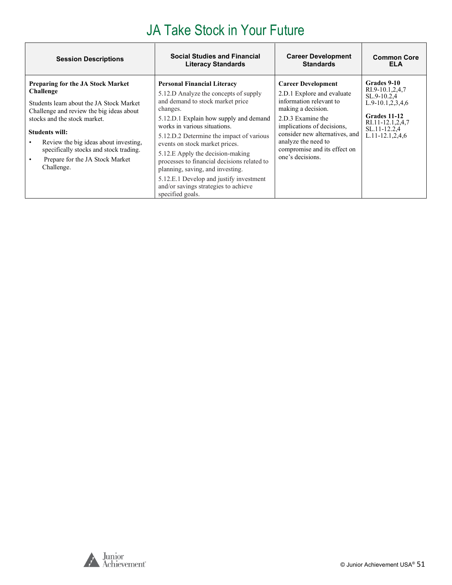| <b>Session Descriptions</b>                                                                                                                                                                                                                                                                                                                | <b>Social Studies and Financial</b>                                                                                                                                                                                                                                                                                                                                                                                                                                                                               | <b>Career Development</b>                                                                                                                                                                                                                                                | <b>Common Core</b>                                                                                                                                    |
|--------------------------------------------------------------------------------------------------------------------------------------------------------------------------------------------------------------------------------------------------------------------------------------------------------------------------------------------|-------------------------------------------------------------------------------------------------------------------------------------------------------------------------------------------------------------------------------------------------------------------------------------------------------------------------------------------------------------------------------------------------------------------------------------------------------------------------------------------------------------------|--------------------------------------------------------------------------------------------------------------------------------------------------------------------------------------------------------------------------------------------------------------------------|-------------------------------------------------------------------------------------------------------------------------------------------------------|
|                                                                                                                                                                                                                                                                                                                                            | <b>Literacy Standards</b>                                                                                                                                                                                                                                                                                                                                                                                                                                                                                         | <b>Standards</b>                                                                                                                                                                                                                                                         | <b>ELA</b>                                                                                                                                            |
| <b>Preparing for the JA Stock Market</b><br>Challenge<br>Students learn about the JA Stock Market<br>Challenge and review the big ideas about<br>stocks and the stock market.<br><b>Students will:</b><br>Review the big ideas about investing,<br>specifically stocks and stock trading.<br>Prepare for the JA Stock Market<br>Challenge. | <b>Personal Financial Literacy</b><br>5.12.D Analyze the concepts of supply<br>and demand to stock market price<br>changes.<br>5.12.D.1 Explain how supply and demand<br>works in various situations.<br>5.12.D.2 Determine the impact of various<br>events on stock market prices.<br>5.12.E Apply the decision-making<br>processes to financial decisions related to<br>planning, saving, and investing.<br>5.12.E.1 Develop and justify investment<br>and/or savings strategies to achieve<br>specified goals. | <b>Career Development</b><br>2.D.1 Explore and evaluate<br>information relevant to<br>making a decision.<br>2.D.3 Examine the<br>implications of decisions,<br>consider new alternatives, and<br>analyze the need to<br>compromise and its effect on<br>one's decisions. | Grades 9-10<br>RI.9-10.1,2,4,7<br>SL.9-10.2.4<br>$L.9-10.1, 2, 3, 4, 6$<br>Grades 11-12<br>RI.11-12.1,2,4,7<br>SL.11-12.2,4<br>$L.11 - 12.1, 2, 4, 6$ |



٦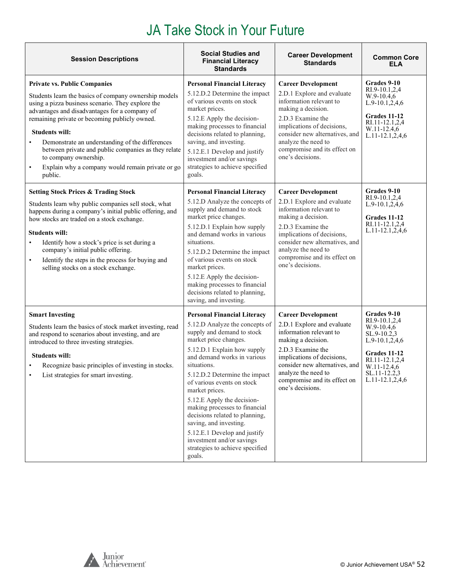| <b>Session Descriptions</b>                                                                                                                                                                                                                                                                                                                                                                                                                                                    | <b>Social Studies and</b><br><b>Financial Literacy</b><br><b>Standards</b>                                                                                                                                                                                                                                                                                                                                                                                                                                                     | <b>Career Development</b><br><b>Standards</b>                                                                                                                                                                                                                            | <b>Common Core</b><br><b>ELA</b>                                                                                                                                           |
|--------------------------------------------------------------------------------------------------------------------------------------------------------------------------------------------------------------------------------------------------------------------------------------------------------------------------------------------------------------------------------------------------------------------------------------------------------------------------------|--------------------------------------------------------------------------------------------------------------------------------------------------------------------------------------------------------------------------------------------------------------------------------------------------------------------------------------------------------------------------------------------------------------------------------------------------------------------------------------------------------------------------------|--------------------------------------------------------------------------------------------------------------------------------------------------------------------------------------------------------------------------------------------------------------------------|----------------------------------------------------------------------------------------------------------------------------------------------------------------------------|
| <b>Private vs. Public Companies</b><br>Students learn the basics of company ownership models<br>using a pizza business scenario. They explore the<br>advantages and disadvantages for a company of<br>remaining private or becoming publicly owned.<br><b>Students will:</b><br>Demonstrate an understanding of the differences<br>between private and public companies as they relate<br>to company ownership.<br>Explain why a company would remain private or go<br>public. | <b>Personal Financial Literacy</b><br>5.12.D.2 Determine the impact<br>of various events on stock<br>market prices.<br>5.12.E Apply the decision-<br>making processes to financial<br>decisions related to planning,<br>saving, and investing.<br>5.12.E.1 Develop and justify<br>investment and/or savings<br>strategies to achieve specified<br>goals.                                                                                                                                                                       | <b>Career Development</b><br>2.D.1 Explore and evaluate<br>information relevant to<br>making a decision.<br>2.D.3 Examine the<br>implications of decisions,<br>consider new alternatives, and<br>analyze the need to<br>compromise and its effect on<br>one's decisions. | Grades 9-10<br>RI.9-10.1,2,4<br>$W.9-10.4,6$<br>$L.9-10.1,2,4,6$<br>Grades 11-12<br>RI.11-12.1,2,4<br>W.11-12.4,6<br>L.11-12.1,2,4,6                                       |
| <b>Setting Stock Prices &amp; Trading Stock</b><br>Students learn why public companies sell stock, what<br>happens during a company's initial public offering, and<br>how stocks are traded on a stock exchange.<br><b>Students will:</b><br>Identify how a stock's price is set during a<br>$\bullet$<br>company's initial public offering.<br>Identify the steps in the process for buying and<br>$\bullet$<br>selling stocks on a stock exchange.                           | <b>Personal Financial Literacy</b><br>5.12.D Analyze the concepts of<br>supply and demand to stock<br>market price changes.<br>5.12.D.1 Explain how supply<br>and demand works in various<br>situations.<br>5.12.D.2 Determine the impact<br>of various events on stock<br>market prices.<br>5.12.E Apply the decision-<br>making processes to financial<br>decisions related to planning,<br>saving, and investing.                                                                                                           | <b>Career Development</b><br>2.D.1 Explore and evaluate<br>information relevant to<br>making a decision.<br>2.D.3 Examine the<br>implications of decisions,<br>consider new alternatives, and<br>analyze the need to<br>compromise and its effect on<br>one's decisions. | Grades 9-10<br>RI.9-10.1,2,4<br>$L.9-10.1,2,4,6$<br>Grades 11-12<br>RI.11-12.1,2,4<br>$L.11-12.1, 2, 4, 6$                                                                 |
| <b>Smart Investing</b><br>Students learn the basics of stock market investing, read<br>and respond to scenarios about investing, and are<br>introduced to three investing strategies.<br><b>Students will:</b><br>Recognize basic principles of investing in stocks.<br>List strategies for smart investing.                                                                                                                                                                   | <b>Personal Financial Literacy</b><br>5.12.D Analyze the concepts of<br>supply and demand to stock<br>market price changes.<br>5.12.D.1 Explain how supply<br>and demand works in various<br>situations.<br>5.12.D.2 Determine the impact<br>of various events on stock<br>market prices.<br>5.12.E Apply the decision-<br>making processes to financial<br>decisions related to planning,<br>saving, and investing.<br>5.12.E.1 Develop and justify<br>investment and/or savings<br>strategies to achieve specified<br>goals. | <b>Career Development</b><br>2.D.1 Explore and evaluate<br>information relevant to<br>making a decision.<br>2.D.3 Examine the<br>implications of decisions,<br>consider new alternatives, and<br>analyze the need to<br>compromise and its effect on<br>one's decisions. | <b>Grades 9-10</b><br>RI.9-10.1,2,4<br>$W.9-10.4,6$<br>SL.9-10.2,3<br>$L.9-10.1,2,4,6$<br>Grades 11-12<br>RI.11-12.1,2,4<br>W.11-12.4,6<br>SL.11-12.2,3<br>L.11-12.1,2,4,6 |

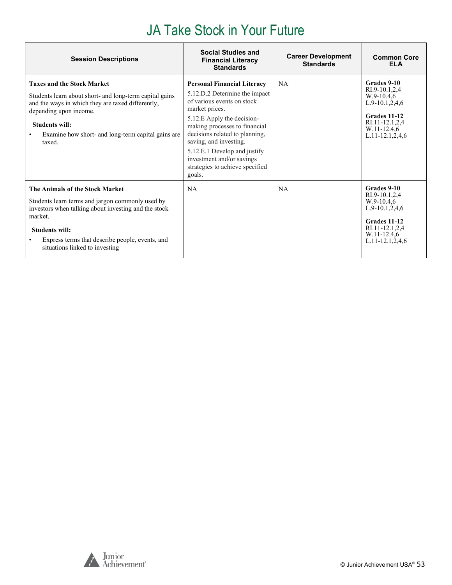| <b>Session Descriptions</b>                                                                                                                                                                                                                                          | <b>Social Studies and</b><br><b>Financial Literacy</b><br><b>Standards</b>                                                                                                                                                                                                                                                                               | <b>Career Development</b><br><b>Standards</b> | <b>Common Core</b><br><b>ELA</b>                                                                                                               |
|----------------------------------------------------------------------------------------------------------------------------------------------------------------------------------------------------------------------------------------------------------------------|----------------------------------------------------------------------------------------------------------------------------------------------------------------------------------------------------------------------------------------------------------------------------------------------------------------------------------------------------------|-----------------------------------------------|------------------------------------------------------------------------------------------------------------------------------------------------|
| <b>Taxes and the Stock Market</b><br>Students learn about short- and long-term capital gains<br>and the ways in which they are taxed differently,<br>depending upon income.<br><b>Students will:</b><br>Examine how short- and long-term capital gains are<br>taxed. | <b>Personal Financial Literacy</b><br>5.12.D.2 Determine the impact<br>of various events on stock<br>market prices.<br>5.12.E Apply the decision-<br>making processes to financial<br>decisions related to planning,<br>saving, and investing.<br>5.12.E.1 Develop and justify<br>investment and/or savings<br>strategies to achieve specified<br>goals. | <b>NA</b>                                     | Grades 9-10<br>RI.9-10.1.2.4<br>$W.9-10.4.6$<br>$L.9-10.1,2.4,6$<br>Grades 11-12<br>RI.11-12.1,2,4<br>W.11-12.4,6<br>$L.11 - 12.1, 2, 4, 6$    |
| The Animals of the Stock Market<br>Students learn terms and jargon commonly used by<br>investors when talking about investing and the stock<br>market.<br><b>Students will:</b><br>Express terms that describe people, events, and<br>situations linked to investing | NA                                                                                                                                                                                                                                                                                                                                                       | <b>NA</b>                                     | Grades 9-10<br>RI.9-10.1,2,4<br>$W.9-10.4.6$<br>$L.9-10.1, 2, 4, 6$<br>Grades 11-12<br>RI.11-12.1,2,4<br>W.11-12.4.6<br>$L.11 - 12.1, 2, 4, 6$ |



٦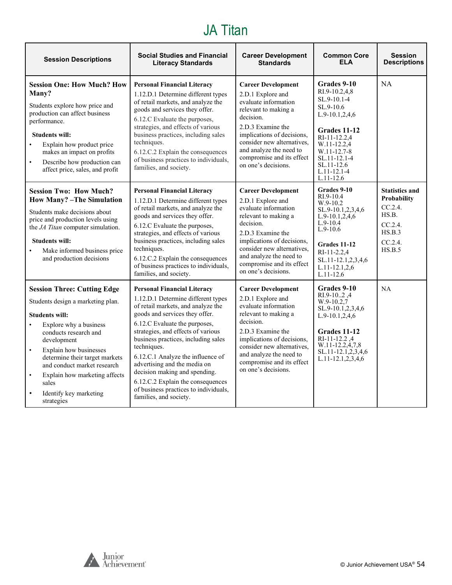### JA Titan

<span id="page-53-0"></span>

| <b>Session Descriptions</b>                                                                                                                                                                                                                                                                                                                                               | <b>Social Studies and Financial</b><br><b>Literacy Standards</b>                                                                                                                                                                                                                                                                                                                                                                                                                            | <b>Career Development</b><br><b>Standards</b>                                                                                                                                                                                                                               | <b>Common Core</b><br><b>ELA</b>                                                                                                                                                                                      | <b>Session</b><br><b>Descriptions</b>                                                                        |
|---------------------------------------------------------------------------------------------------------------------------------------------------------------------------------------------------------------------------------------------------------------------------------------------------------------------------------------------------------------------------|---------------------------------------------------------------------------------------------------------------------------------------------------------------------------------------------------------------------------------------------------------------------------------------------------------------------------------------------------------------------------------------------------------------------------------------------------------------------------------------------|-----------------------------------------------------------------------------------------------------------------------------------------------------------------------------------------------------------------------------------------------------------------------------|-----------------------------------------------------------------------------------------------------------------------------------------------------------------------------------------------------------------------|--------------------------------------------------------------------------------------------------------------|
| <b>Session One: How Much? How</b><br>Many?<br>Students explore how price and<br>production can affect business<br>performance.<br><b>Students will:</b><br>Explain how product price<br>makes an impact on profits<br>Describe how production can<br>$\bullet$<br>affect price, sales, and profit                                                                         | <b>Personal Financial Literacy</b><br>1.12.D.1 Determine different types<br>of retail markets, and analyze the<br>goods and services they offer.<br>6.12.C Evaluate the purposes,<br>strategies, and effects of various<br>business practices, including sales<br>techniques.<br>6.12.C.2 Explain the consequences<br>of business practices to individuals,<br>families, and society.                                                                                                       | <b>Career Development</b><br>2.D.1 Explore and<br>evaluate information<br>relevant to making a<br>decision.<br>2.D.3 Examine the<br>implications of decisions,<br>consider new alternatives.<br>and analyze the need to<br>compromise and its effect<br>on one's decisions. | Grades 9-10<br>RI.9-10.2,4,8<br>SL.9-10.1-4<br>$SL.9-10.6$<br>L.9-10.1,2,4,6<br><b>Grades 11-12</b><br>RI-11-12.2.4<br>W.11-12.2,4<br>$W.11-12.7-8$<br>SL.11-12.1-4<br>SL.11-12.6<br>$L.11 - 12.1 - 4$<br>$L.11-12.6$ | <b>NA</b>                                                                                                    |
| <b>Session Two: How Much?</b><br><b>How Many?</b> -The Simulation<br>Students make decisions about<br>price and production levels using<br>the JA Titan computer simulation.<br><b>Students will:</b><br>Make informed business price<br>$\bullet$<br>and production decisions                                                                                            | <b>Personal Financial Literacy</b><br>1.12.D.1 Determine different types<br>of retail markets, and analyze the<br>goods and services they offer.<br>6.12.C Evaluate the purposes,<br>strategies, and effects of various<br>business practices, including sales<br>techniques.<br>6.12.C.2 Explain the consequences<br>of business practices to individuals,<br>families, and society.                                                                                                       | <b>Career Development</b><br>2.D.1 Explore and<br>evaluate information<br>relevant to making a<br>decision.<br>2.D.3 Examine the<br>implications of decisions,<br>consider new alternatives.<br>and analyze the need to<br>compromise and its effect<br>on one's decisions. | Grades 9-10<br>RI.9-10.4<br>$W.9-10.2$<br>SL.9-10.1,2,3,4,6<br>$L.9-10.1, 2, 4, 6$<br>$L.9-10.4$<br>$L.9-10.6$<br>Grades 11-12<br>$RI-11-2.2.4$<br>SL.11-12.1,2,3,4,6<br>$L.11 - 12.1, 2, 6$<br>$L.11-12.6$           | <b>Statistics and</b><br><b>Probability</b><br>CC.2.4.<br>HS.B.<br>CC.2.4.<br>HS.B.3<br>$CC.2.4$ .<br>HS.B.5 |
| <b>Session Three: Cutting Edge</b><br>Students design a marketing plan.<br><b>Students will:</b><br>Explore why a business<br>conducts research and<br>development<br>Explain how businesses<br>$\bullet$<br>determine their target markets<br>and conduct market research<br>Explain how marketing affects<br>$\bullet$<br>sales<br>Identify key marketing<br>strategies | <b>Personal Financial Literacy</b><br>1.12.D.1 Determine different types<br>of retail markets, and analyze the<br>goods and services they offer.<br>6.12.C Evaluate the purposes,<br>strategies, and effects of various<br>business practices, including sales<br>techniques.<br>6.12.C.1 Analyze the influence of<br>advertising and the media on<br>decision making and spending.<br>6.12.C.2 Explain the consequences<br>of business practices to individuals,<br>families, and society. | <b>Career Development</b><br>2.D.1 Explore and<br>evaluate information<br>relevant to making a<br>decision.<br>2.D.3 Examine the<br>implications of decisions,<br>consider new alternatives.<br>and analyze the need to<br>compromise and its effect<br>on one's decisions. | Grades 9-10<br>RI.9-102,4<br>$W.9-10.2,7$<br>SL.9-10.1,2,3,4,6<br>L.9-10.1,2,4,6<br>Grades 11-12<br>RI-11-12.2,4<br>W.11-12.2,4,7,8<br>SL.11-12.1,2,3,4,6<br>$L.11 - 12.1, 2, 3, 4, 6$                                | NA                                                                                                           |

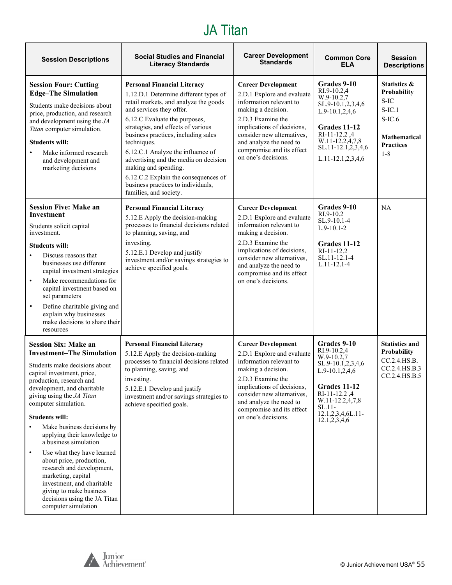#### JA Titan

| <b>Session Descriptions</b>                                                                                                                                                                                                                                                                                                                                                                                                                                                                                                                                                                             | <b>Social Studies and Financial</b><br><b>Literacy Standards</b>                                                                                                                                                                                                                                                                                                                                                                                                                            | <b>Career Development</b><br><b>Standards</b>                                                                                                                                                                                                                            | <b>Common Core</b><br>ELA                                                                                                                                                                    | <b>Session</b><br><b>Descriptions</b>                                                                                         |
|---------------------------------------------------------------------------------------------------------------------------------------------------------------------------------------------------------------------------------------------------------------------------------------------------------------------------------------------------------------------------------------------------------------------------------------------------------------------------------------------------------------------------------------------------------------------------------------------------------|---------------------------------------------------------------------------------------------------------------------------------------------------------------------------------------------------------------------------------------------------------------------------------------------------------------------------------------------------------------------------------------------------------------------------------------------------------------------------------------------|--------------------------------------------------------------------------------------------------------------------------------------------------------------------------------------------------------------------------------------------------------------------------|----------------------------------------------------------------------------------------------------------------------------------------------------------------------------------------------|-------------------------------------------------------------------------------------------------------------------------------|
| <b>Session Four: Cutting</b><br><b>Edge-The Simulation</b><br>Students make decisions about<br>price, production, and research<br>and development using the JA<br>Titan computer simulation.<br><b>Students will:</b><br>Make informed research<br>and development and<br>marketing decisions                                                                                                                                                                                                                                                                                                           | <b>Personal Financial Literacy</b><br>1.12.D.1 Determine different types of<br>retail markets, and analyze the goods<br>and services they offer.<br>6.12.C Evaluate the purposes,<br>strategies, and effects of various<br>business practices, including sales<br>techniques.<br>6.12.C.1 Analyze the influence of<br>advertising and the media on decision<br>making and spending.<br>6.12.C.2 Explain the consequences of<br>business practices to individuals,<br>families, and society. | <b>Career Development</b><br>2.D.1 Explore and evaluate<br>information relevant to<br>making a decision.<br>2.D.3 Examine the<br>implications of decisions,<br>consider new alternatives,<br>and analyze the need to<br>compromise and its effect<br>on one's decisions. | Grades 9-10<br>RI.9-10.2,4<br>W.9-10.2.7<br>SL.9-10.1,2,3,4,6<br>$L.9-10.1, 2, 4, 6$<br>Grades 11-12<br>RI-11-12.2,4<br>W.11-12.2,4,7,8<br>SL.11-12.1,2,3,4,6<br>$L.11-12.1, 2, 3, 4, 6$     | <b>Statistics &amp;</b><br>Probability<br>S-IC<br>$S$ -IC.1<br>$S-IC.6$<br><b>Mathematical</b><br><b>Practices</b><br>$1 - 8$ |
| <b>Session Five: Make an</b><br><b>Investment</b><br>Students solicit capital<br>investment.<br><b>Students will:</b><br>Discuss reasons that<br>businesses use different<br>capital investment strategies<br>Make recommendations for<br>$\bullet$<br>capital investment based on<br>set parameters<br>Define charitable giving and<br>$\bullet$<br>explain why businesses<br>make decisions to share their<br>resources                                                                                                                                                                               | <b>Personal Financial Literacy</b><br>5.12.E Apply the decision-making<br>processes to financial decisions related<br>to planning, saving, and<br>investing.<br>5.12.E.1 Develop and justify<br>investment and/or savings strategies to<br>achieve specified goals.                                                                                                                                                                                                                         | <b>Career Development</b><br>2.D.1 Explore and evaluate<br>information relevant to<br>making a decision.<br>2.D.3 Examine the<br>implications of decisions,<br>consider new alternatives,<br>and analyze the need to<br>compromise and its effect<br>on one's decisions. | Grades 9-10<br>RI.9-10.2<br>SL.9-10.1-4<br>$L.9-10.1-2$<br>Grades 11-12<br>RI-11-12.2<br>SL.11-12.1-4<br>$L.11 - 12.1 - 4$                                                                   | NA                                                                                                                            |
| <b>Session Six: Make an</b><br><b>Investment-The Simulation</b><br>Students make decisions about<br>capital investment, price,<br>production, research and<br>development, and charitable<br>giving using the JA Titan<br>computer simulation.<br><b>Students will:</b><br>Make business decisions by<br>applying their knowledge to<br>a business simulation<br>Use what they have learned<br>$\bullet$<br>about price, production,<br>research and development,<br>marketing, capital<br>investment, and charitable<br>giving to make business<br>decisions using the JA Titan<br>computer simulation | <b>Personal Financial Literacy</b><br>5.12.E Apply the decision-making<br>processes to financial decisions related<br>to planning, saving, and<br>investing.<br>5.12.E.1 Develop and justify<br>investment and/or savings strategies to<br>achieve specified goals.                                                                                                                                                                                                                         | <b>Career Development</b><br>2.D.1 Explore and evaluate<br>information relevant to<br>making a decision.<br>2.D.3 Examine the<br>implications of decisions,<br>consider new alternatives,<br>and analyze the need to<br>compromise and its effect<br>on one's decisions. | Grades 9-10<br>RI.9-10.2,4<br>$W.9-10.2,7$<br>SL.9-10.1,2,3,4,6<br>L.9-10.1,2,4,6<br><b>Grades 11-12</b><br>RI-11-12.2,4<br>W.11-12.2,4,7,8<br>$SL.11-$<br>12.1,2,3,4,6L.11-<br>12.1,2,3,4,6 | <b>Statistics and</b><br>Probability<br>CC.2.4.HS.B.<br>CC.2.4.HS.B.3<br>CC.2.4.HS.B.5                                        |

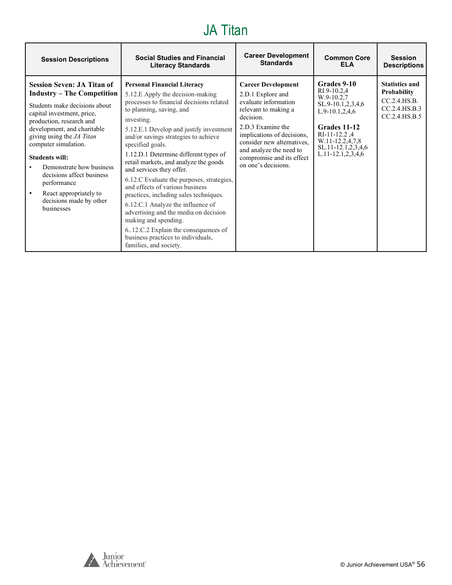#### JA Titan

| <b>Session Descriptions</b>                                                                                                                                                                                                                                                                                                                                                                                               | <b>Social Studies and Financial</b>                                                                                                                                                                                                                                                                                                                                                                                                                                                                                                                                                                                                                                                                                      | <b>Career Development</b>                                                                                                                                                                                                                                                   | <b>Common Core</b>                                                                                                                                                                               | <b>Session</b>                                                                                |
|---------------------------------------------------------------------------------------------------------------------------------------------------------------------------------------------------------------------------------------------------------------------------------------------------------------------------------------------------------------------------------------------------------------------------|--------------------------------------------------------------------------------------------------------------------------------------------------------------------------------------------------------------------------------------------------------------------------------------------------------------------------------------------------------------------------------------------------------------------------------------------------------------------------------------------------------------------------------------------------------------------------------------------------------------------------------------------------------------------------------------------------------------------------|-----------------------------------------------------------------------------------------------------------------------------------------------------------------------------------------------------------------------------------------------------------------------------|--------------------------------------------------------------------------------------------------------------------------------------------------------------------------------------------------|-----------------------------------------------------------------------------------------------|
|                                                                                                                                                                                                                                                                                                                                                                                                                           | <b>Literacy Standards</b>                                                                                                                                                                                                                                                                                                                                                                                                                                                                                                                                                                                                                                                                                                | <b>Standards</b>                                                                                                                                                                                                                                                            | FI A                                                                                                                                                                                             | <b>Descriptions</b>                                                                           |
| <b>Session Seven: JA Titan of</b><br><b>Industry – The Competition</b><br>Students make decisions about<br>capital investment, price,<br>production, research and<br>development, and charitable<br>giving using the JA Titan<br>computer simulation.<br><b>Students will:</b><br>Demonstrate how business<br>decisions affect business<br>performance<br>React appropriately to<br>decisions made by other<br>businesses | <b>Personal Financial Literacy</b><br>5.12.E Apply the decision-making<br>processes to financial decisions related<br>to planning, saving, and<br>investing.<br>5.12.E.1 Develop and justify investment<br>and/or savings strategies to achieve<br>specified goals.<br>1.12.D.1 Determine different types of<br>retail markets, and analyze the goods<br>and services they offer.<br>6.12.C Evaluate the purposes, strategies,<br>and effects of various business<br>practices, including sales techniques.<br>6.12.C.1 Analyze the influence of<br>advertising and the media on decision<br>making and spending.<br>612.C.2 Explain the consequences of<br>business practices to individuals,<br>families, and society. | <b>Career Development</b><br>2.D.1 Explore and<br>evaluate information<br>relevant to making a<br>decision.<br>2.D.3 Examine the<br>implications of decisions,<br>consider new alternatives,<br>and analyze the need to<br>compromise and its effect<br>on one's decisions. | Grades 9-10<br>RI.9-10.2,4<br>W.9-10.2,7<br>SL.9-10.1,2,3,4,6<br>$L.9-10.1, 2, 4, 6$<br>Grades 11-12<br>RI-11-12.2.4<br>W.11-12.2,4,7,8<br>$SL.11-12.1, 2, 3, 4, 6$<br>$L.11 - 12.1, 2, 3, 4, 6$ | <b>Statistics and</b><br><b>Probability</b><br>CC.2.4.HS.B.<br>CC.2.4.HS.B.3<br>CC.2.4.HS.B.5 |



r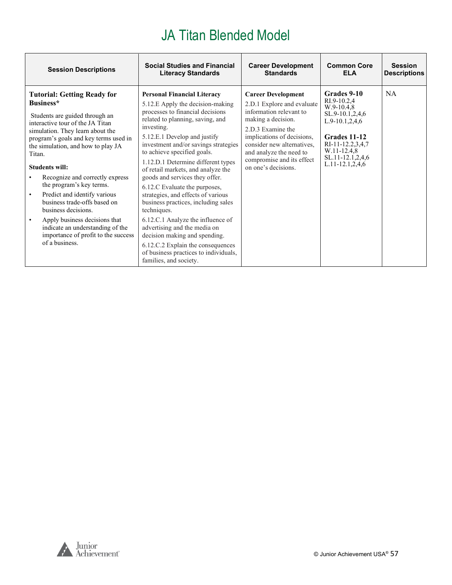<span id="page-56-0"></span>

| <b>Session Descriptions</b>                                                                                                                                                                                                                                                                                                                                                                                                                                                                                                                                                               | <b>Social Studies and Financial</b>                                                                                                                                                                                                                                                                                                                                                                                                                                                                                                                                                                                                                                                                                          | <b>Career Development</b>                                                                                                                                                                                                                                                | <b>Common Core</b>                                                                                                                                                                    | <b>Session</b>      |
|-------------------------------------------------------------------------------------------------------------------------------------------------------------------------------------------------------------------------------------------------------------------------------------------------------------------------------------------------------------------------------------------------------------------------------------------------------------------------------------------------------------------------------------------------------------------------------------------|------------------------------------------------------------------------------------------------------------------------------------------------------------------------------------------------------------------------------------------------------------------------------------------------------------------------------------------------------------------------------------------------------------------------------------------------------------------------------------------------------------------------------------------------------------------------------------------------------------------------------------------------------------------------------------------------------------------------------|--------------------------------------------------------------------------------------------------------------------------------------------------------------------------------------------------------------------------------------------------------------------------|---------------------------------------------------------------------------------------------------------------------------------------------------------------------------------------|---------------------|
|                                                                                                                                                                                                                                                                                                                                                                                                                                                                                                                                                                                           | <b>Literacy Standards</b>                                                                                                                                                                                                                                                                                                                                                                                                                                                                                                                                                                                                                                                                                                    | <b>Standards</b>                                                                                                                                                                                                                                                         | <b>ELA</b>                                                                                                                                                                            | <b>Descriptions</b> |
| <b>Tutorial: Getting Ready for</b><br>Business*<br>Students are guided through an<br>interactive tour of the JA Titan<br>simulation. They learn about the<br>program's goals and key terms used in<br>the simulation, and how to play JA<br>Titan.<br><b>Students will:</b><br>Recognize and correctly express<br>the program's key terms.<br>Predict and identify various<br>$\bullet$<br>business trade-offs based on<br>business decisions.<br>Apply business decisions that<br>$\bullet$<br>indicate an understanding of the<br>importance of profit to the success<br>of a business. | <b>Personal Financial Literacy</b><br>5.12.E Apply the decision-making<br>processes to financial decisions<br>related to planning, saving, and<br>investing.<br>5.12.E.1 Develop and justify<br>investment and/or savings strategies<br>to achieve specified goals.<br>1.12.D.1 Determine different types<br>of retail markets, and analyze the<br>goods and services they offer.<br>6.12.C Evaluate the purposes,<br>strategies, and effects of various<br>business practices, including sales<br>techniques.<br>6.12.C.1 Analyze the influence of<br>advertising and the media on<br>decision making and spending.<br>6.12.C.2 Explain the consequences<br>of business practices to individuals,<br>families, and society. | <b>Career Development</b><br>2.D.1 Explore and evaluate<br>information relevant to<br>making a decision.<br>2.D.3 Examine the<br>implications of decisions,<br>consider new alternatives,<br>and analyze the need to<br>compromise and its effect<br>on one's decisions. | Grades 9-10<br>RI.9-10.2.4<br>$W.9-10.4,8$<br>SL.9-10.1,2,4,6<br>$L.9-10.1, 2, 4, 6$<br>Grades 11-12<br>RI-11-12.2,3,4,7<br>W.11-12.4,8<br>SL.11-12.1,2,4,6<br>$L.11 - 12.1, 2, 4, 6$ | <b>NA</b>           |

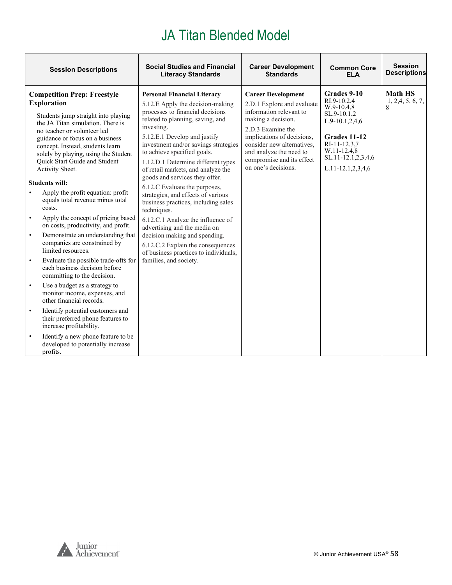| <b>Session Descriptions</b>                                                                                                                                                                                                                                                                                                                                                                                                                                                                                                                                                                                                                                                                                                                                                                                                                                                                                                                                                                                                                                                                  | <b>Social Studies and Financial</b>                                                                                                                                                                                                                                                                                                                                                                                                                                                                                                                                                                                                                                                                                          | <b>Career Development</b>                                                                                                                                                                                                                                                | <b>Common Core</b>                                                                                                                                                    | <b>Session</b>                           |
|----------------------------------------------------------------------------------------------------------------------------------------------------------------------------------------------------------------------------------------------------------------------------------------------------------------------------------------------------------------------------------------------------------------------------------------------------------------------------------------------------------------------------------------------------------------------------------------------------------------------------------------------------------------------------------------------------------------------------------------------------------------------------------------------------------------------------------------------------------------------------------------------------------------------------------------------------------------------------------------------------------------------------------------------------------------------------------------------|------------------------------------------------------------------------------------------------------------------------------------------------------------------------------------------------------------------------------------------------------------------------------------------------------------------------------------------------------------------------------------------------------------------------------------------------------------------------------------------------------------------------------------------------------------------------------------------------------------------------------------------------------------------------------------------------------------------------------|--------------------------------------------------------------------------------------------------------------------------------------------------------------------------------------------------------------------------------------------------------------------------|-----------------------------------------------------------------------------------------------------------------------------------------------------------------------|------------------------------------------|
|                                                                                                                                                                                                                                                                                                                                                                                                                                                                                                                                                                                                                                                                                                                                                                                                                                                                                                                                                                                                                                                                                              | <b>Literacy Standards</b>                                                                                                                                                                                                                                                                                                                                                                                                                                                                                                                                                                                                                                                                                                    | <b>Standards</b>                                                                                                                                                                                                                                                         | <b>ELA</b>                                                                                                                                                            | <b>Descriptions</b>                      |
| <b>Competition Prep: Freestyle</b><br><b>Exploration</b><br>Students jump straight into playing<br>the JA Titan simulation. There is<br>no teacher or volunteer led<br>guidance or focus on a business<br>concept. Instead, students learn<br>solely by playing, using the Student<br>Quick Start Guide and Student<br>Activity Sheet.<br><b>Students will:</b><br>Apply the profit equation: profit<br>equals total revenue minus total<br>costs.<br>Apply the concept of pricing based<br>$\bullet$<br>on costs, productivity, and profit.<br>Demonstrate an understanding that<br>$\bullet$<br>companies are constrained by<br>limited resources.<br>Evaluate the possible trade-offs for<br>each business decision before<br>committing to the decision.<br>Use a budget as a strategy to<br>$\bullet$<br>monitor income, expenses, and<br>other financial records.<br>Identify potential customers and<br>$\bullet$<br>their preferred phone features to<br>increase profitability.<br>Identify a new phone feature to be<br>$\bullet$<br>developed to potentially increase<br>profits. | <b>Personal Financial Literacy</b><br>5.12.E Apply the decision-making<br>processes to financial decisions<br>related to planning, saving, and<br>investing.<br>5.12.E.1 Develop and justify<br>investment and/or savings strategies<br>to achieve specified goals.<br>1.12.D.1 Determine different types<br>of retail markets, and analyze the<br>goods and services they offer.<br>6.12.C Evaluate the purposes,<br>strategies, and effects of various<br>business practices, including sales<br>techniques.<br>6.12.C.1 Analyze the influence of<br>advertising and the media on<br>decision making and spending.<br>6.12.C.2 Explain the consequences<br>of business practices to individuals,<br>families, and society. | <b>Career Development</b><br>2.D.1 Explore and evaluate<br>information relevant to<br>making a decision.<br>2.D.3 Examine the<br>implications of decisions,<br>consider new alternatives,<br>and analyze the need to<br>compromise and its effect<br>on one's decisions. | Grades 9-10<br>RI.9-10.2.4<br>$W.9-10.4,8$<br>SL.9-10.1,2<br>L.9-10.1,2,4,6<br>Grades 11-12<br>RI-11-12.3,7<br>W.11-12.4,8<br>SL.11-12.1,2,3,4,6<br>L.11-12.1,2,3,4,6 | <b>Math HS</b><br>1, 2, 4, 5, 6, 7,<br>8 |

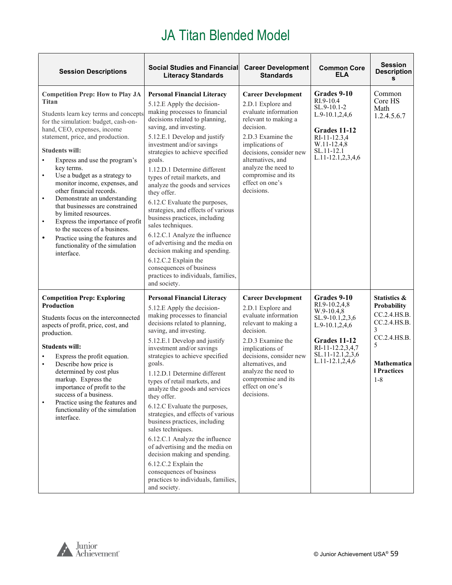| <b>Session Descriptions</b>                                                                                                                                                                                                                                                                                                                                                                                                                                                                                                                                                                                                                                                          | <b>Social Studies and Financial</b><br><b>Literacy Standards</b>                                                                                                                                                                                                                                                                                                                                                                                                                                                                                                                                                                                                                                                                       | <b>Career Development</b><br><b>Standards</b>                                                                                                                                                                                                                                     | <b>Common Core</b><br><b>ELA</b>                                                                                                                                  | <b>Session</b><br><b>Description</b><br>s                                                                                             |
|--------------------------------------------------------------------------------------------------------------------------------------------------------------------------------------------------------------------------------------------------------------------------------------------------------------------------------------------------------------------------------------------------------------------------------------------------------------------------------------------------------------------------------------------------------------------------------------------------------------------------------------------------------------------------------------|----------------------------------------------------------------------------------------------------------------------------------------------------------------------------------------------------------------------------------------------------------------------------------------------------------------------------------------------------------------------------------------------------------------------------------------------------------------------------------------------------------------------------------------------------------------------------------------------------------------------------------------------------------------------------------------------------------------------------------------|-----------------------------------------------------------------------------------------------------------------------------------------------------------------------------------------------------------------------------------------------------------------------------------|-------------------------------------------------------------------------------------------------------------------------------------------------------------------|---------------------------------------------------------------------------------------------------------------------------------------|
| <b>Competition Prep: How to Play JA</b><br>Titan<br>Students learn key terms and concepts<br>for the simulation: budget, cash-on-<br>hand, CEO, expenses, income<br>statement, price, and production.<br><b>Students will:</b><br>Express and use the program's<br>key terms.<br>Use a budget as a strategy to<br>$\bullet$<br>monitor income, expenses, and<br>other financial records.<br>Demonstrate an understanding<br>$\bullet$<br>that businesses are constrained<br>by limited resources.<br>Express the importance of profit<br>$\bullet$<br>to the success of a business.<br>Practice using the features and<br>$\bullet$<br>functionality of the simulation<br>interface. | <b>Personal Financial Literacy</b><br>5.12.E Apply the decision-<br>making processes to financial<br>decisions related to planning,<br>saving, and investing.<br>5.12.E.1 Develop and justify<br>investment and/or savings<br>strategies to achieve specified<br>goals.<br>1.12.D.1 Determine different<br>types of retail markets, and<br>analyze the goods and services<br>they offer.<br>6.12.C Evaluate the purposes,<br>strategies, and effects of various<br>business practices, including<br>sales techniques.<br>6.12.C.1 Analyze the influence<br>of advertising and the media on<br>decision making and spending.<br>6.12.C.2 Explain the<br>consequences of business<br>practices to individuals, families,<br>and society. | <b>Career Development</b><br>2.D.1 Explore and<br>evaluate information<br>relevant to making a<br>decision.<br>2.D.3 Examine the<br>implications of<br>decisions, consider new<br>alternatives, and<br>analyze the need to<br>compromise and its<br>effect on one's<br>decisions. | Grades 9-10<br>RI.9-10.4<br>SL.9-10.1-2<br>$L.9-10.1, 2, 4, 6$<br>Grades 11-12<br>RI-11-12.3,4<br>W.11-12.4,8<br>SL.11-12.1<br>L.11-12.1,2,3,4,6                  | Common<br>Core HS<br>Math<br>1.2.4.5.6.7                                                                                              |
| <b>Competition Prep: Exploring</b><br><b>Production</b><br>Students focus on the interconnected<br>aspects of profit, price, cost, and<br>production.<br><b>Students will:</b><br>Express the profit equation.<br>Describe how price is<br>$\bullet$<br>determined by cost plus<br>markup. Express the<br>importance of profit to the<br>success of a business.<br>Practice using the features and<br>$\bullet$<br>functionality of the simulation<br>interface.                                                                                                                                                                                                                     | <b>Personal Financial Literacy</b><br>5.12.E Apply the decision-<br>making processes to financial<br>decisions related to planning,<br>saving, and investing.<br>5.12.E.1 Develop and justify<br>investment and/or savings<br>strategies to achieve specified<br>goals.<br>1.12.D.1 Determine different<br>types of retail markets, and<br>analyze the goods and services<br>they offer.<br>6.12.C Evaluate the purposes,<br>strategies, and effects of various<br>business practices, including<br>sales techniques.<br>6.12.C.1 Analyze the influence<br>of advertising and the media on<br>decision making and spending.<br>6.12.C.2 Explain the<br>consequences of business<br>practices to individuals, families,<br>and society. | <b>Career Development</b><br>2.D.1 Explore and<br>evaluate information<br>relevant to making a<br>decision.<br>2.D.3 Examine the<br>implications of<br>decisions, consider new<br>alternatives, and<br>analyze the need to<br>compromise and its<br>effect on one's<br>decisions. | Grades 9-10<br>RI.9-10.2,4,8<br>$W.9-10.4,8$<br>SL.9-10.1,2,3,6<br>$L.9-10.1, 2, 4, 6$<br>Grades 11-12<br>RI-11-12.2,3,4,7<br>SL.11-12.1,2,3,6<br>L.11-12.1,2,4,6 | Statistics &<br><b>Probability</b><br>CC.2.4.HS.B.<br>CC.2.4.HS.B.<br>3<br>CC.2.4.HS.B.<br>5<br>Mathematica<br>1 Practices<br>$1 - 8$ |

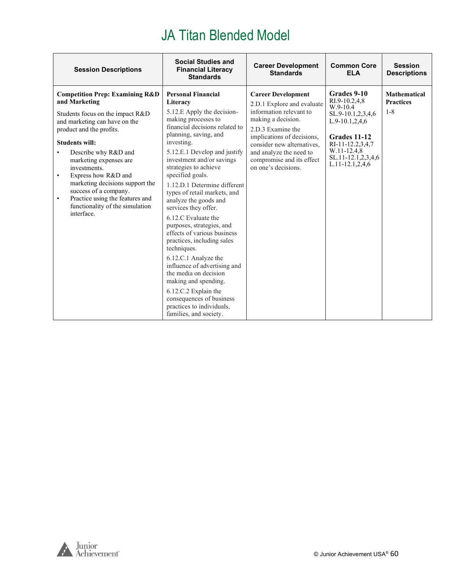| <b>Session Descriptions</b>                                                                                                                                                                                                                                                                                                                                                                                                                      | <b>Social Studies and</b><br><b>Financial Literacy</b><br><b>Standards</b>                                                                                                                                                                                                                                                                                                                                                                                                                                                                                                                                                                                                                                                                         | <b>Career Development</b><br><b>Standards</b>                                                                                                                                                                                                                            | <b>Common Core</b><br><b>ELA</b>                                                                                                                                                          | <b>Session</b><br><b>Descriptions</b>              |
|--------------------------------------------------------------------------------------------------------------------------------------------------------------------------------------------------------------------------------------------------------------------------------------------------------------------------------------------------------------------------------------------------------------------------------------------------|----------------------------------------------------------------------------------------------------------------------------------------------------------------------------------------------------------------------------------------------------------------------------------------------------------------------------------------------------------------------------------------------------------------------------------------------------------------------------------------------------------------------------------------------------------------------------------------------------------------------------------------------------------------------------------------------------------------------------------------------------|--------------------------------------------------------------------------------------------------------------------------------------------------------------------------------------------------------------------------------------------------------------------------|-------------------------------------------------------------------------------------------------------------------------------------------------------------------------------------------|----------------------------------------------------|
| <b>Competition Prep: Examining R&amp;D</b><br>and Marketing<br>Students focus on the impact R&D<br>and marketing can have on the<br>product and the profits.<br><b>Students will:</b><br>Describe why R&D and<br>marketing expenses are<br>investments.<br>Express how R&D and<br>٠<br>marketing decisions support the<br>success of a company.<br>Practice using the features and<br>$\bullet$<br>functionality of the simulation<br>interface. | <b>Personal Financial</b><br>Literacy<br>5.12.E Apply the decision-<br>making processes to<br>financial decisions related to<br>planning, saving, and<br>investing.<br>5.12.E.1 Develop and justify<br>investment and/or savings<br>strategies to achieve<br>specified goals.<br>1.12.D.1 Determine different<br>types of retail markets, and<br>analyze the goods and<br>services they offer.<br>6.12.C Evaluate the<br>purposes, strategies, and<br>effects of various business<br>practices, including sales<br>techniques.<br>6.12.C.1 Analyze the<br>influence of advertising and<br>the media on decision<br>making and spending.<br>6.12.C.2 Explain the<br>consequences of business<br>practices to individuals,<br>families, and society. | <b>Career Development</b><br>2.D.1 Explore and evaluate<br>information relevant to<br>making a decision.<br>2.D.3 Examine the<br>implications of decisions,<br>consider new alternatives.<br>and analyze the need to<br>compromise and its effect<br>on one's decisions. | Grades 9-10<br>RI.9-10.2,4,8<br>$W.9-10.4$<br>SL.9-10.1,2,3,4,6<br>$L.9-10.1, 2, 4, 6$<br>Grades 11-12<br>RI-11-12.2.3.4.7<br>W.11-12.4,8<br>SL.11-12.1,2,3,4,6<br>$L.11 - 12.1, 2, 4, 6$ | <b>Mathematical</b><br><b>Practices</b><br>$1 - 8$ |

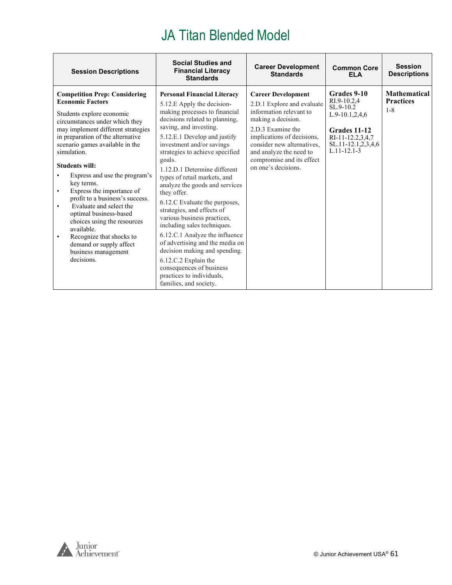| <b>Session Descriptions</b>                                                                                                                                                                                                                                                                                                                                                                                                                                                                                                                                                                                                      | <b>Social Studies and</b><br><b>Financial Literacy</b><br><b>Standards</b>                                                                                                                                                                                                                                                                                                                                                                                                                                                                                                                                                                                                                                                             | <b>Career Development</b><br><b>Standards</b>                                                                                                                                                                                                                            | <b>Common Core</b><br><b>ELA</b>                                                                                                              | <b>Session</b><br><b>Descriptions</b>              |
|----------------------------------------------------------------------------------------------------------------------------------------------------------------------------------------------------------------------------------------------------------------------------------------------------------------------------------------------------------------------------------------------------------------------------------------------------------------------------------------------------------------------------------------------------------------------------------------------------------------------------------|----------------------------------------------------------------------------------------------------------------------------------------------------------------------------------------------------------------------------------------------------------------------------------------------------------------------------------------------------------------------------------------------------------------------------------------------------------------------------------------------------------------------------------------------------------------------------------------------------------------------------------------------------------------------------------------------------------------------------------------|--------------------------------------------------------------------------------------------------------------------------------------------------------------------------------------------------------------------------------------------------------------------------|-----------------------------------------------------------------------------------------------------------------------------------------------|----------------------------------------------------|
| <b>Competition Prep: Considering</b><br><b>Economic Factors</b><br>Students explore economic<br>circumstances under which they<br>may implement different strategies<br>in preparation of the alternative<br>scenario games available in the<br>simulation.<br><b>Students will:</b><br>Express and use the program's<br>key terms.<br>Express the importance of<br>$\bullet$<br>profit to a business's success.<br>Evaluate and select the<br>$\bullet$<br>optimal business-based<br>choices using the resources<br>available.<br>Recognize that shocks to<br>٠<br>demand or supply affect<br>business management<br>decisions. | <b>Personal Financial Literacy</b><br>5.12.E Apply the decision-<br>making processes to financial<br>decisions related to planning,<br>saving, and investing.<br>5.12.E.1 Develop and justify<br>investment and/or savings<br>strategies to achieve specified<br>goals.<br>1.12.D.1 Determine different<br>types of retail markets, and<br>analyze the goods and services<br>they offer.<br>6.12.C Evaluate the purposes,<br>strategies, and effects of<br>various business practices,<br>including sales techniques.<br>6.12.C.1 Analyze the influence<br>of advertising and the media on<br>decision making and spending.<br>6.12.C.2 Explain the<br>consequences of business<br>practices to individuals,<br>families, and society. | <b>Career Development</b><br>2.D.1 Explore and evaluate<br>information relevant to<br>making a decision.<br>2.D.3 Examine the<br>implications of decisions,<br>consider new alternatives.<br>and analyze the need to<br>compromise and its effect<br>on one's decisions. | Grades 9-10<br>RI.9-10.2.4<br>SL.9-10.2<br>$L.9-10.1, 2, 4, 6$<br>Grades 11-12<br>RI-11-12.2.3.4.7<br>SL.11-12.1,2,3,4,6<br>$L.11 - 12.1 - 3$ | <b>Mathematical</b><br><b>Practices</b><br>$1 - 8$ |

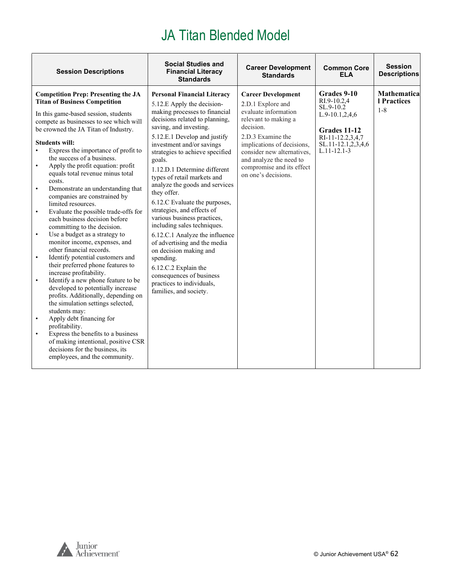| <b>Session Descriptions</b>                                                                                                                                                                                                                                                                                                                                                                                                                                                                                                                                                                                                                                                                                                                                                                                                                                                                                                                                                                                                                                                                                                                                                                                                                                                                     | <b>Social Studies and</b><br><b>Financial Literacy</b><br><b>Standards</b>                                                                                                                                                                                                                                                                                                                                                                                                                                                                                                                                                                                                                                                               | <b>Career Development</b><br><b>Standards</b>                                                                                                                                                                                                                               | <b>Common Core</b><br><b>ELA</b>                                                                                                                       | <b>Session</b><br><b>Descriptions</b>         |
|-------------------------------------------------------------------------------------------------------------------------------------------------------------------------------------------------------------------------------------------------------------------------------------------------------------------------------------------------------------------------------------------------------------------------------------------------------------------------------------------------------------------------------------------------------------------------------------------------------------------------------------------------------------------------------------------------------------------------------------------------------------------------------------------------------------------------------------------------------------------------------------------------------------------------------------------------------------------------------------------------------------------------------------------------------------------------------------------------------------------------------------------------------------------------------------------------------------------------------------------------------------------------------------------------|------------------------------------------------------------------------------------------------------------------------------------------------------------------------------------------------------------------------------------------------------------------------------------------------------------------------------------------------------------------------------------------------------------------------------------------------------------------------------------------------------------------------------------------------------------------------------------------------------------------------------------------------------------------------------------------------------------------------------------------|-----------------------------------------------------------------------------------------------------------------------------------------------------------------------------------------------------------------------------------------------------------------------------|--------------------------------------------------------------------------------------------------------------------------------------------------------|-----------------------------------------------|
| <b>Competition Prep: Presenting the JA</b><br><b>Titan of Business Competition</b><br>In this game-based session, students<br>compete as businesses to see which will<br>be crowned the JA Titan of Industry.<br><b>Students will:</b><br>Express the importance of profit to<br>$\bullet$<br>the success of a business.<br>Apply the profit equation: profit<br>$\bullet$<br>equals total revenue minus total<br>costs.<br>Demonstrate an understanding that<br>$\bullet$<br>companies are constrained by<br>limited resources.<br>Evaluate the possible trade-offs for<br>$\bullet$<br>each business decision before<br>committing to the decision.<br>Use a budget as a strategy to<br>$\bullet$<br>monitor income, expenses, and<br>other financial records.<br>Identify potential customers and<br>$\bullet$<br>their preferred phone features to<br>increase profitability.<br>Identify a new phone feature to be<br>$\bullet$<br>developed to potentially increase<br>profits. Additionally, depending on<br>the simulation settings selected,<br>students may:<br>Apply debt financing for<br>$\bullet$<br>profitability.<br>Express the benefits to a business<br>$\bullet$<br>of making intentional, positive CSR<br>decisions for the business, its<br>employees, and the community. | <b>Personal Financial Literacy</b><br>5.12.E Apply the decision-<br>making processes to financial<br>decisions related to planning,<br>saving, and investing.<br>5.12.E.1 Develop and justify<br>investment and/or savings<br>strategies to achieve specified<br>goals.<br>1.12.D.1 Determine different<br>types of retail markets and<br>analyze the goods and services<br>they offer.<br>6.12.C Evaluate the purposes,<br>strategies, and effects of<br>various business practices,<br>including sales techniques.<br>6.12.C.1 Analyze the influence<br>of advertising and the media<br>on decision making and<br>spending.<br>6.12.C.2 Explain the<br>consequences of business<br>practices to individuals,<br>families, and society. | <b>Career Development</b><br>2.D.1 Explore and<br>evaluate information<br>relevant to making a<br>decision.<br>2.D.3 Examine the<br>implications of decisions,<br>consider new alternatives,<br>and analyze the need to<br>compromise and its effect<br>on one's decisions. | Grades 9-10<br>RI.9-10.2.4<br>$SL.9-10.2$<br>$L.9-10.1, 2, 4, 6$<br><b>Grades 11-12</b><br>RI-11-12.2,3,4,7<br>SL.11-12.1,2,3,4,6<br>$L.11 - 12.1 - 3$ | <b>Mathematical</b><br>1 Practices<br>$1 - 8$ |

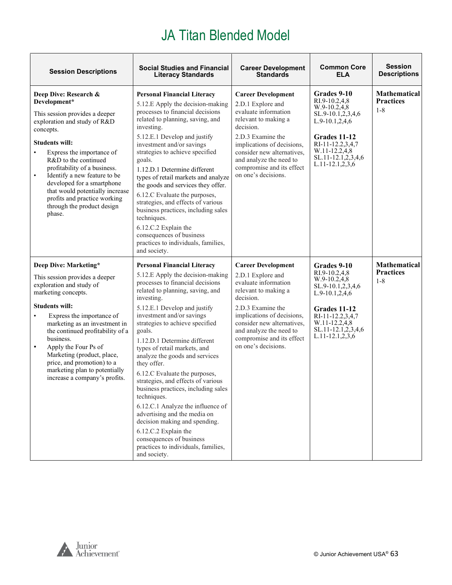| <b>Session Descriptions</b>                                                                                                                                                                                                                                                                                                                                                                                                           | <b>Social Studies and Financial</b><br><b>Literacy Standards</b>                                                                                                                                                                                                                                                                                                                                                                                                                                                                                                                                                                                                                                                                      | <b>Career Development</b><br><b>Standards</b>                                                                                                                                                                                                                               | <b>Common Core</b><br><b>ELA</b>                                                                                                                                                            | <b>Session</b><br><b>Descriptions</b>              |
|---------------------------------------------------------------------------------------------------------------------------------------------------------------------------------------------------------------------------------------------------------------------------------------------------------------------------------------------------------------------------------------------------------------------------------------|---------------------------------------------------------------------------------------------------------------------------------------------------------------------------------------------------------------------------------------------------------------------------------------------------------------------------------------------------------------------------------------------------------------------------------------------------------------------------------------------------------------------------------------------------------------------------------------------------------------------------------------------------------------------------------------------------------------------------------------|-----------------------------------------------------------------------------------------------------------------------------------------------------------------------------------------------------------------------------------------------------------------------------|---------------------------------------------------------------------------------------------------------------------------------------------------------------------------------------------|----------------------------------------------------|
| Deep Dive: Research &<br>Development*<br>This session provides a deeper<br>exploration and study of R&D<br>concepts.<br><b>Students will:</b><br>Express the importance of<br>$\bullet$<br>R&D to the continued<br>profitability of a business.<br>Identify a new feature to be<br>$\bullet$<br>developed for a smartphone<br>that would potentially increase<br>profits and practice working<br>through the product design<br>phase. | <b>Personal Financial Literacy</b><br>5.12.E Apply the decision-making<br>processes to financial decisions<br>related to planning, saving, and<br>investing.<br>5.12.E.1 Develop and justify<br>investment and/or savings<br>strategies to achieve specified<br>goals.<br>1.12.D.1 Determine different<br>types of retail markets and analyze<br>the goods and services they offer.<br>6.12.C Evaluate the purposes,<br>strategies, and effects of various<br>business practices, including sales<br>techniques.<br>6.12.C.2 Explain the<br>consequences of business<br>practices to individuals, families,<br>and society.                                                                                                           | <b>Career Development</b><br>2.D.1 Explore and<br>evaluate information<br>relevant to making a<br>decision.<br>2.D.3 Examine the<br>implications of decisions,<br>consider new alternatives.<br>and analyze the need to<br>compromise and its effect<br>on one's decisions. | Grades 9-10<br>RI.9-10.2,4,8<br>W.9-10.2,4,8<br>SL.9-10.1,2,3,4,6<br>L.9-10.1,2,4,6<br>Grades 11-12<br>RI-11-12.2,3,4,7<br>W.11-12.2,4,8<br>SL.11-12.1,2,3,4,6<br>$L.11 - 12.1, 2, 3, 6$    | <b>Mathematical</b><br><b>Practices</b><br>$1 - 8$ |
| Deep Dive: Marketing*<br>This session provides a deeper<br>exploration and study of<br>marketing concepts.<br><b>Students will:</b><br>Express the importance of<br>$\bullet$<br>marketing as an investment in<br>the continued profitability of a<br>business.<br>Apply the Four Ps of<br>Marketing (product, place,<br>price, and promotion) to a<br>marketing plan to potentially<br>increase a company's profits.                 | <b>Personal Financial Literacy</b><br>5.12.E Apply the decision-making<br>processes to financial decisions<br>related to planning, saving, and<br>investing.<br>5.12.E.1 Develop and justify<br>investment and/or savings<br>strategies to achieve specified<br>goals.<br>1.12.D.1 Determine different<br>types of retail markets, and<br>analyze the goods and services<br>they offer.<br>6.12.C Evaluate the purposes,<br>strategies, and effects of various<br>business practices, including sales<br>techniques.<br>6.12.C.1 Analyze the influence of<br>advertising and the media on<br>decision making and spending.<br>6.12.C.2 Explain the<br>consequences of business<br>practices to individuals, families,<br>and society. | <b>Career Development</b><br>2.D.1 Explore and<br>evaluate information<br>relevant to making a<br>decision.<br>2.D.3 Examine the<br>implications of decisions,<br>consider new alternatives,<br>and analyze the need to<br>compromise and its effect<br>on one's decisions. | Grades 9-10<br>RI.9-10.2,4,8<br>W.9-10.2,4,8<br>SL.9-10.1,2,3,4,6<br>$L.9-10.1, 2, 4, 6$<br>Grades 11-12<br>RI-11-12.2,3,4,7<br>W.11-12.2.4.8<br>SL.11-12.1,2,3,4,6<br>$L.11-12.1, 2, 3, 6$ | <b>Mathematical</b><br><b>Practices</b><br>$1 - 8$ |